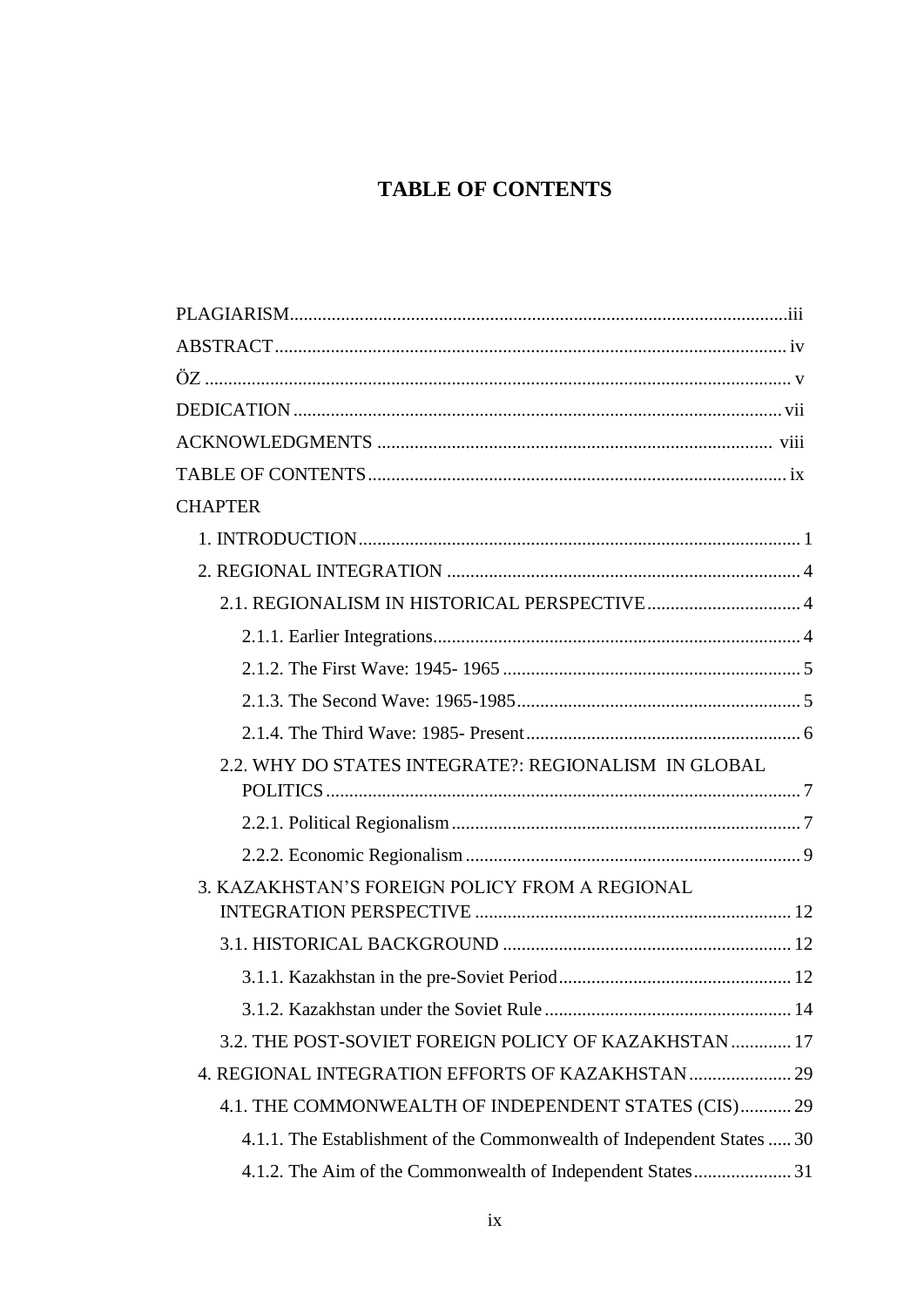# **TABLE OF CONTENTS**

| <b>CHAPTER</b>                                                         |  |
|------------------------------------------------------------------------|--|
|                                                                        |  |
|                                                                        |  |
|                                                                        |  |
|                                                                        |  |
|                                                                        |  |
|                                                                        |  |
|                                                                        |  |
| 2.2. WHY DO STATES INTEGRATE?: REGIONALISM IN GLOBAL                   |  |
|                                                                        |  |
|                                                                        |  |
| 3. KAZAKHSTAN'S FOREIGN POLICY FROM A REGIONAL                         |  |
|                                                                        |  |
|                                                                        |  |
|                                                                        |  |
|                                                                        |  |
| 3.2. THE POST-SOVIET FOREIGN POLICY OF KAZAKHSTAN  17                  |  |
|                                                                        |  |
| 4.1. THE COMMONWEALTH OF INDEPENDENT STATES (CIS) 29                   |  |
| 4.1.1. The Establishment of the Commonwealth of Independent States  30 |  |
|                                                                        |  |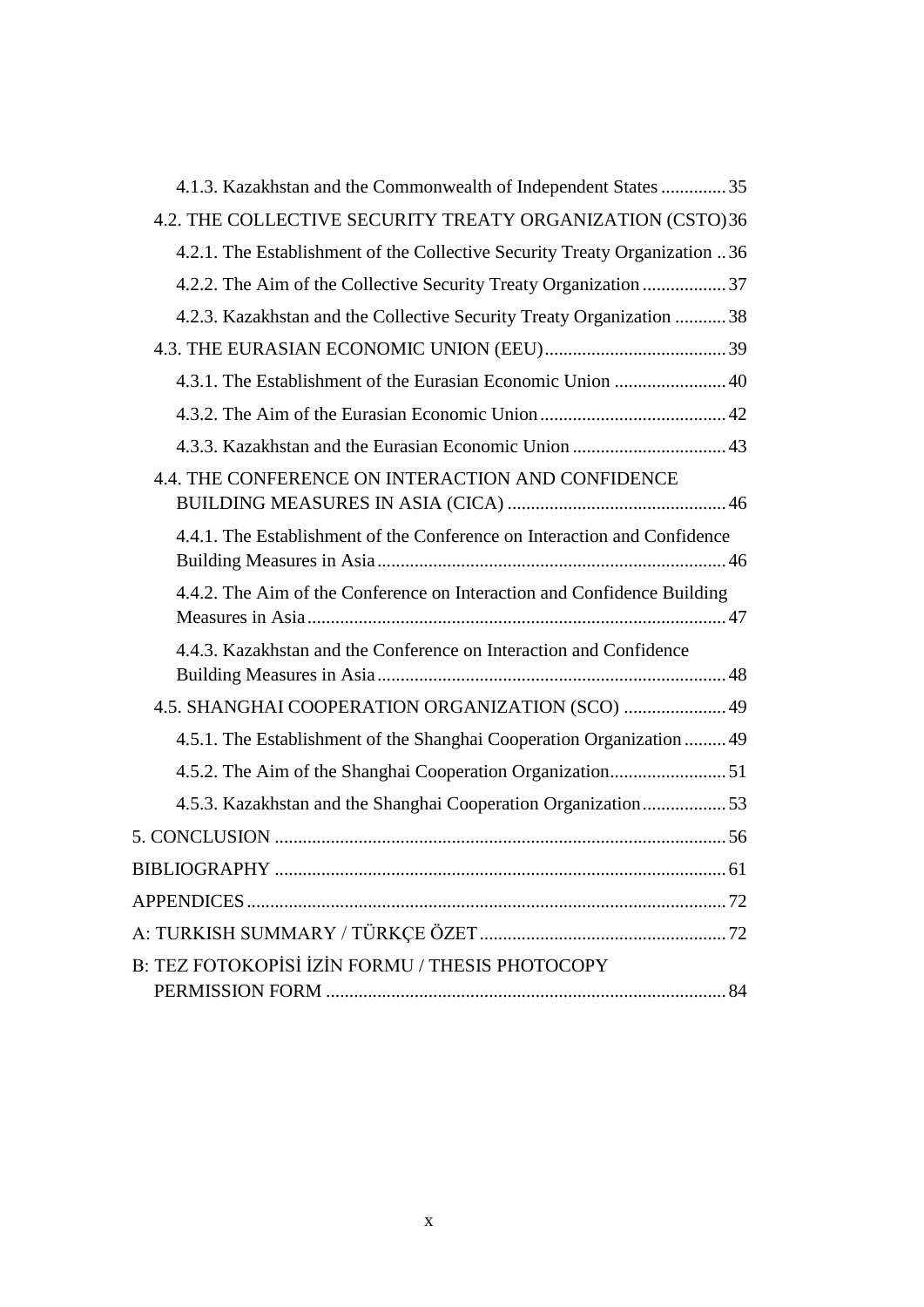| 4.1.3. Kazakhstan and the Commonwealth of Independent States 35            |
|----------------------------------------------------------------------------|
| 4.2. THE COLLECTIVE SECURITY TREATY ORGANIZATION (CSTO)36                  |
| 4.2.1. The Establishment of the Collective Security Treaty Organization 36 |
|                                                                            |
| 4.2.3. Kazakhstan and the Collective Security Treaty Organization  38      |
|                                                                            |
|                                                                            |
|                                                                            |
|                                                                            |
| 4.4. THE CONFERENCE ON INTERACTION AND CONFIDENCE                          |
| 4.4.1. The Establishment of the Conference on Interaction and Confidence   |
| 4.4.2. The Aim of the Conference on Interaction and Confidence Building    |
| 4.4.3. Kazakhstan and the Conference on Interaction and Confidence         |
| 4.5. SHANGHAI COOPERATION ORGANIZATION (SCO)  49                           |
| 4.5.1. The Establishment of the Shanghai Cooperation Organization  49      |
|                                                                            |
| 4.5.3. Kazakhstan and the Shanghai Cooperation Organization53              |
|                                                                            |
| <b>BIBLIOGRAPHY</b><br>$\dots 61$                                          |
| <b>APPENDICES</b>                                                          |
|                                                                            |
| B: TEZ FOTOKOPISI IZIN FORMU / THESIS PHOTOCOPY                            |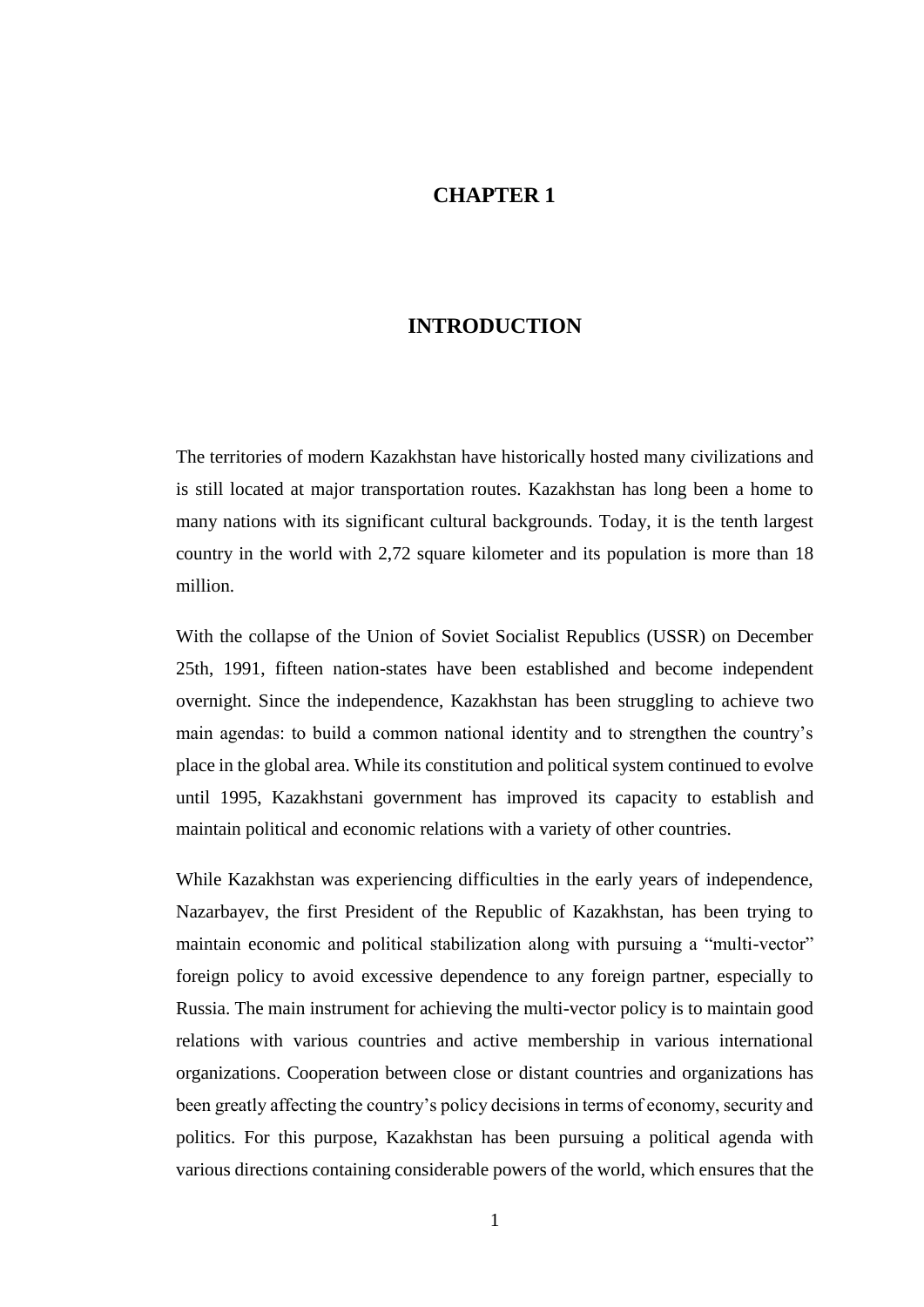## **CHAPTER 1**

# **INTRODUCTION**

<span id="page-10-0"></span>The territories of modern Kazakhstan have historically hosted many civilizations and is still located at major transportation routes. Kazakhstan has long been a home to many nations with its significant cultural backgrounds. Today, it is the tenth largest country in the world with 2,72 square kilometer and its population is more than 18 million.

With the collapse of the Union of Soviet Socialist Republics (USSR) on December 25th, 1991, fifteen nation-states have been established and become independent overnight. Since the independence, Kazakhstan has been struggling to achieve two main agendas: to build a common national identity and to strengthen the country's place in the global area. While its constitution and political system continued to evolve until 1995, Kazakhstani government has improved its capacity to establish and maintain political and economic relations with a variety of other countries.

While Kazakhstan was experiencing difficulties in the early years of independence, Nazarbayev, the first President of the Republic of Kazakhstan, has been trying to maintain economic and political stabilization along with pursuing a "multi-vector" foreign policy to avoid excessive dependence to any foreign partner, especially to Russia. The main instrument for achieving the multi-vector policy is to maintain good relations with various countries and active membership in various international organizations. Cooperation between close or distant countries and organizations has been greatly affecting the country's policy decisions in terms of economy, security and politics. For this purpose, Kazakhstan has been pursuing a political agenda with various directions containing considerable powers of the world, which ensures that the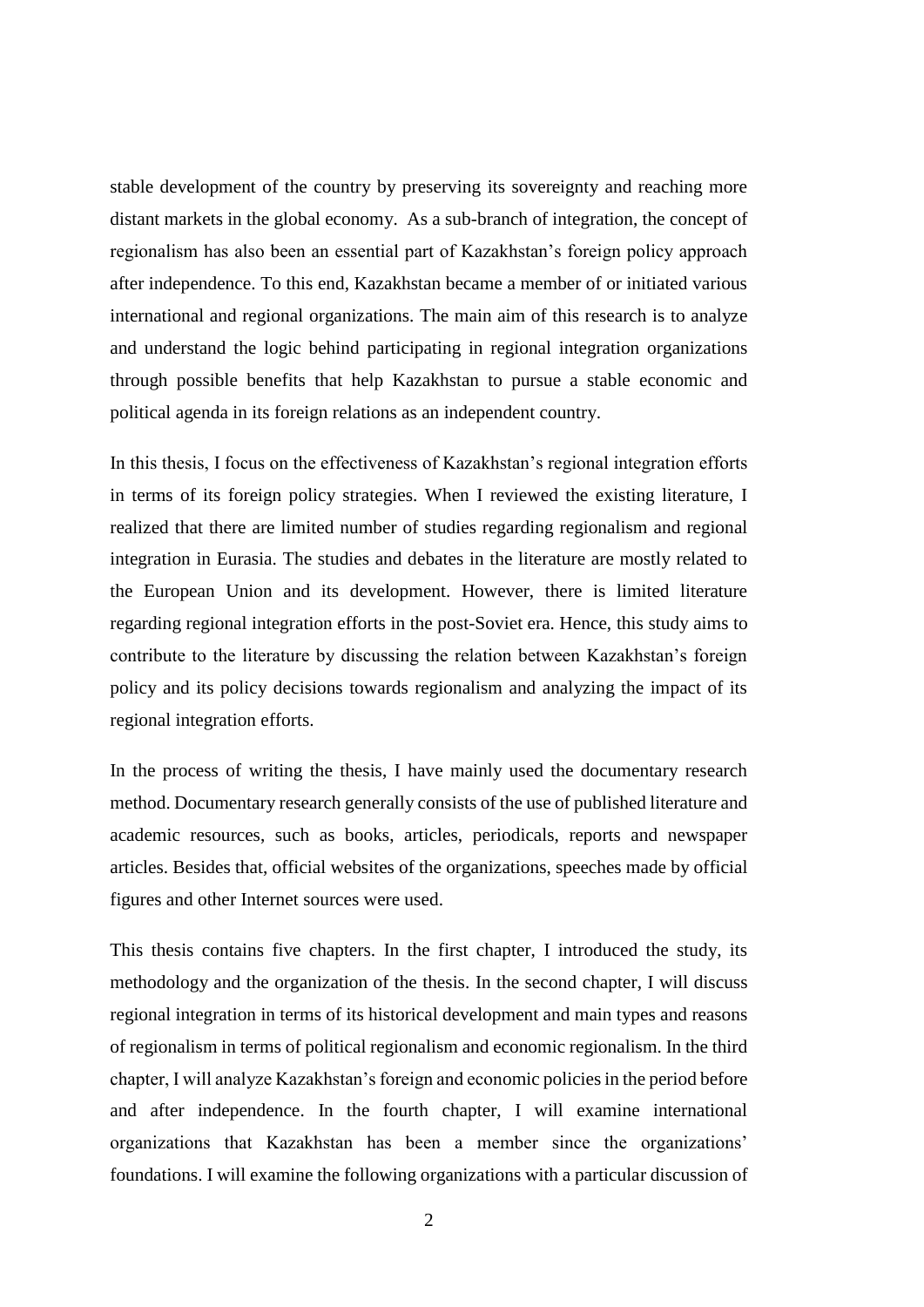stable development of the country by preserving its sovereignty and reaching more distant markets in the global economy. As a sub-branch of integration, the concept of regionalism has also been an essential part of Kazakhstan's foreign policy approach after independence. To this end, Kazakhstan became a member of or initiated various international and regional organizations. The main aim of this research is to analyze and understand the logic behind participating in regional integration organizations through possible benefits that help Kazakhstan to pursue a stable economic and political agenda in its foreign relations as an independent country.

In this thesis, I focus on the effectiveness of Kazakhstan's regional integration efforts in terms of its foreign policy strategies. When I reviewed the existing literature, I realized that there are limited number of studies regarding regionalism and regional integration in Eurasia. The studies and debates in the literature are mostly related to the European Union and its development. However, there is limited literature regarding regional integration efforts in the post-Soviet era. Hence, this study aims to contribute to the literature by discussing the relation between Kazakhstan's foreign policy and its policy decisions towards regionalism and analyzing the impact of its regional integration efforts.

In the process of writing the thesis, I have mainly used the documentary research method. Documentary research generally consists of the use of published literature and academic resources, such as books, articles, periodicals, reports and newspaper articles. Besides that, official websites of the organizations, speeches made by official figures and other Internet sources were used.

This thesis contains five chapters. In the first chapter, I introduced the study, its methodology and the organization of the thesis. In the second chapter, I will discuss regional integration in terms of its historical development and main types and reasons of regionalism in terms of political regionalism and economic regionalism. In the third chapter, I will analyze Kazakhstan's foreign and economic policies in the period before and after independence. In the fourth chapter, I will examine international organizations that Kazakhstan has been a member since the organizations' foundations. I will examine the following organizations with a particular discussion of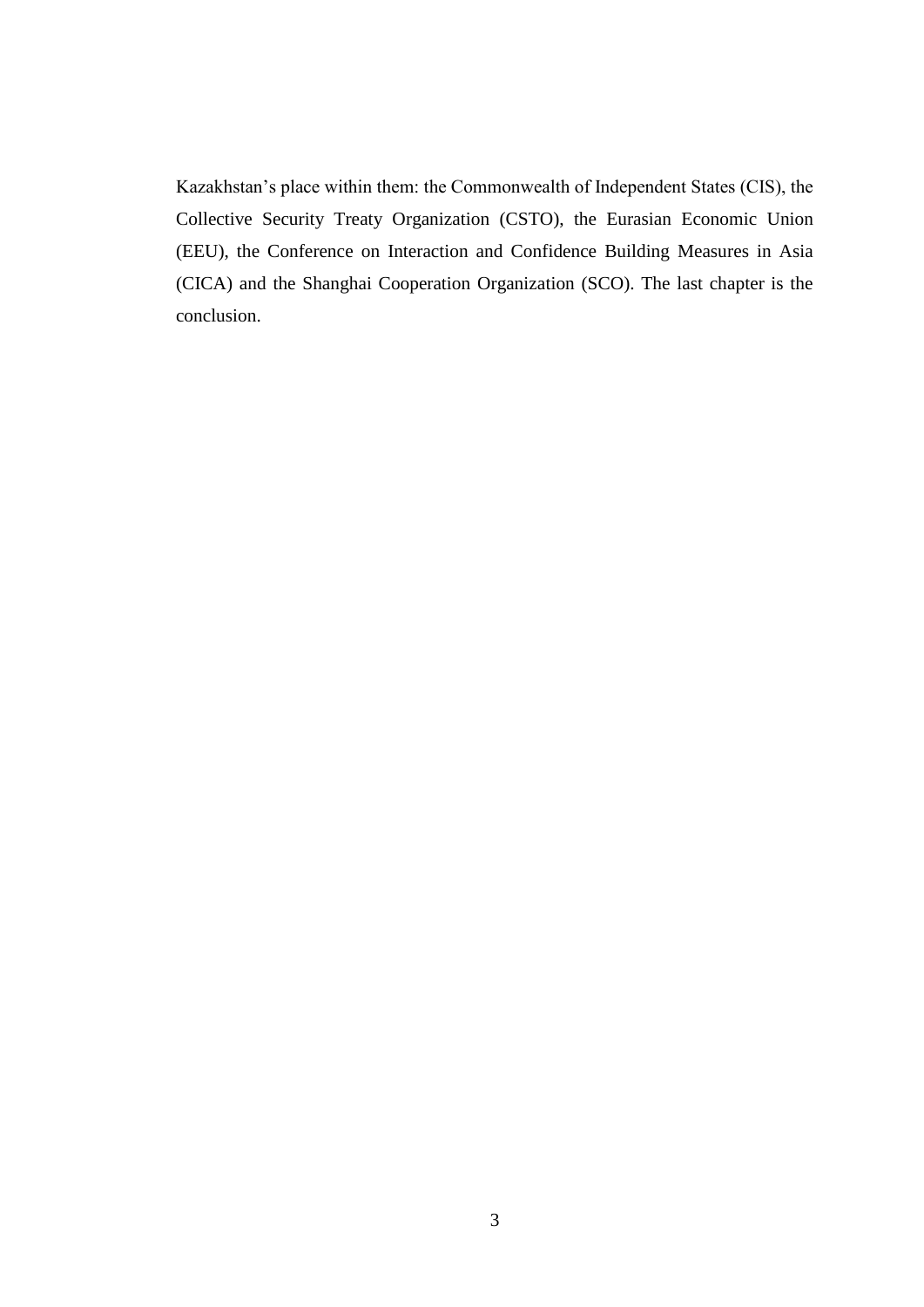Kazakhstan's place within them: the Commonwealth of Independent States (CIS), the Collective Security Treaty Organization (CSTO), the Eurasian Economic Union (EEU), the Conference on Interaction and Confidence Building Measures in Asia (CICA) and the Shanghai Cooperation Organization (SCO). The last chapter is the conclusion.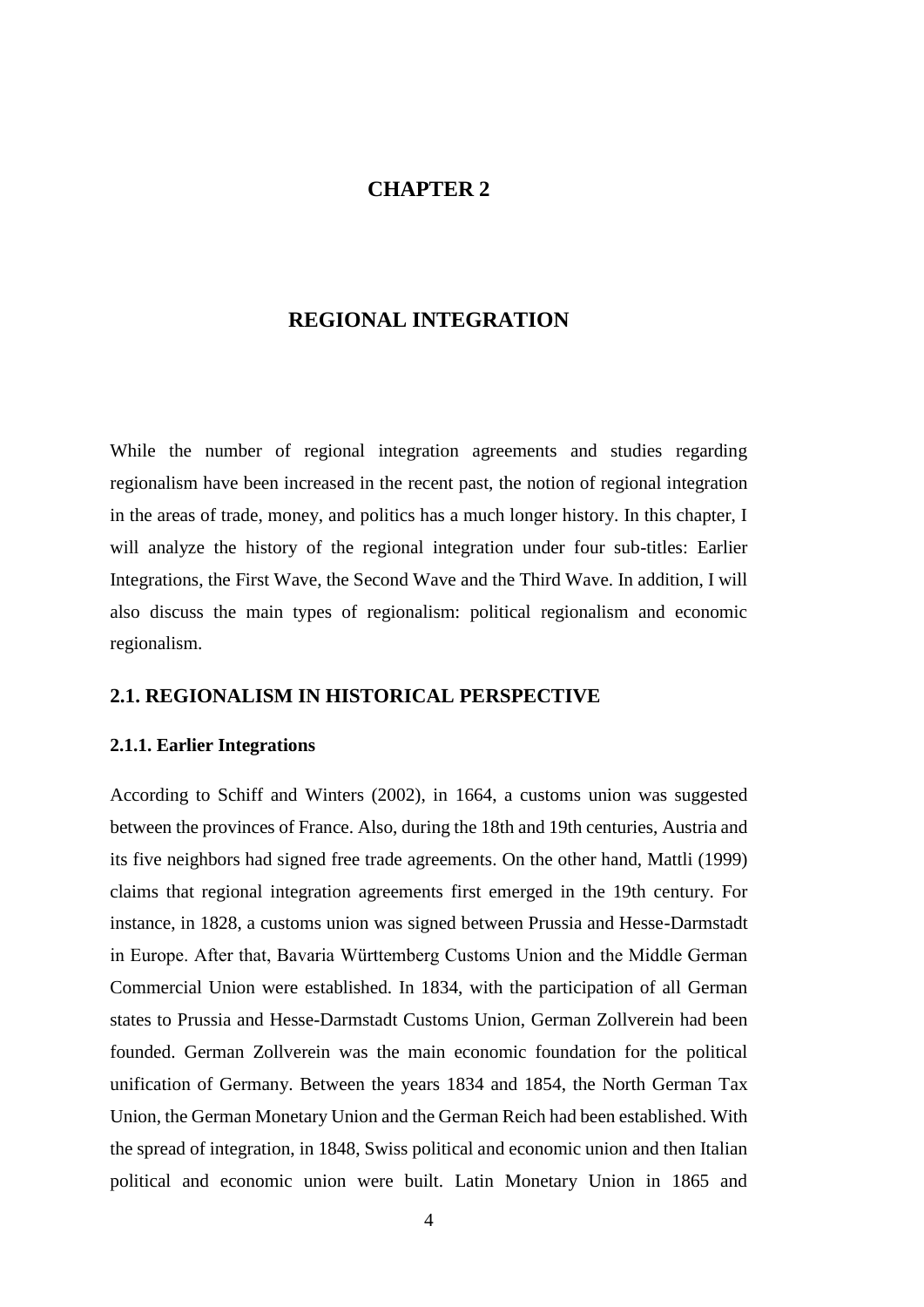## **CHAPTER 2**

### **REGIONAL INTEGRATION**

<span id="page-13-0"></span>While the number of regional integration agreements and studies regarding regionalism have been increased in the recent past, the notion of regional integration in the areas of trade, money, and politics has a much longer history. In this chapter, I will analyze the history of the regional integration under four sub-titles: Earlier Integrations, the First Wave, the Second Wave and the Third Wave. In addition, I will also discuss the main types of regionalism: political regionalism and economic regionalism.

# <span id="page-13-1"></span>**2.1. REGIONALISM IN HISTORICAL PERSPECTIVE**

### <span id="page-13-2"></span>**2.1.1. Earlier Integrations**

According to Schiff and Winters (2002), in 1664, a customs union was suggested between the provinces of France. Also, during the 18th and 19th centuries, Austria and its five neighbors had signed free trade agreements. On the other hand, Mattli (1999) claims that regional integration agreements first emerged in the 19th century. For instance, in 1828, a customs union was signed between Prussia and Hesse-Darmstadt in Europe. After that, Bavaria Württemberg Customs Union and the Middle German Commercial Union were established. In 1834, with the participation of all German states to Prussia and Hesse-Darmstadt Customs Union, German Zollverein had been founded. German Zollverein was the main economic foundation for the political unification of Germany. Between the years 1834 and 1854, the North German Tax Union, the German Monetary Union and the German Reich had been established. With the spread of integration, in 1848, Swiss political and economic union and then Italian political and economic union were built. Latin Monetary Union in 1865 and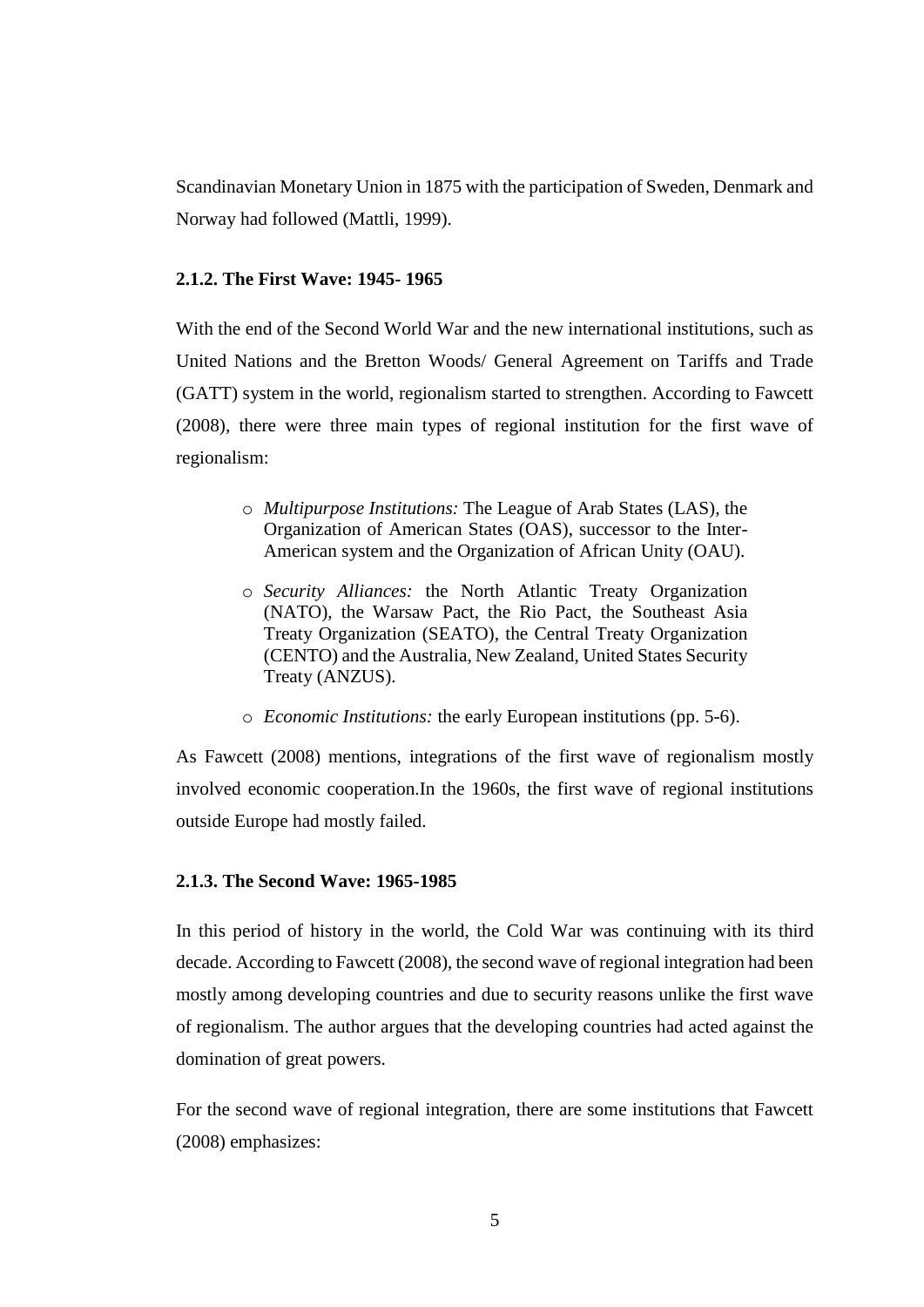Scandinavian Monetary Union in 1875 with the participation of Sweden, Denmark and Norway had followed (Mattli, 1999).

### <span id="page-14-0"></span>**2.1.2. The First Wave: 1945- 1965**

With the end of the Second World War and the new international institutions, such as United Nations and the Bretton Woods/ General Agreement on Tariffs and Trade (GATT) system in the world, regionalism started to strengthen. According to Fawcett (2008), there were three main types of regional institution for the first wave of regionalism:

- o *Multipurpose Institutions:* The League of Arab States (LAS), the Organization of American States (OAS), successor to the Inter-American system and the Organization of African Unity (OAU).
- o *Security Alliances:* the North Atlantic Treaty Organization (NATO), the Warsaw Pact, the Rio Pact, the Southeast Asia Treaty Organization (SEATO), the Central Treaty Organization (CENTO) and the Australia, New Zealand, United States Security Treaty (ANZUS).
- o *Economic Institutions:* the early European institutions (pp. 5-6).

As Fawcett (2008) mentions, integrations of the first wave of regionalism mostly involved economic cooperation.In the 1960s, the first wave of regional institutions outside Europe had mostly failed.

### <span id="page-14-1"></span>**2.1.3. The Second Wave: 1965-1985**

In this period of history in the world, the Cold War was continuing with its third decade. According to Fawcett (2008), the second wave of regional integration had been mostly among developing countries and due to security reasons unlike the first wave of regionalism. The author argues that the developing countries had acted against the domination of great powers.

For the second wave of regional integration, there are some institutions that Fawcett (2008) emphasizes: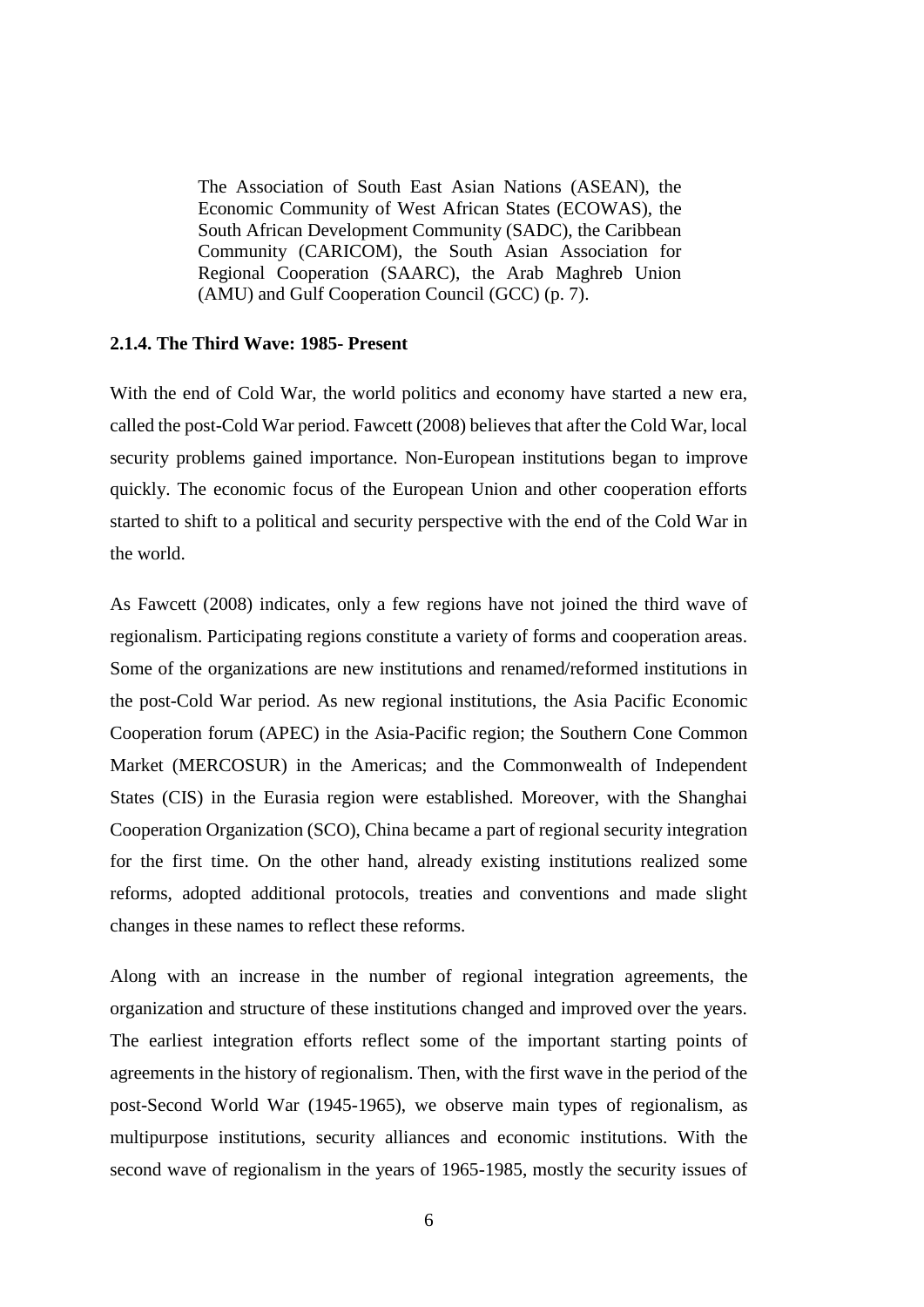The Association of South East Asian Nations (ASEAN), the Economic Community of West African States (ECOWAS), the South African Development Community (SADC), the Caribbean Community (CARICOM), the South Asian Association for Regional Cooperation (SAARC), the Arab Maghreb Union (AMU) and Gulf Cooperation Council (GCC) (p. 7).

#### <span id="page-15-0"></span>**2.1.4. The Third Wave: 1985- Present**

With the end of Cold War, the world politics and economy have started a new era, called the post-Cold War period. Fawcett (2008) believes that after the Cold War, local security problems gained importance. Non-European institutions began to improve quickly. The economic focus of the European Union and other cooperation efforts started to shift to a political and security perspective with the end of the Cold War in the world.

As Fawcett (2008) indicates, only a few regions have not joined the third wave of regionalism. Participating regions constitute a variety of forms and cooperation areas. Some of the organizations are new institutions and renamed/reformed institutions in the post-Cold War period. As new regional institutions, the Asia Pacific Economic Cooperation forum (APEC) in the Asia-Pacific region; the Southern Cone Common Market (MERCOSUR) in the Americas; and the Commonwealth of Independent States (CIS) in the Eurasia region were established. Moreover, with the Shanghai Cooperation Organization (SCO), China became a part of regional security integration for the first time. On the other hand, already existing institutions realized some reforms, adopted additional protocols, treaties and conventions and made slight changes in these names to reflect these reforms.

Along with an increase in the number of regional integration agreements, the organization and structure of these institutions changed and improved over the years. The earliest integration efforts reflect some of the important starting points of agreements in the history of regionalism. Then, with the first wave in the period of the post-Second World War (1945-1965), we observe main types of regionalism, as multipurpose institutions, security alliances and economic institutions. With the second wave of regionalism in the years of 1965-1985, mostly the security issues of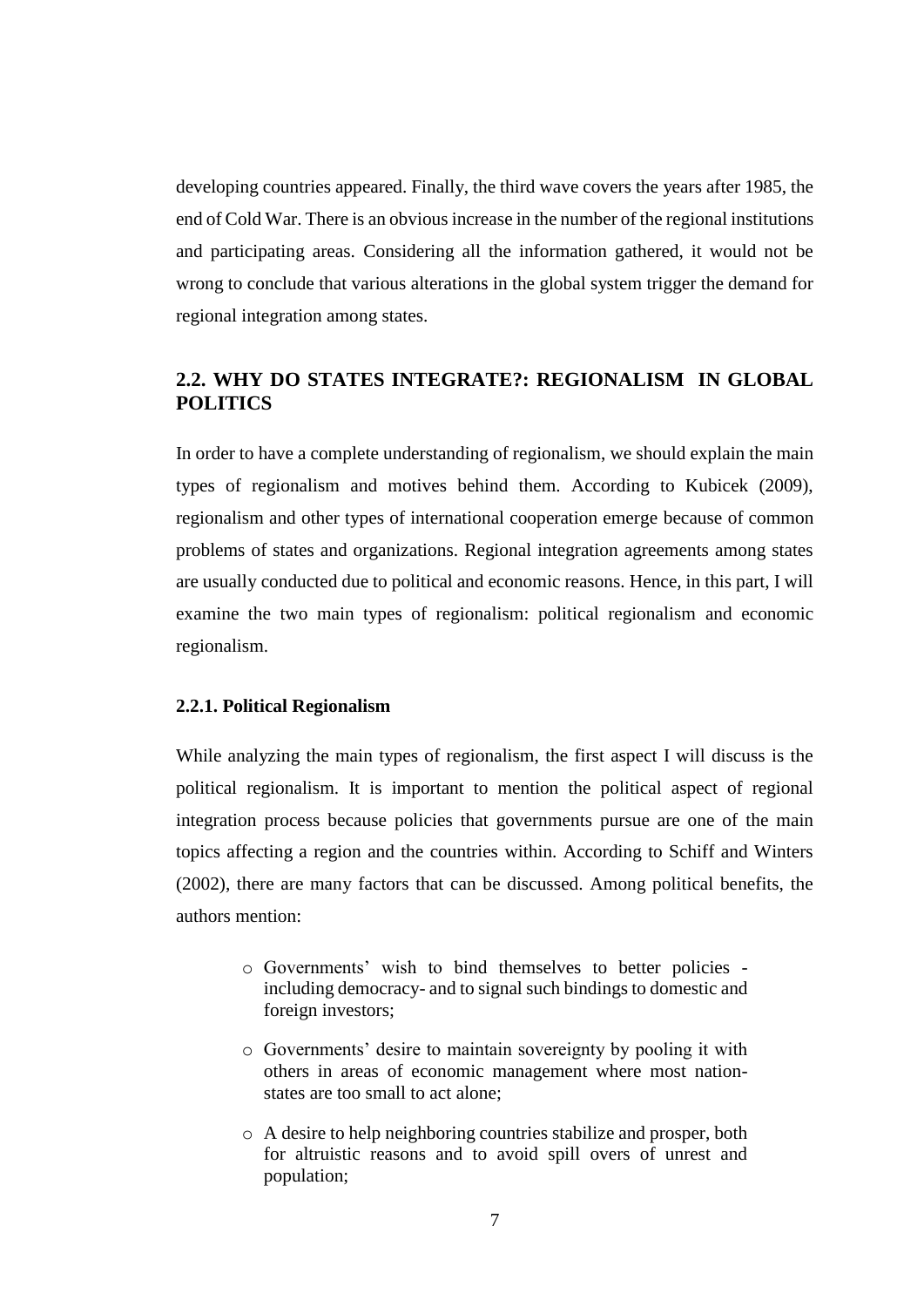developing countries appeared. Finally, the third wave covers the years after 1985, the end of Cold War. There is an obvious increase in the number of the regional institutions and participating areas. Considering all the information gathered, it would not be wrong to conclude that various alterations in the global system trigger the demand for regional integration among states.

# <span id="page-16-0"></span>**2.2. WHY DO STATES INTEGRATE?: REGIONALISM IN GLOBAL POLITICS**

In order to have a complete understanding of regionalism, we should explain the main types of regionalism and motives behind them. According to Kubicek (2009), regionalism and other types of international cooperation emerge because of common problems of states and organizations. Regional integration agreements among states are usually conducted due to political and economic reasons. Hence, in this part, I will examine the two main types of regionalism: political regionalism and economic regionalism.

### <span id="page-16-1"></span>**2.2.1. Political Regionalism**

While analyzing the main types of regionalism, the first aspect I will discuss is the political regionalism. It is important to mention the political aspect of regional integration process because policies that governments pursue are one of the main topics affecting a region and the countries within. According to Schiff and Winters (2002), there are many factors that can be discussed. Among political benefits, the authors mention:

- o Governments' wish to bind themselves to better policies including democracy- and to signal such bindings to domestic and foreign investors;
- o Governments' desire to maintain sovereignty by pooling it with others in areas of economic management where most nationstates are too small to act alone;
- o A desire to help neighboring countries stabilize and prosper, both for altruistic reasons and to avoid spill overs of unrest and population;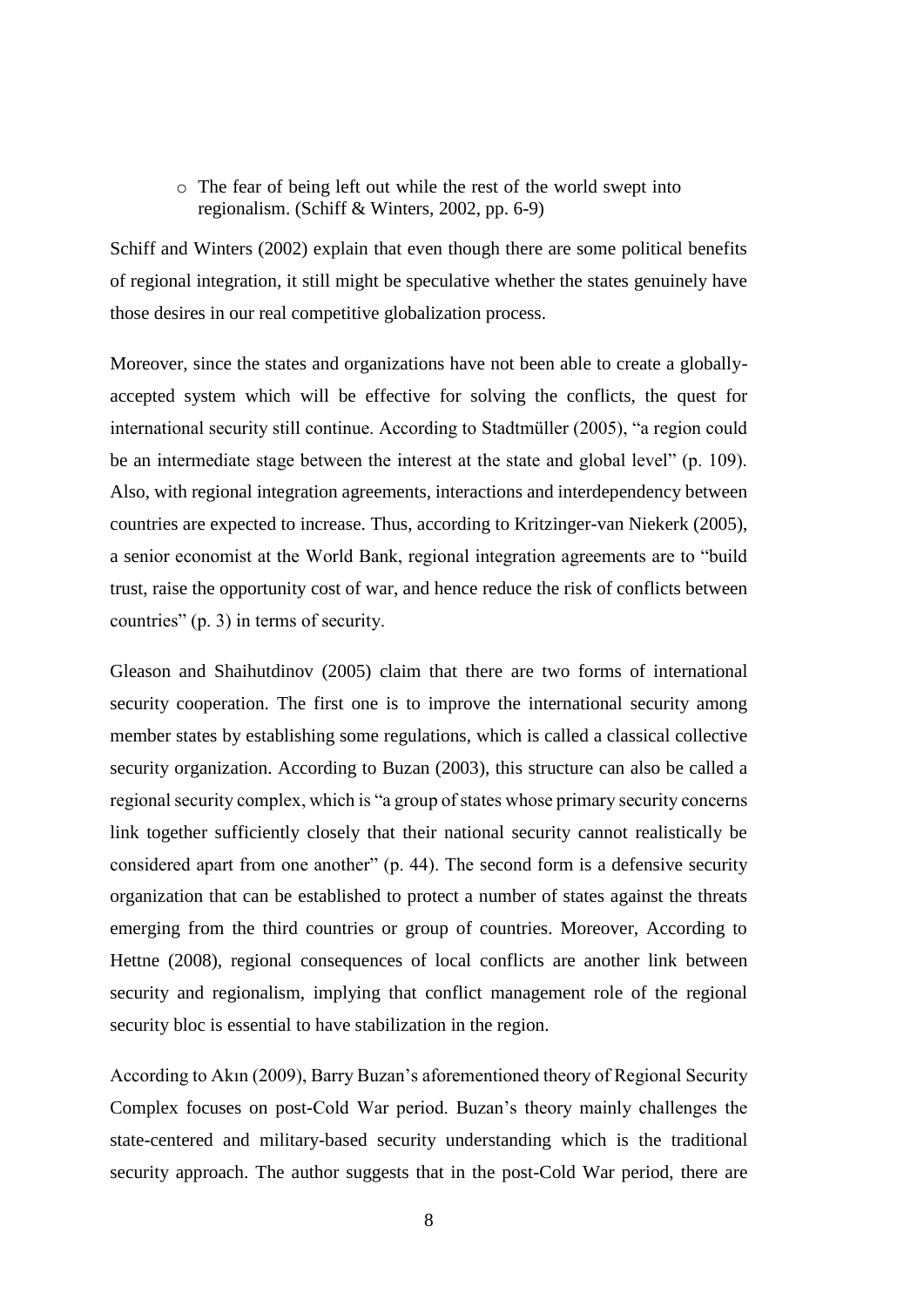o The fear of being left out while the rest of the world swept into regionalism. (Schiff & Winters, 2002, pp. 6-9)

Schiff and Winters (2002) explain that even though there are some political benefits of regional integration, it still might be speculative whether the states genuinely have those desires in our real competitive globalization process.

Moreover, since the states and organizations have not been able to create a globallyaccepted system which will be effective for solving the conflicts, the quest for international security still continue. According to Stadtmüller (2005), "a region could be an intermediate stage between the interest at the state and global level" (p. 109). Also, with regional integration agreements, interactions and interdependency between countries are expected to increase. Thus, according to Kritzinger-van Niekerk (2005), a senior economist at the World Bank, regional integration agreements are to "build trust, raise the opportunity cost of war, and hence reduce the risk of conflicts between countries" (p. 3) in terms of security.

Gleason and Shaihutdinov (2005) claim that there are two forms of international security cooperation. The first one is to improve the international security among member states by establishing some regulations, which is called a classical collective security organization. According to Buzan (2003), this structure can also be called a regional security complex, which is "a group of states whose primary security concerns link together sufficiently closely that their national security cannot realistically be considered apart from one another" (p. 44). The second form is a defensive security organization that can be established to protect a number of states against the threats emerging from the third countries or group of countries. Moreover, According to Hettne (2008), regional consequences of local conflicts are another link between security and regionalism, implying that conflict management role of the regional security bloc is essential to have stabilization in the region.

According to Akın (2009), Barry Buzan's aforementioned theory of Regional Security Complex focuses on post-Cold War period. Buzan's theory mainly challenges the state-centered and military-based security understanding which is the traditional security approach. The author suggests that in the post-Cold War period, there are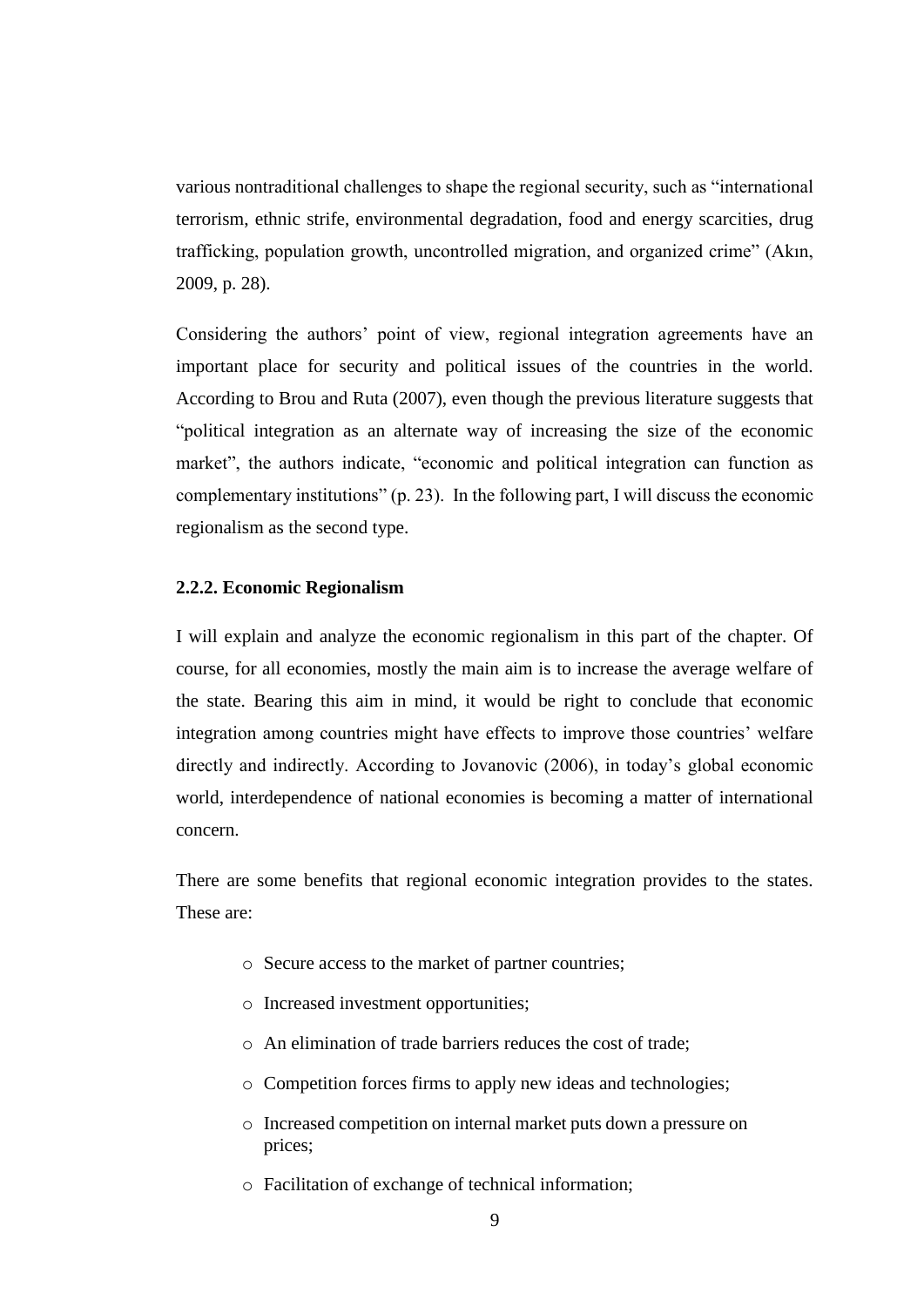various nontraditional challenges to shape the regional security, such as "international terrorism, ethnic strife, environmental degradation, food and energy scarcities, drug trafficking, population growth, uncontrolled migration, and organized crime" (Akın, 2009, p. 28).

Considering the authors' point of view, regional integration agreements have an important place for security and political issues of the countries in the world. According to Brou and Ruta (2007), even though the previous literature suggests that "political integration as an alternate way of increasing the size of the economic market", the authors indicate, "economic and political integration can function as complementary institutions" (p. 23). In the following part, I will discuss the economic regionalism as the second type.

### <span id="page-18-0"></span>**2.2.2. Economic Regionalism**

I will explain and analyze the economic regionalism in this part of the chapter. Of course, for all economies, mostly the main aim is to increase the average welfare of the state. Bearing this aim in mind, it would be right to conclude that economic integration among countries might have effects to improve those countries' welfare directly and indirectly. According to Jovanovic (2006), in today's global economic world, interdependence of national economies is becoming a matter of international concern.

There are some benefits that regional economic integration provides to the states. These are:

- o Secure access to the market of partner countries;
- o Increased investment opportunities;
- o An elimination of trade barriers reduces the cost of trade;
- o Competition forces firms to apply new ideas and technologies;
- o Increased competition on internal market puts down a pressure on prices;
- o Facilitation of exchange of technical information;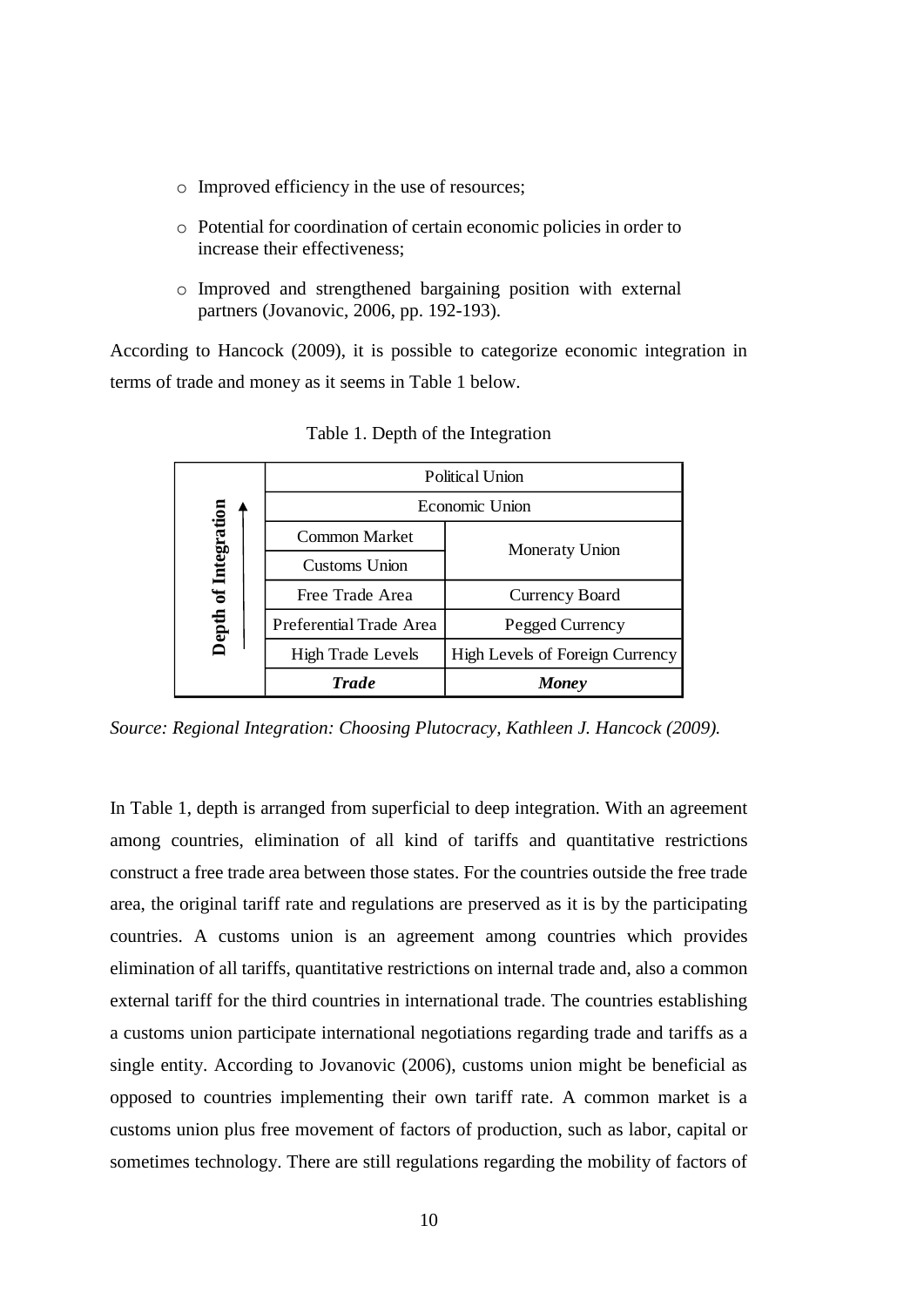- o Improved efficiency in the use of resources;
- o Potential for coordination of certain economic policies in order to increase their effectiveness;
- o Improved and strengthened bargaining position with external partners (Jovanovic, 2006, pp. 192-193).

<span id="page-19-0"></span>According to Hancock (2009), it is possible to categorize economic integration in terms of trade and money as it seems in [Table 1](#page-19-0) below.

|                      | Political Union         |                                 |  |
|----------------------|-------------------------|---------------------------------|--|
| Depth of Integration | Economic Union          |                                 |  |
|                      | Common Market           | Moneraty Union                  |  |
|                      | Customs Union           |                                 |  |
|                      | Free Trade Area         | Currency Board                  |  |
|                      | Preferential Trade Area | Pegged Currency                 |  |
|                      | High Trade Levels       | High Levels of Foreign Currency |  |
|                      | <b>Trade</b>            | <b>Money</b>                    |  |

Table 1. Depth of the Integration

*Source: Regional Integration: Choosing Plutocracy, Kathleen J. Hancock (2009).*

In [Table 1,](#page-19-0) depth is arranged from superficial to deep integration. With an agreement among countries, elimination of all kind of tariffs and quantitative restrictions construct a free trade area between those states. For the countries outside the free trade area, the original tariff rate and regulations are preserved as it is by the participating countries. A customs union is an agreement among countries which provides elimination of all tariffs, quantitative restrictions on internal trade and, also a common external tariff for the third countries in international trade. The countries establishing a customs union participate international negotiations regarding trade and tariffs as a single entity. According to Jovanovic (2006), customs union might be beneficial as opposed to countries implementing their own tariff rate. A common market is a customs union plus free movement of factors of production, such as labor, capital or sometimes technology. There are still regulations regarding the mobility of factors of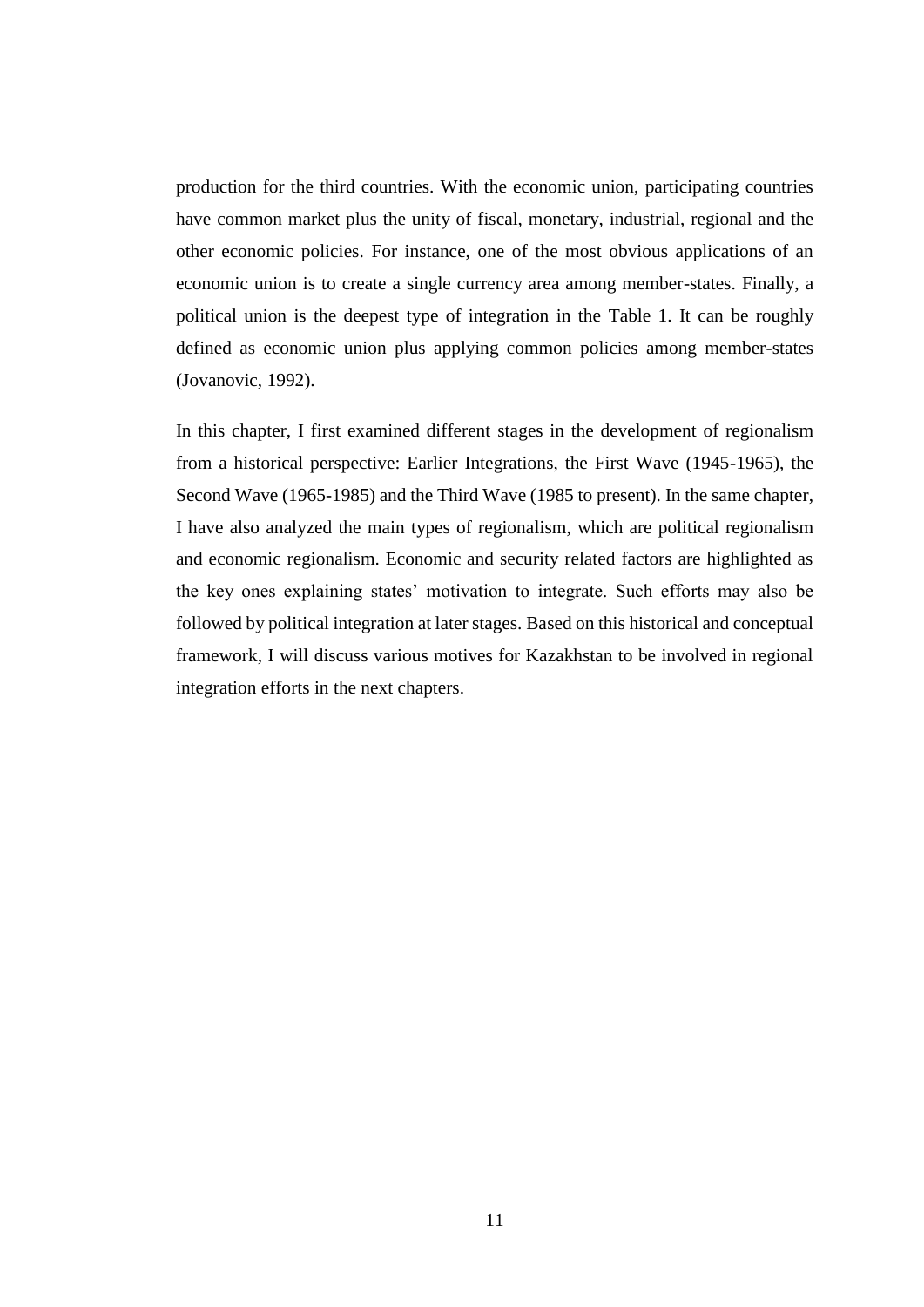production for the third countries. With the economic union, participating countries have common market plus the unity of fiscal, monetary, industrial, regional and the other economic policies. For instance, one of the most obvious applications of an economic union is to create a single currency area among member-states. Finally, a political union is the deepest type of integration in the [Table 1.](#page-19-0) It can be roughly defined as economic union plus applying common policies among member-states (Jovanovic, 1992).

In this chapter, I first examined different stages in the development of regionalism from a historical perspective: Earlier Integrations, the First Wave (1945-1965), the Second Wave (1965-1985) and the Third Wave (1985 to present). In the same chapter, I have also analyzed the main types of regionalism, which are political regionalism and economic regionalism. Economic and security related factors are highlighted as the key ones explaining states' motivation to integrate. Such efforts may also be followed by political integration at later stages. Based on this historical and conceptual framework, I will discuss various motives for Kazakhstan to be involved in regional integration efforts in the next chapters.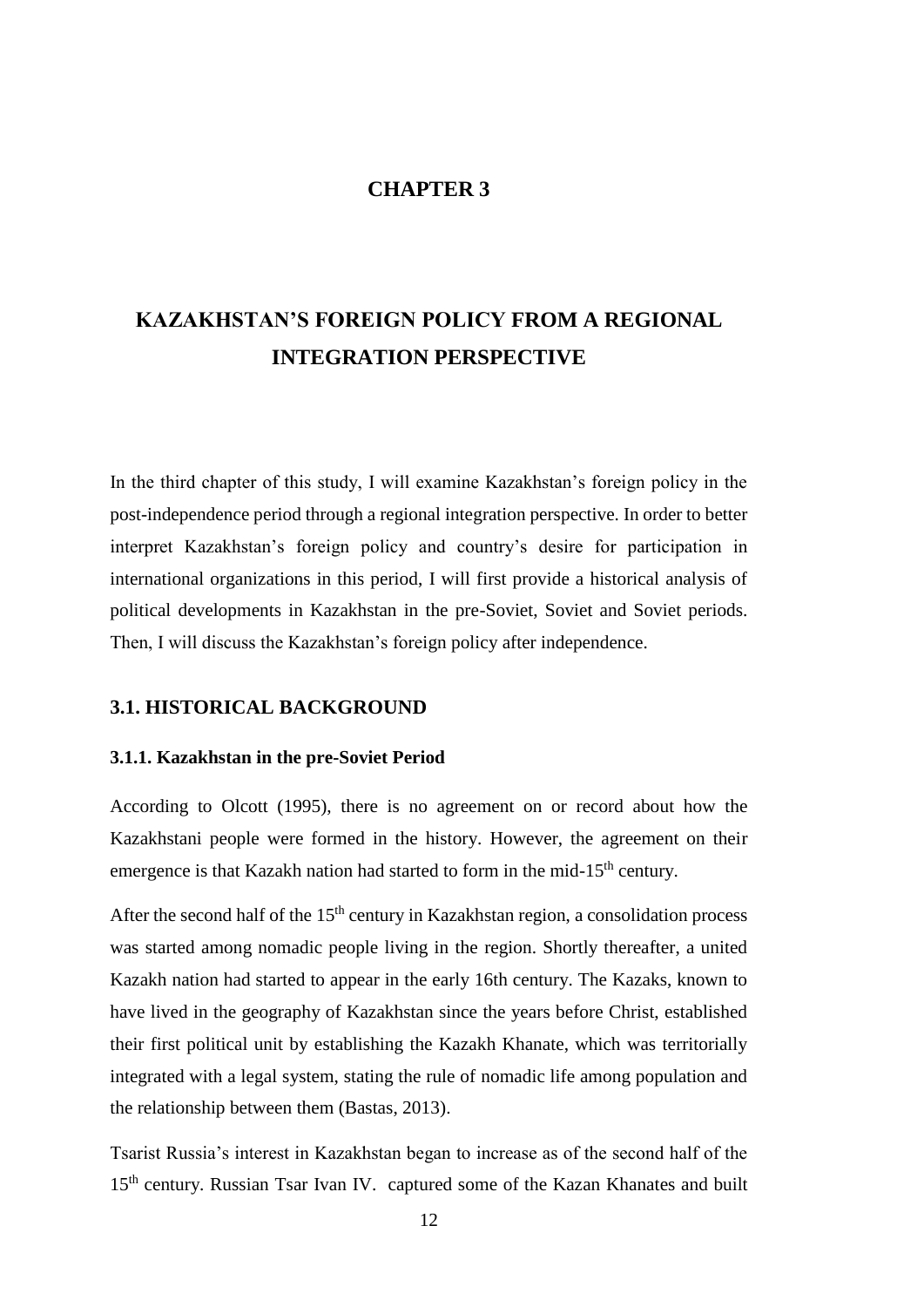## **CHAPTER 3**

# <span id="page-21-0"></span>**KAZAKHSTAN'S FOREIGN POLICY FROM A REGIONAL INTEGRATION PERSPECTIVE**

In the third chapter of this study, I will examine Kazakhstan's foreign policy in the post-independence period through a regional integration perspective. In order to better interpret Kazakhstan's foreign policy and country's desire for participation in international organizations in this period, I will first provide a historical analysis of political developments in Kazakhstan in the pre-Soviet, Soviet and Soviet periods. Then, I will discuss the Kazakhstan's foreign policy after independence.

### <span id="page-21-1"></span>**3.1. HISTORICAL BACKGROUND**

### <span id="page-21-2"></span>**3.1.1. Kazakhstan in the pre-Soviet Period**

According to Olcott (1995), there is no agreement on or record about how the Kazakhstani people were formed in the history. However, the agreement on their emergence is that Kazakh nation had started to form in the mid-15<sup>th</sup> century.

After the second half of the  $15<sup>th</sup>$  century in Kazakhstan region, a consolidation process was started among nomadic people living in the region. Shortly thereafter, a united Kazakh nation had started to appear in the early 16th century. The Kazaks, known to have lived in the geography of Kazakhstan since the years before Christ, established their first political unit by establishing the Kazakh Khanate, which was territorially integrated with a legal system, stating the rule of nomadic life among population and the relationship between them (Bastas, 2013).

Tsarist Russia's interest in Kazakhstan began to increase as of the second half of the 15<sup>th</sup> century. Russian Tsar Ivan IV. captured some of the Kazan Khanates and built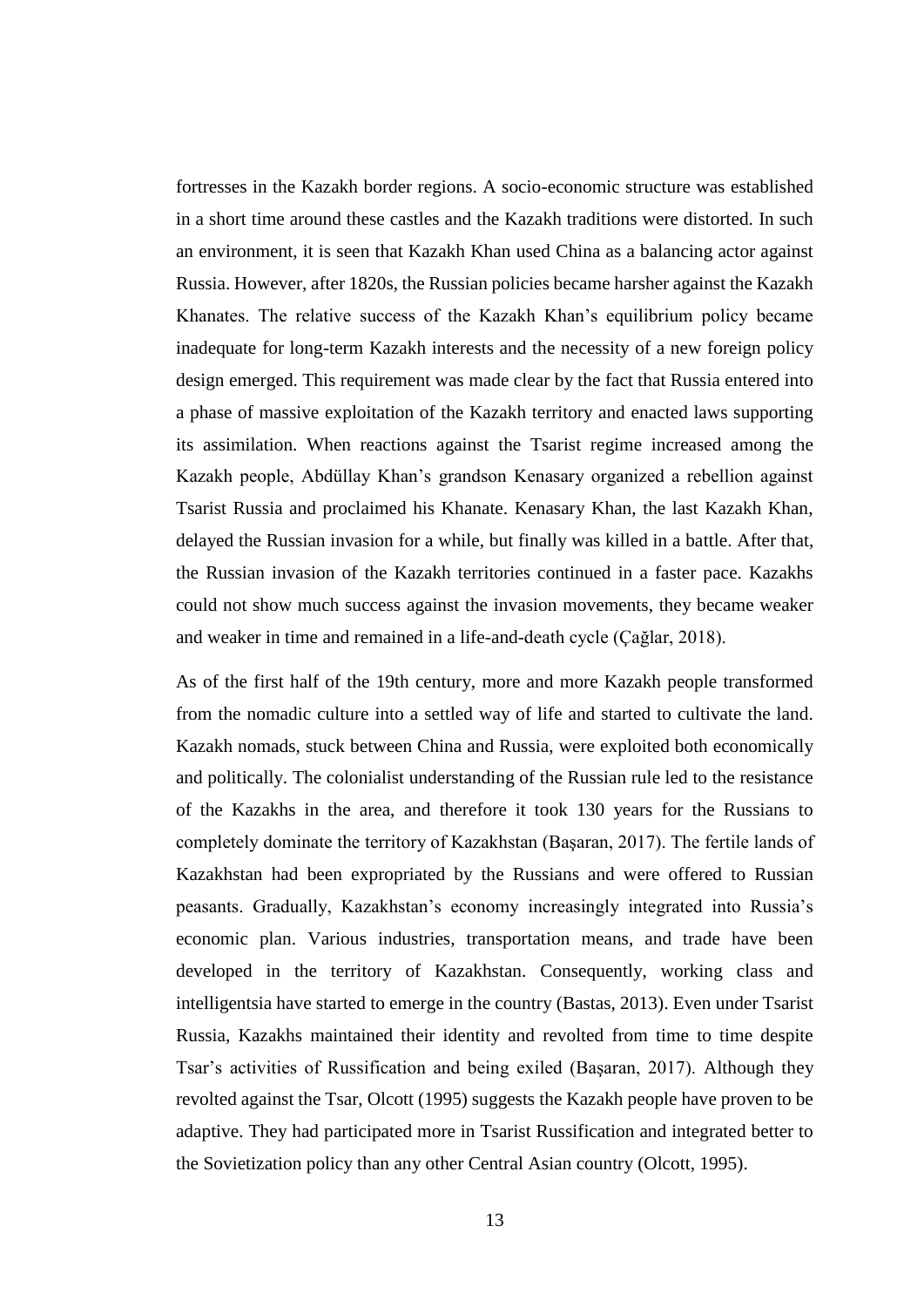fortresses in the Kazakh border regions. A socio-economic structure was established in a short time around these castles and the Kazakh traditions were distorted. In such an environment, it is seen that Kazakh Khan used China as a balancing actor against Russia. However, after 1820s, the Russian policies became harsher against the Kazakh Khanates. The relative success of the Kazakh Khan's equilibrium policy became inadequate for long-term Kazakh interests and the necessity of a new foreign policy design emerged. This requirement was made clear by the fact that Russia entered into a phase of massive exploitation of the Kazakh territory and enacted laws supporting its assimilation. When reactions against the Tsarist regime increased among the Kazakh people, Abdüllay Khan's grandson Kenasary organized a rebellion against Tsarist Russia and proclaimed his Khanate. Kenasary Khan, the last Kazakh Khan, delayed the Russian invasion for a while, but finally was killed in a battle. After that, the Russian invasion of the Kazakh territories continued in a faster pace. Kazakhs could not show much success against the invasion movements, they became weaker and weaker in time and remained in a life-and-death cycle (Çağlar, 2018).

As of the first half of the 19th century, more and more Kazakh people transformed from the nomadic culture into a settled way of life and started to cultivate the land. Kazakh nomads, stuck between China and Russia, were exploited both economically and politically. The colonialist understanding of the Russian rule led to the resistance of the Kazakhs in the area, and therefore it took 130 years for the Russians to completely dominate the territory of Kazakhstan (Başaran, 2017). The fertile lands of Kazakhstan had been expropriated by the Russians and were offered to Russian peasants. Gradually, Kazakhstan's economy increasingly integrated into Russia's economic plan. Various industries, transportation means, and trade have been developed in the territory of Kazakhstan. Consequently, working class and intelligentsia have started to emerge in the country (Bastas, 2013). Even under Tsarist Russia, Kazakhs maintained their identity and revolted from time to time despite Tsar's activities of Russification and being exiled (Başaran, 2017). Although they revolted against the Tsar, Olcott (1995) suggests the Kazakh people have proven to be adaptive. They had participated more in Tsarist Russification and integrated better to the Sovietization policy than any other Central Asian country (Olcott, 1995).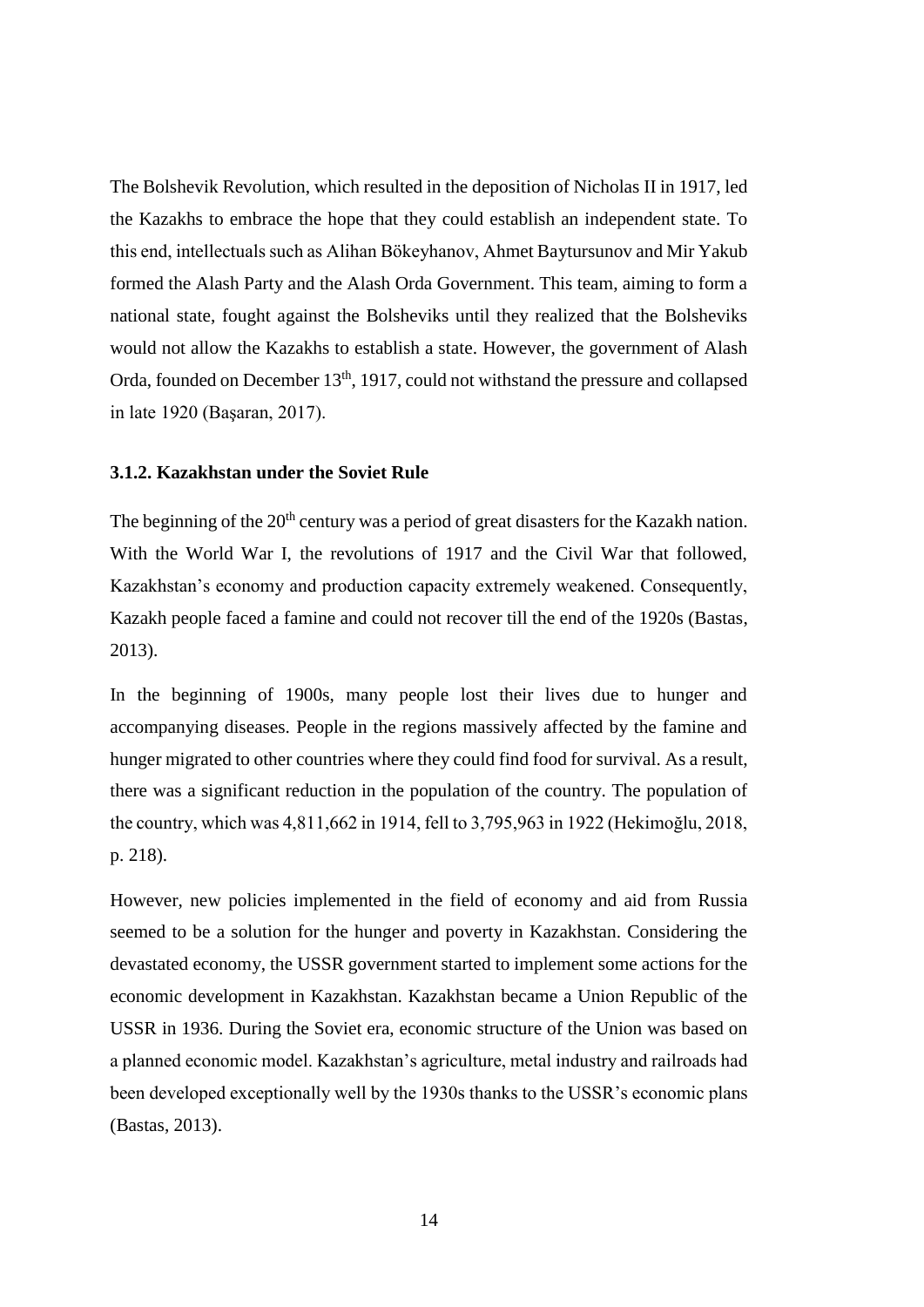The Bolshevik Revolution, which resulted in the deposition of Nicholas II in 1917, led the Kazakhs to embrace the hope that they could establish an independent state. To this end, intellectuals such as Alihan Bökeyhanov, Ahmet Baytursunov and Mir Yakub formed the Alash Party and the Alash Orda Government. This team, aiming to form a national state, fought against the Bolsheviks until they realized that the Bolsheviks would not allow the Kazakhs to establish a state. However, the government of Alash Orda, founded on December 13<sup>th</sup>, 1917, could not withstand the pressure and collapsed in late 1920 (Başaran, 2017).

### <span id="page-23-0"></span>**3.1.2. Kazakhstan under the Soviet Rule**

The beginning of the 20<sup>th</sup> century was a period of great disasters for the Kazakh nation. With the World War I, the revolutions of 1917 and the Civil War that followed, Kazakhstan's economy and production capacity extremely weakened. Consequently, Kazakh people faced a famine and could not recover till the end of the 1920s (Bastas, 2013).

In the beginning of 1900s, many people lost their lives due to hunger and accompanying diseases. People in the regions massively affected by the famine and hunger migrated to other countries where they could find food for survival. As a result, there was a significant reduction in the population of the country. The population of the country, which was 4,811,662 in 1914, fell to 3,795,963 in 1922 (Hekimoğlu, 2018, p. 218).

However, new policies implemented in the field of economy and aid from Russia seemed to be a solution for the hunger and poverty in Kazakhstan. Considering the devastated economy, the USSR government started to implement some actions for the economic development in Kazakhstan. Kazakhstan became a Union Republic of the USSR in 1936. During the Soviet era, economic structure of the Union was based on a planned economic model. Kazakhstan's agriculture, metal industry and railroads had been developed exceptionally well by the 1930s thanks to the USSR's economic plans (Bastas, 2013).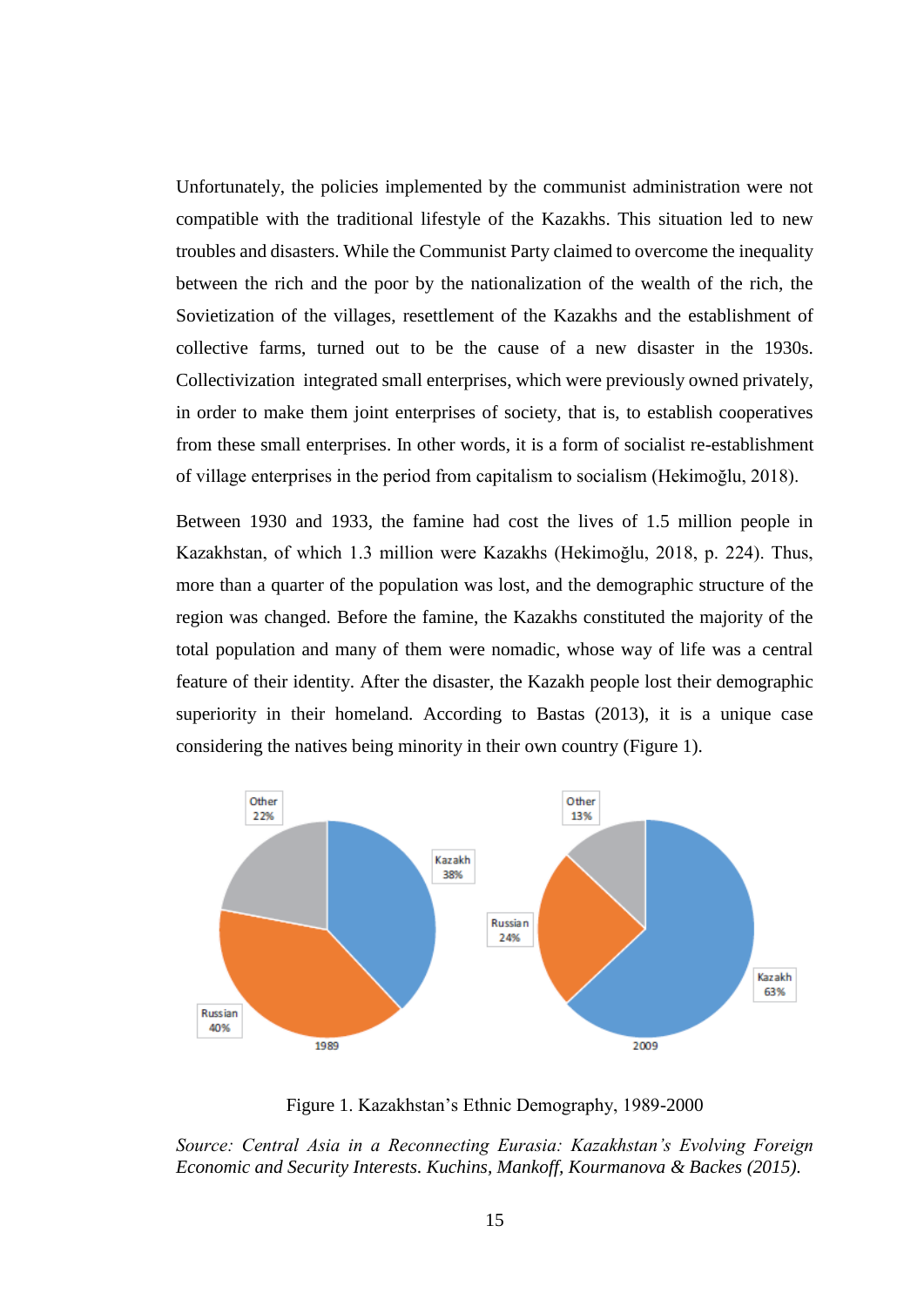Unfortunately, the policies implemented by the communist administration were not compatible with the traditional lifestyle of the Kazakhs. This situation led to new troubles and disasters. While the Communist Party claimed to overcome the inequality between the rich and the poor by the nationalization of the wealth of the rich, the Sovietization of the villages, resettlement of the Kazakhs and the establishment of collective farms, turned out to be the cause of a new disaster in the 1930s. Collectivization integrated small enterprises, which were previously owned privately, in order to make them joint enterprises of society, that is, to establish cooperatives from these small enterprises. In other words, it is a form of socialist re-establishment of village enterprises in the period from capitalism to socialism (Hekimoğlu, 2018).

Between 1930 and 1933, the famine had cost the lives of 1.5 million people in Kazakhstan, of which 1.3 million were Kazakhs (Hekimoğlu, 2018, p. 224). Thus, more than a quarter of the population was lost, and the demographic structure of the region was changed. Before the famine, the Kazakhs constituted the majority of the total population and many of them were nomadic, whose way of life was a central feature of their identity. After the disaster, the Kazakh people lost their demographic superiority in their homeland. According to Bastas (2013), it is a unique case considering the natives being minority in their own country (Figure 1).



Figure 1. Kazakhstan's Ethnic Demography, 1989-2000

*Source: Central Asia in a Reconnecting Eurasia: Kazakhstan's Evolving Foreign Economic and Security Interests. Kuchins, Mankoff, Kourmanova & Backes (2015).*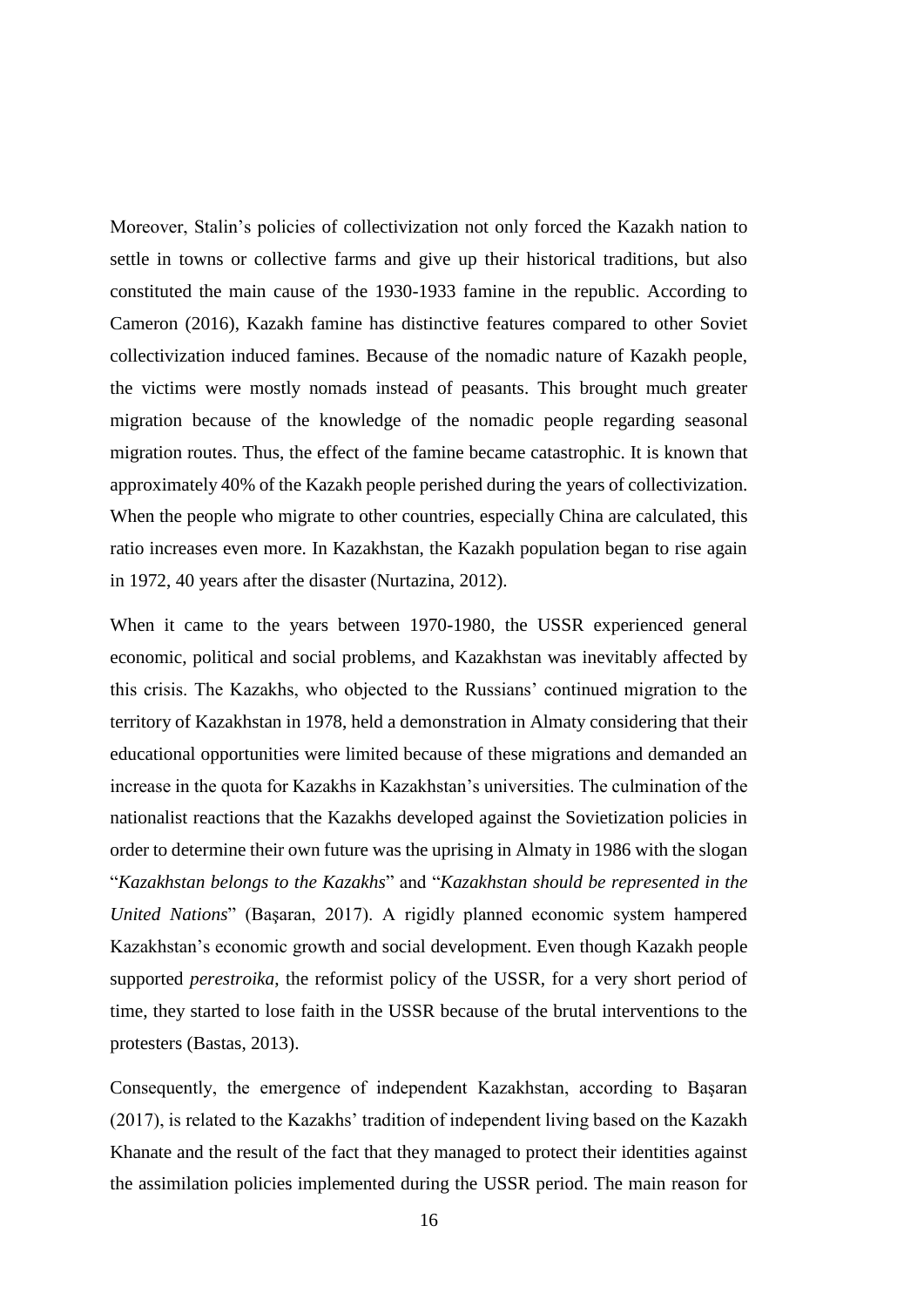Moreover, Stalin's policies of collectivization not only forced the Kazakh nation to settle in towns or collective farms and give up their historical traditions, but also constituted the main cause of the 1930-1933 famine in the republic. According to Cameron (2016), Kazakh famine has distinctive features compared to other Soviet collectivization induced famines. Because of the nomadic nature of Kazakh people, the victims were mostly nomads instead of peasants. This brought much greater migration because of the knowledge of the nomadic people regarding seasonal migration routes. Thus, the effect of the famine became catastrophic. It is known that approximately 40% of the Kazakh people perished during the years of collectivization. When the people who migrate to other countries, especially China are calculated, this ratio increases even more. In Kazakhstan, the Kazakh population began to rise again in 1972, 40 years after the disaster (Nurtazina, 2012).

When it came to the years between 1970-1980, the USSR experienced general economic, political and social problems, and Kazakhstan was inevitably affected by this crisis. The Kazakhs, who objected to the Russians' continued migration to the territory of Kazakhstan in 1978, held a demonstration in Almaty considering that their educational opportunities were limited because of these migrations and demanded an increase in the quota for Kazakhs in Kazakhstan's universities. The culmination of the nationalist reactions that the Kazakhs developed against the Sovietization policies in order to determine their own future was the uprising in Almaty in 1986 with the slogan "*Kazakhstan belongs to the Kazakhs*" and "*Kazakhstan should be represented in the United Nations*" (Başaran, 2017). A rigidly planned economic system hampered Kazakhstan's economic growth and social development. Even though Kazakh people supported *perestroika*, the reformist policy of the USSR, for a very short period of time, they started to lose faith in the USSR because of the brutal interventions to the protesters (Bastas, 2013).

Consequently, the emergence of independent Kazakhstan, according to Başaran (2017), is related to the Kazakhs' tradition of independent living based on the Kazakh Khanate and the result of the fact that they managed to protect their identities against the assimilation policies implemented during the USSR period. The main reason for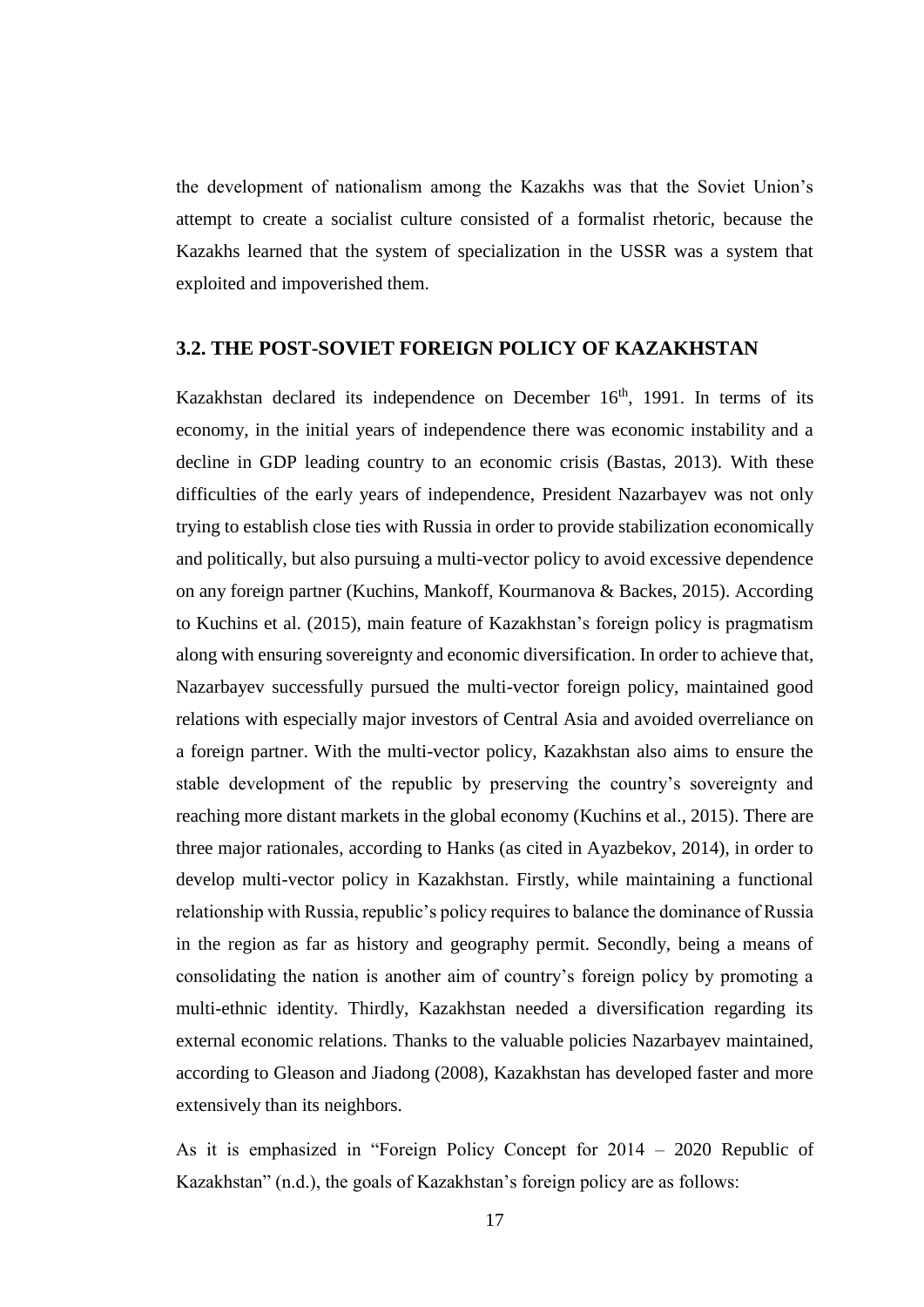the development of nationalism among the Kazakhs was that the Soviet Union's attempt to create a socialist culture consisted of a formalist rhetoric, because the Kazakhs learned that the system of specialization in the USSR was a system that exploited and impoverished them.

# <span id="page-26-0"></span>**3.2. THE POST-SOVIET FOREIGN POLICY OF KAZAKHSTAN**

Kazakhstan declared its independence on December  $16<sup>th</sup>$ , 1991. In terms of its economy, in the initial years of independence there was economic instability and a decline in GDP leading country to an economic crisis (Bastas, 2013). With these difficulties of the early years of independence, President Nazarbayev was not only trying to establish close ties with Russia in order to provide stabilization economically and politically, but also pursuing a multi-vector policy to avoid excessive dependence on any foreign partner (Kuchins, Mankoff, Kourmanova & Backes, 2015). According to Kuchins et al. (2015), main feature of Kazakhstan's foreign policy is pragmatism along with ensuring sovereignty and economic diversification. In order to achieve that, Nazarbayev successfully pursued the multi-vector foreign policy, maintained good relations with especially major investors of Central Asia and avoided overreliance on a foreign partner. With the multi-vector policy, Kazakhstan also aims to ensure the stable development of the republic by preserving the country's sovereignty and reaching more distant markets in the global economy (Kuchins et al., 2015). There are three major rationales, according to Hanks (as cited in Ayazbekov, 2014), in order to develop multi-vector policy in Kazakhstan. Firstly, while maintaining a functional relationship with Russia, republic's policy requires to balance the dominance of Russia in the region as far as history and geography permit. Secondly, being a means of consolidating the nation is another aim of country's foreign policy by promoting a multi-ethnic identity. Thirdly, Kazakhstan needed a diversification regarding its external economic relations. Thanks to the valuable policies Nazarbayev maintained, according to Gleason and Jiadong (2008), Kazakhstan has developed faster and more extensively than its neighbors.

As it is emphasized in "Foreign Policy Concept for 2014 – 2020 Republic of Kazakhstan" (n.d.), the goals of Kazakhstan's foreign policy are as follows: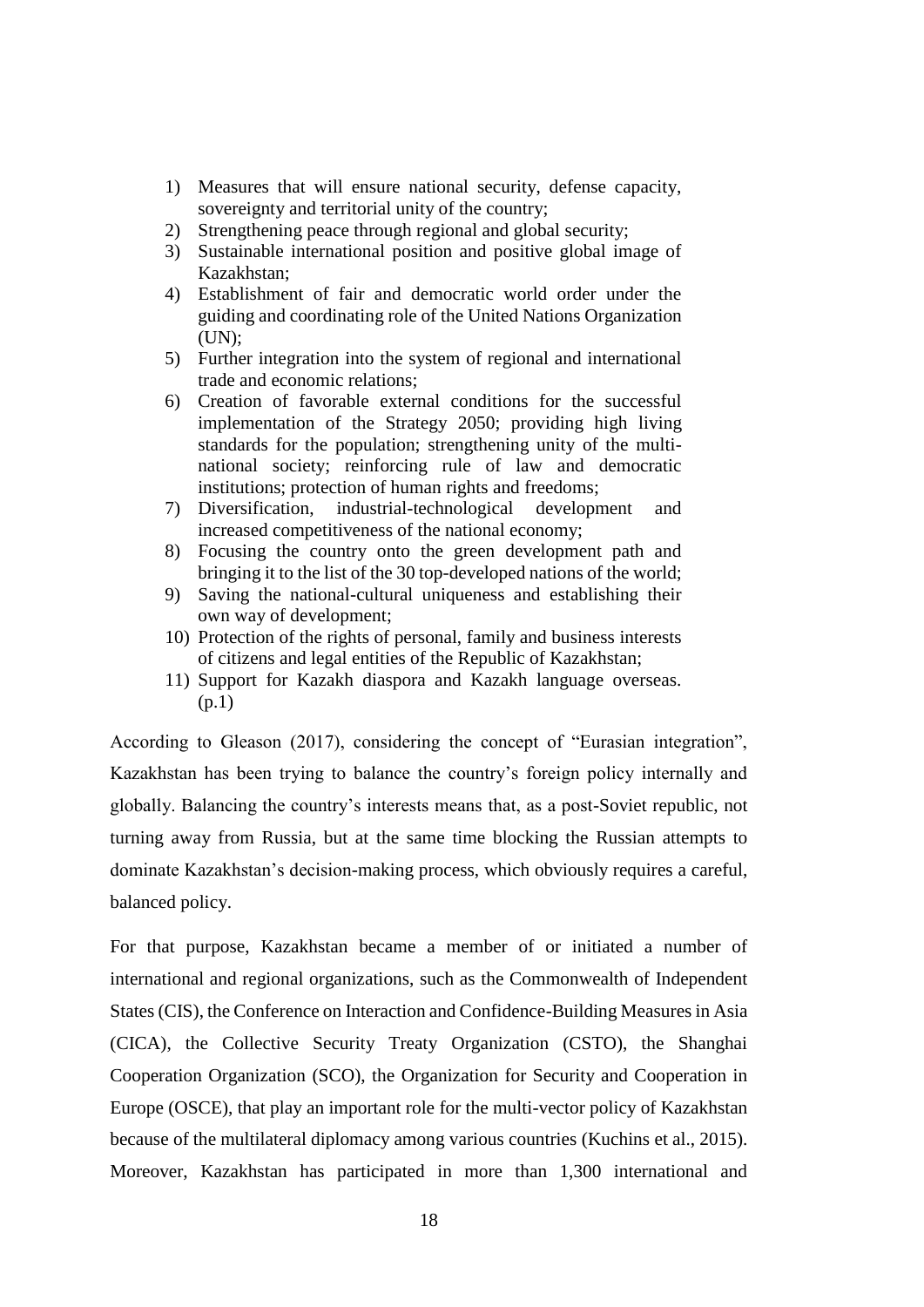- 1) Measures that will ensure national security, defense capacity, sovereignty and territorial unity of the country;
- 2) Strengthening peace through regional and global security;
- 3) Sustainable international position and positive global image of Kazakhstan;
- 4) Establishment of fair and democratic world order under the guiding and coordinating role of the United Nations Organization  $(UN):$
- 5) Further integration into the system of regional and international trade and economic relations;
- 6) Creation of favorable external conditions for the successful implementation of the Strategy 2050; providing high living standards for the population; strengthening unity of the multinational society; reinforcing rule of law and democratic institutions; protection of human rights and freedoms;
- 7) Diversification, industrial-technological development and increased competitiveness of the national economy;
- 8) Focusing the country onto the green development path and bringing it to the list of the 30 top-developed nations of the world;
- 9) Saving the national-cultural uniqueness and establishing their own way of development;
- 10) Protection of the rights of personal, family and business interests of citizens and legal entities of the Republic of Kazakhstan;
- 11) Support for Kazakh diaspora and Kazakh language overseas. (p.1)

According to Gleason (2017), considering the concept of "Eurasian integration", Kazakhstan has been trying to balance the country's foreign policy internally and globally. Balancing the country's interests means that, as a post-Soviet republic, not turning away from Russia, but at the same time blocking the Russian attempts to dominate Kazakhstan's decision-making process, which obviously requires a careful, balanced policy.

For that purpose, Kazakhstan became a member of or initiated a number of international and regional organizations, such as the Commonwealth of Independent States (CIS), the Conference on Interaction and Confidence-Building Measures in Asia (CICA), the Collective Security Treaty Organization (CSTO), the Shanghai Cooperation Organization (SCO), the Organization for Security and Cooperation in Europe (OSCE), that play an important role for the multi-vector policy of Kazakhstan because of the multilateral diplomacy among various countries (Kuchins et al., 2015). Moreover, Kazakhstan has participated in more than 1,300 international and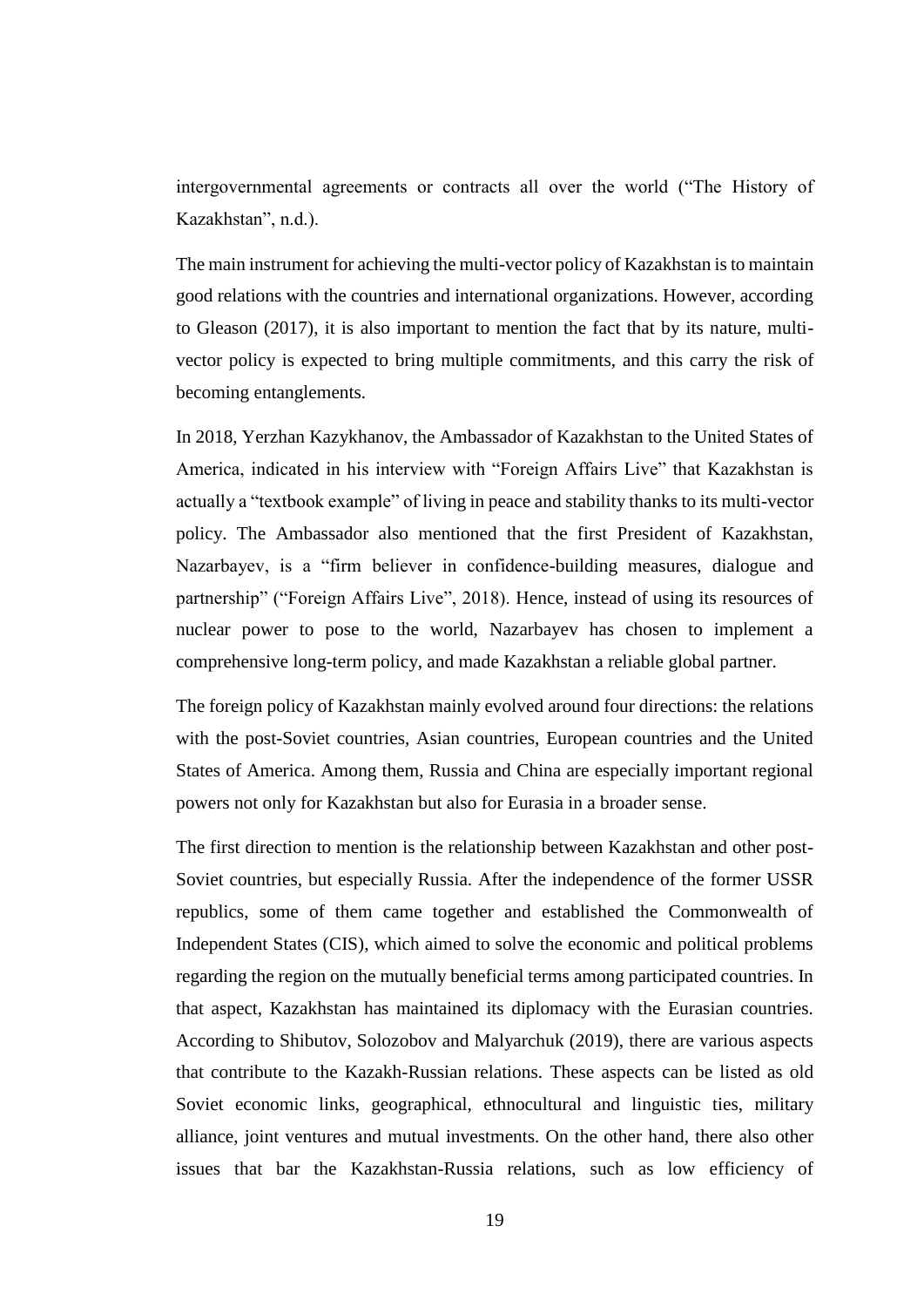intergovernmental agreements or contracts all over the world ("The History of Kazakhstan", n.d.).

The main instrument for achieving the multi-vector policy of Kazakhstan is to maintain good relations with the countries and international organizations. However, according to Gleason (2017), it is also important to mention the fact that by its nature, multivector policy is expected to bring multiple commitments, and this carry the risk of becoming entanglements.

In 2018, Yerzhan Kazykhanov, the Ambassador of Kazakhstan to the United States of America, indicated in his interview with "Foreign Affairs Live" that Kazakhstan is actually a "textbook example" of living in peace and stability thanks to its multi-vector policy. The Ambassador also mentioned that the first President of Kazakhstan, Nazarbayev, is a "firm believer in confidence-building measures, dialogue and partnership" ("Foreign Affairs Live", 2018). Hence, instead of using its resources of nuclear power to pose to the world, Nazarbayev has chosen to implement a comprehensive long-term policy, and made Kazakhstan a reliable global partner.

The foreign policy of Kazakhstan mainly evolved around four directions: the relations with the post-Soviet countries, Asian countries, European countries and the United States of America. Among them, Russia and China are especially important regional powers not only for Kazakhstan but also for Eurasia in a broader sense.

The first direction to mention is the relationship between Kazakhstan and other post-Soviet countries, but especially Russia. After the independence of the former USSR republics, some of them came together and established the Commonwealth of Independent States (CIS), which aimed to solve the economic and political problems regarding the region on the mutually beneficial terms among participated countries. In that aspect, Kazakhstan has maintained its diplomacy with the Eurasian countries. According to Shibutov, Solozobov and Malyarchuk (2019), there are various aspects that contribute to the Kazakh-Russian relations. These aspects can be listed as old Soviet economic links, geographical, ethnocultural and linguistic ties, military alliance, joint ventures and mutual investments. On the other hand, there also other issues that bar the Kazakhstan-Russia relations, such as low efficiency of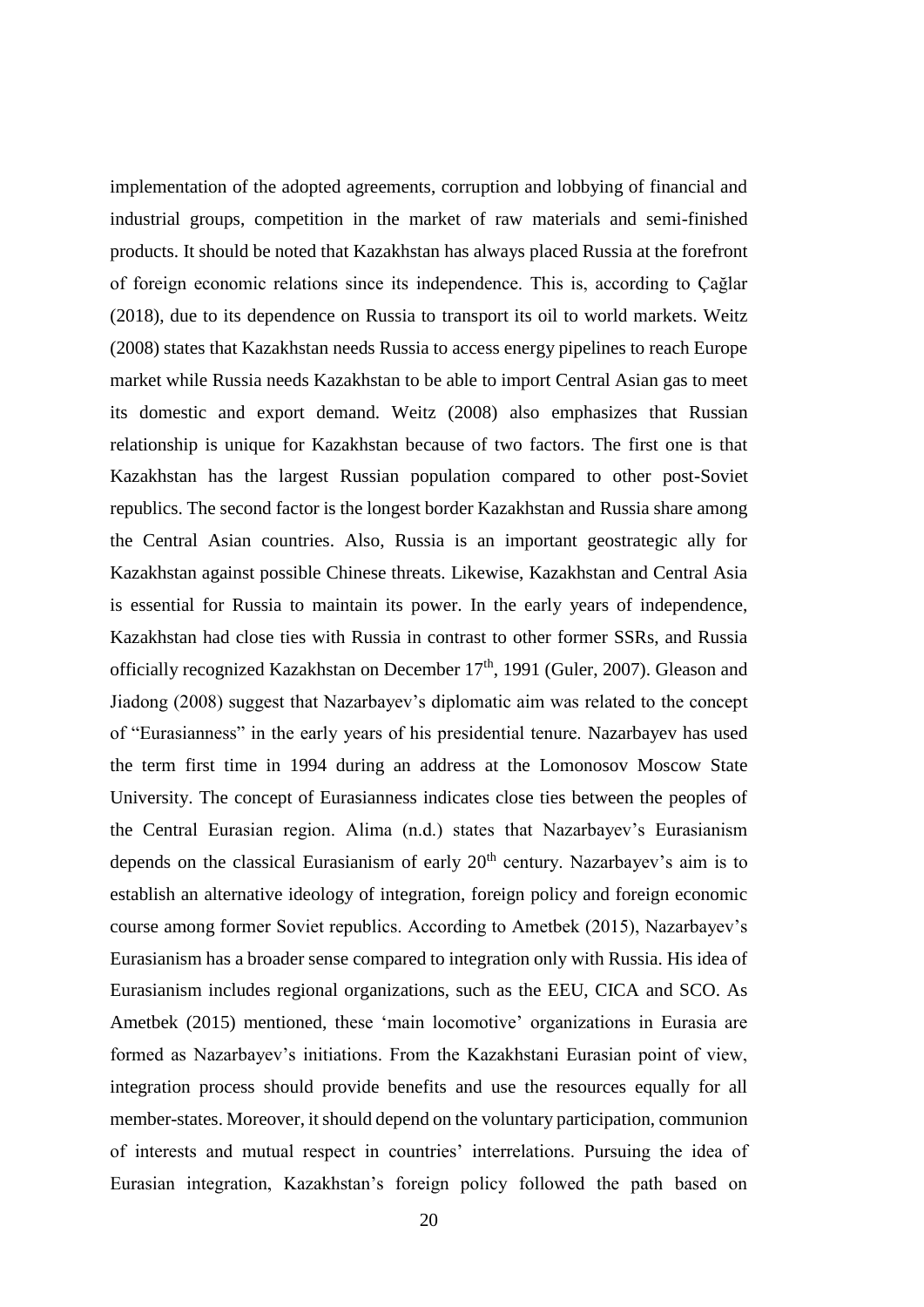implementation of the adopted agreements, corruption and lobbying of financial and industrial groups, competition in the market of raw materials and semi-finished products. It should be noted that Kazakhstan has always placed Russia at the forefront of foreign economic relations since its independence. This is, according to Çağlar (2018), due to its dependence on Russia to transport its oil to world markets. Weitz (2008) states that Kazakhstan needs Russia to access energy pipelines to reach Europe market while Russia needs Kazakhstan to be able to import Central Asian gas to meet its domestic and export demand. Weitz (2008) also emphasizes that Russian relationship is unique for Kazakhstan because of two factors. The first one is that Kazakhstan has the largest Russian population compared to other post-Soviet republics. The second factor is the longest border Kazakhstan and Russia share among the Central Asian countries. Also, Russia is an important geostrategic ally for Kazakhstan against possible Chinese threats. Likewise, Kazakhstan and Central Asia is essential for Russia to maintain its power. In the early years of independence, Kazakhstan had close ties with Russia in contrast to other former SSRs, and Russia officially recognized Kazakhstan on December  $17<sup>th</sup>$ , 1991 (Guler, 2007). Gleason and Jiadong (2008) suggest that Nazarbayev's diplomatic aim was related to the concept of "Eurasianness" in the early years of his presidential tenure. Nazarbayev has used the term first time in 1994 during an address at the Lomonosov Moscow State University. The concept of Eurasianness indicates close ties between the peoples of the Central Eurasian region. Alima (n.d.) states that Nazarbayev's Eurasianism depends on the classical Eurasianism of early  $20<sup>th</sup>$  century. Nazarbayev's aim is to establish an alternative ideology of integration, foreign policy and foreign economic course among former Soviet republics. According to Ametbek (2015), Nazarbayev's Eurasianism has a broader sense compared to integration only with Russia. His idea of Eurasianism includes regional organizations, such as the EEU, CICA and SCO. As Ametbek (2015) mentioned, these 'main locomotive' organizations in Eurasia are formed as Nazarbayev's initiations. From the Kazakhstani Eurasian point of view, integration process should provide benefits and use the resources equally for all member-states. Moreover, it should depend on the voluntary participation, communion of interests and mutual respect in countries' interrelations. Pursuing the idea of Eurasian integration, Kazakhstan's foreign policy followed the path based on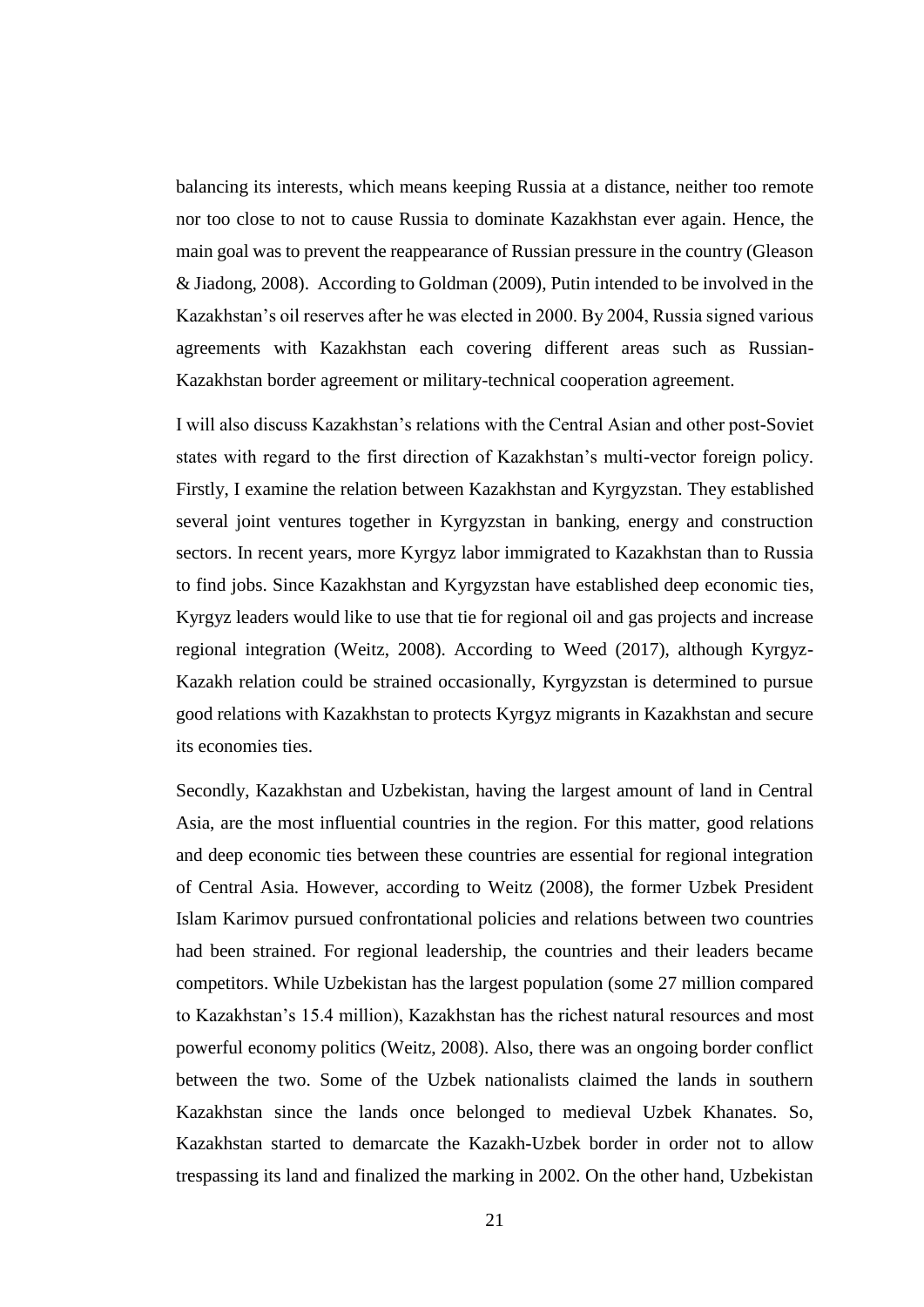balancing its interests, which means keeping Russia at a distance, neither too remote nor too close to not to cause Russia to dominate Kazakhstan ever again. Hence, the main goal was to prevent the reappearance of Russian pressure in the country (Gleason & Jiadong, 2008). According to Goldman (2009), Putin intended to be involved in the Kazakhstan's oil reserves after he was elected in 2000. By 2004, Russia signed various agreements with Kazakhstan each covering different areas such as Russian-Kazakhstan border agreement or military-technical cooperation agreement.

I will also discuss Kazakhstan's relations with the Central Asian and other post-Soviet states with regard to the first direction of Kazakhstan's multi-vector foreign policy. Firstly, I examine the relation between Kazakhstan and Kyrgyzstan. They established several joint ventures together in Kyrgyzstan in banking, energy and construction sectors. In recent years, more Kyrgyz labor immigrated to Kazakhstan than to Russia to find jobs. Since Kazakhstan and Kyrgyzstan have established deep economic ties, Kyrgyz leaders would like to use that tie for regional oil and gas projects and increase regional integration (Weitz, 2008). According to Weed (2017), although Kyrgyz-Kazakh relation could be strained occasionally, Kyrgyzstan is determined to pursue good relations with Kazakhstan to protects Kyrgyz migrants in Kazakhstan and secure its economies ties.

Secondly, Kazakhstan and Uzbekistan, having the largest amount of land in Central Asia, are the most influential countries in the region. For this matter, good relations and deep economic ties between these countries are essential for regional integration of Central Asia. However, according to Weitz (2008), the former Uzbek President Islam Karimov pursued confrontational policies and relations between two countries had been strained. For regional leadership, the countries and their leaders became competitors. While Uzbekistan has the largest population (some 27 million compared to Kazakhstan's 15.4 million), Kazakhstan has the richest natural resources and most powerful economy politics (Weitz, 2008). Also, there was an ongoing border conflict between the two. Some of the Uzbek nationalists claimed the lands in southern Kazakhstan since the lands once belonged to medieval Uzbek Khanates. So, Kazakhstan started to demarcate the Kazakh-Uzbek border in order not to allow trespassing its land and finalized the marking in 2002. On the other hand, Uzbekistan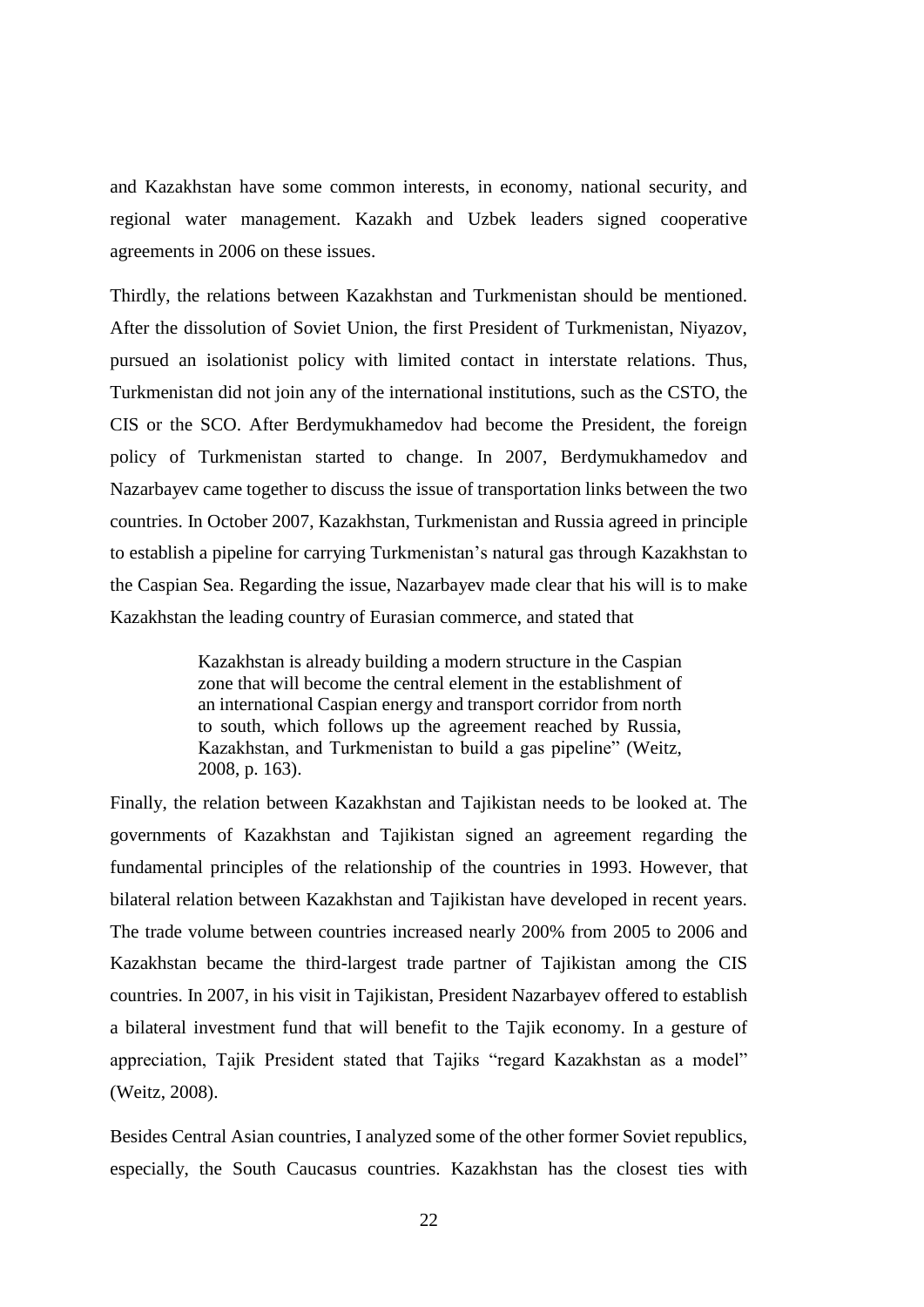and Kazakhstan have some common interests, in economy, national security, and regional water management. Kazakh and Uzbek leaders signed cooperative agreements in 2006 on these issues.

Thirdly, the relations between Kazakhstan and Turkmenistan should be mentioned. After the dissolution of Soviet Union, the first President of Turkmenistan, Niyazov, pursued an isolationist policy with limited contact in interstate relations. Thus, Turkmenistan did not join any of the international institutions, such as the CSTO, the CIS or the SCO. After Berdymukhamedov had become the President, the foreign policy of Turkmenistan started to change. In 2007, Berdymukhamedov and Nazarbayev came together to discuss the issue of transportation links between the two countries. In October 2007, Kazakhstan, Turkmenistan and Russia agreed in principle to establish a pipeline for carrying Turkmenistan's natural gas through Kazakhstan to the Caspian Sea. Regarding the issue, Nazarbayev made clear that his will is to make Kazakhstan the leading country of Eurasian commerce, and stated that

> Kazakhstan is already building a modern structure in the Caspian zone that will become the central element in the establishment of an international Caspian energy and transport corridor from north to south, which follows up the agreement reached by Russia, Kazakhstan, and Turkmenistan to build a gas pipeline" (Weitz, 2008, p. 163).

Finally, the relation between Kazakhstan and Tajikistan needs to be looked at. The governments of Kazakhstan and Tajikistan signed an agreement regarding the fundamental principles of the relationship of the countries in 1993. However, that bilateral relation between Kazakhstan and Tajikistan have developed in recent years. The trade volume between countries increased nearly 200% from 2005 to 2006 and Kazakhstan became the third-largest trade partner of Tajikistan among the CIS countries. In 2007, in his visit in Tajikistan, President Nazarbayev offered to establish a bilateral investment fund that will benefit to the Tajik economy. In a gesture of appreciation, Tajik President stated that Tajiks "regard Kazakhstan as a model" (Weitz, 2008).

Besides Central Asian countries, I analyzed some of the other former Soviet republics, especially, the South Caucasus countries. Kazakhstan has the closest ties with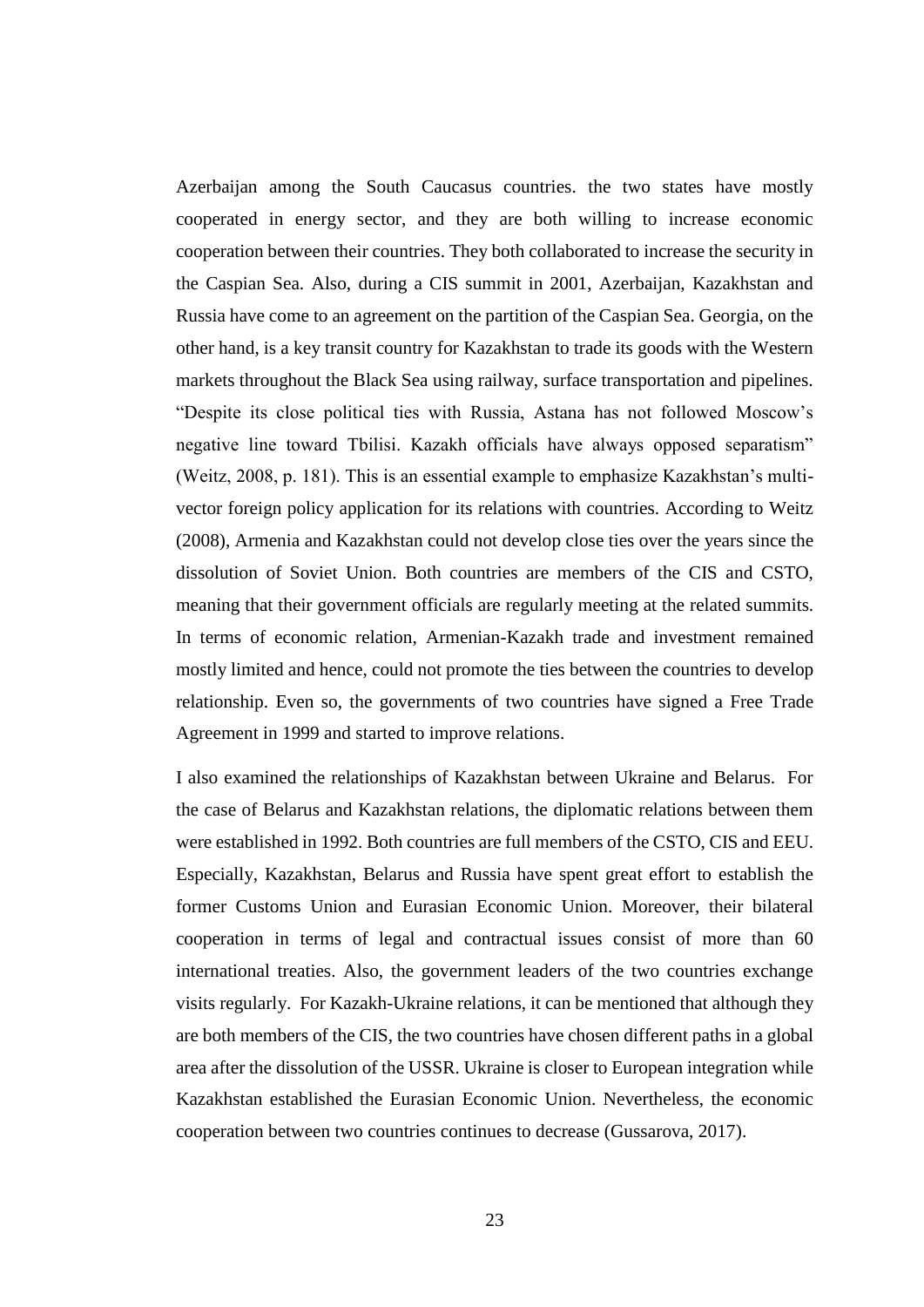Azerbaijan among the South Caucasus countries. the two states have mostly cooperated in energy sector, and they are both willing to increase economic cooperation between their countries. They both collaborated to increase the security in the Caspian Sea. Also, during a CIS summit in 2001, Azerbaijan, Kazakhstan and Russia have come to an agreement on the partition of the Caspian Sea. Georgia, on the other hand, is a key transit country for Kazakhstan to trade its goods with the Western markets throughout the Black Sea using railway, surface transportation and pipelines. "Despite its close political ties with Russia, Astana has not followed Moscow's negative line toward Tbilisi. Kazakh officials have always opposed separatism" (Weitz, 2008, p. 181). This is an essential example to emphasize Kazakhstan's multivector foreign policy application for its relations with countries. According to Weitz (2008), Armenia and Kazakhstan could not develop close ties over the years since the dissolution of Soviet Union. Both countries are members of the CIS and CSTO, meaning that their government officials are regularly meeting at the related summits. In terms of economic relation, Armenian-Kazakh trade and investment remained mostly limited and hence, could not promote the ties between the countries to develop relationship. Even so, the governments of two countries have signed a Free Trade Agreement in 1999 and started to improve relations.

I also examined the relationships of Kazakhstan between Ukraine and Belarus. For the case of Belarus and Kazakhstan relations, the diplomatic relations between them were established in 1992. Both countries are full members of the CSTO, CIS and EEU. Especially, Kazakhstan, Belarus and Russia have spent great effort to establish the former Customs Union and Eurasian Economic Union. Moreover, their bilateral cooperation in terms of legal and contractual issues consist of more than 60 international treaties. Also, the government leaders of the two countries exchange visits regularly. For Kazakh-Ukraine relations, it can be mentioned that although they are both members of the CIS, the two countries have chosen different paths in a global area after the dissolution of the USSR. Ukraine is closer to European integration while Kazakhstan established the Eurasian Economic Union. Nevertheless, the economic cooperation between two countries continues to decrease (Gussarova, 2017).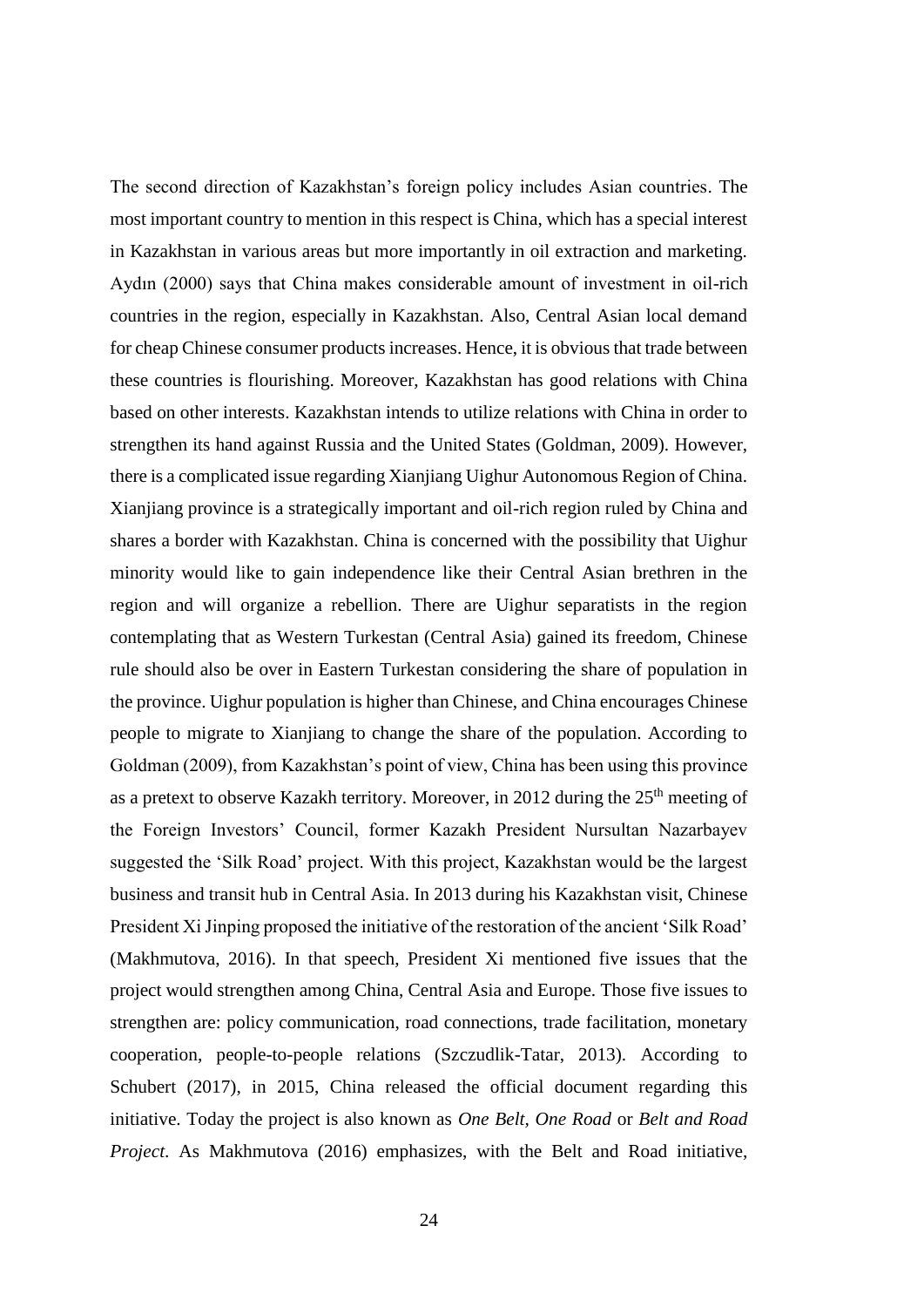The second direction of Kazakhstan's foreign policy includes Asian countries. The most important country to mention in this respect is China, which has a special interest in Kazakhstan in various areas but more importantly in oil extraction and marketing. Aydın (2000) says that China makes considerable amount of investment in oil-rich countries in the region, especially in Kazakhstan. Also, Central Asian local demand for cheap Chinese consumer products increases. Hence, it is obvious that trade between these countries is flourishing. Moreover, Kazakhstan has good relations with China based on other interests. Kazakhstan intends to utilize relations with China in order to strengthen its hand against Russia and the United States (Goldman, 2009). However, there is a complicated issue regarding Xianjiang Uighur Autonomous Region of China. Xianjiang province is a strategically important and oil-rich region ruled by China and shares a border with Kazakhstan. China is concerned with the possibility that Uighur minority would like to gain independence like their Central Asian brethren in the region and will organize a rebellion. There are Uighur separatists in the region contemplating that as Western Turkestan (Central Asia) gained its freedom, Chinese rule should also be over in Eastern Turkestan considering the share of population in the province. Uighur population is higher than Chinese, and China encourages Chinese people to migrate to Xianjiang to change the share of the population. According to Goldman (2009), from Kazakhstan's point of view, China has been using this province as a pretext to observe Kazakh territory. Moreover, in 2012 during the  $25<sup>th</sup>$  meeting of the Foreign Investors' Council, former Kazakh President Nursultan Nazarbayev suggested the 'Silk Road' project. With this project, Kazakhstan would be the largest business and transit hub in Central Asia. In 2013 during his Kazakhstan visit, Chinese President Xi Jinping proposed the initiative of the restoration of the ancient 'Silk Road' (Makhmutova, 2016). In that speech, President Xi mentioned five issues that the project would strengthen among China, Central Asia and Europe. Those five issues to strengthen are: policy communication, road connections, trade facilitation, monetary cooperation, people-to-people relations (Szczudlik-Tatar, 2013). According to Schubert (2017), in 2015, China released the official document regarding this initiative. Today the project is also known as *One Belt, One Road* or *Belt and Road Project*. As Makhmutova (2016) emphasizes, with the Belt and Road initiative,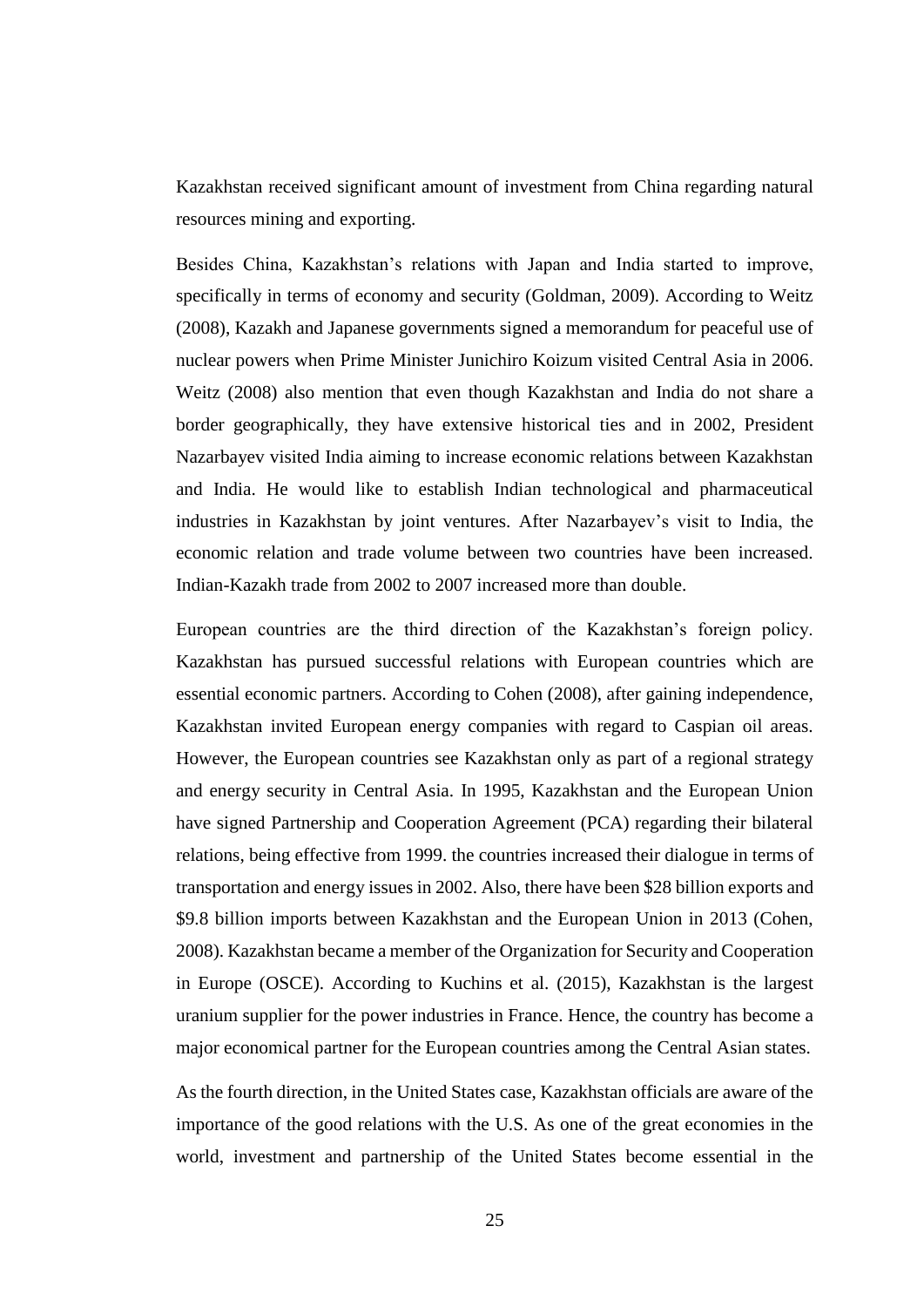Kazakhstan received significant amount of investment from China regarding natural resources mining and exporting.

Besides China, Kazakhstan's relations with Japan and India started to improve, specifically in terms of economy and security (Goldman, 2009). According to Weitz (2008), Kazakh and Japanese governments signed a memorandum for peaceful use of nuclear powers when Prime Minister Junichiro Koizum visited Central Asia in 2006. Weitz (2008) also mention that even though Kazakhstan and India do not share a border geographically, they have extensive historical ties and in 2002, President Nazarbayev visited India aiming to increase economic relations between Kazakhstan and India. He would like to establish Indian technological and pharmaceutical industries in Kazakhstan by joint ventures. After Nazarbayev's visit to India, the economic relation and trade volume between two countries have been increased. Indian-Kazakh trade from 2002 to 2007 increased more than double.

European countries are the third direction of the Kazakhstan's foreign policy. Kazakhstan has pursued successful relations with European countries which are essential economic partners. According to Cohen (2008), after gaining independence, Kazakhstan invited European energy companies with regard to Caspian oil areas. However, the European countries see Kazakhstan only as part of a regional strategy and energy security in Central Asia. In 1995, Kazakhstan and the European Union have signed Partnership and Cooperation Agreement (PCA) regarding their bilateral relations, being effective from 1999. the countries increased their dialogue in terms of transportation and energy issues in 2002. Also, there have been \$28 billion exports and \$9.8 billion imports between Kazakhstan and the European Union in 2013 (Cohen, 2008). Kazakhstan became a member of the Organization for Security and Cooperation in Europe (OSCE). According to Kuchins et al. (2015), Kazakhstan is the largest uranium supplier for the power industries in France. Hence, the country has become a major economical partner for the European countries among the Central Asian states.

As the fourth direction, in the United States case, Kazakhstan officials are aware of the importance of the good relations with the U.S. As one of the great economies in the world, investment and partnership of the United States become essential in the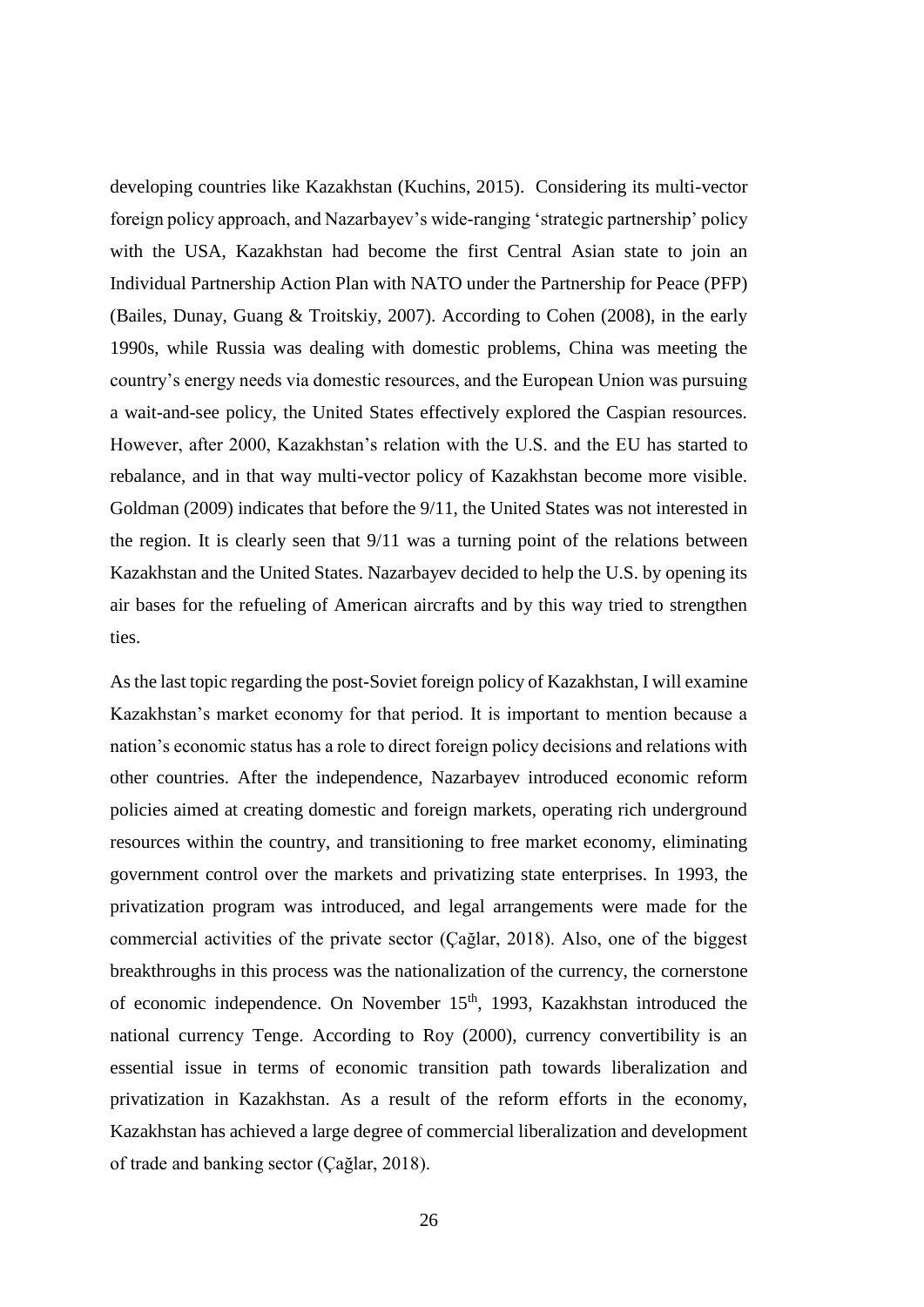developing countries like Kazakhstan (Kuchins, 2015). Considering its multi-vector foreign policy approach, and Nazarbayev's wide-ranging 'strategic partnership' policy with the USA, Kazakhstan had become the first Central Asian state to join an Individual Partnership Action Plan with NATO under the Partnership for Peace (PFP) (Bailes, Dunay, Guang & Troitskiy, 2007). According to Cohen (2008), in the early 1990s, while Russia was dealing with domestic problems, China was meeting the country's energy needs via domestic resources, and the European Union was pursuing a wait-and-see policy, the United States effectively explored the Caspian resources. However, after 2000, Kazakhstan's relation with the U.S. and the EU has started to rebalance, and in that way multi-vector policy of Kazakhstan become more visible. Goldman (2009) indicates that before the 9/11, the United States was not interested in the region. It is clearly seen that 9/11 was a turning point of the relations between Kazakhstan and the United States. Nazarbayev decided to help the U.S. by opening its air bases for the refueling of American aircrafts and by this way tried to strengthen ties.

As the last topic regarding the post-Soviet foreign policy of Kazakhstan, I will examine Kazakhstan's market economy for that period. It is important to mention because a nation's economic status has a role to direct foreign policy decisions and relations with other countries. After the independence, Nazarbayev introduced economic reform policies aimed at creating domestic and foreign markets, operating rich underground resources within the country, and transitioning to free market economy, eliminating government control over the markets and privatizing state enterprises. In 1993, the privatization program was introduced, and legal arrangements were made for the commercial activities of the private sector (Çağlar, 2018). Also, one of the biggest breakthroughs in this process was the nationalization of the currency, the cornerstone of economic independence. On November 15<sup>th</sup>, 1993, Kazakhstan introduced the national currency Tenge. According to Roy (2000), currency convertibility is an essential issue in terms of economic transition path towards liberalization and privatization in Kazakhstan. As a result of the reform efforts in the economy, Kazakhstan has achieved a large degree of commercial liberalization and development of trade and banking sector (Çağlar, 2018).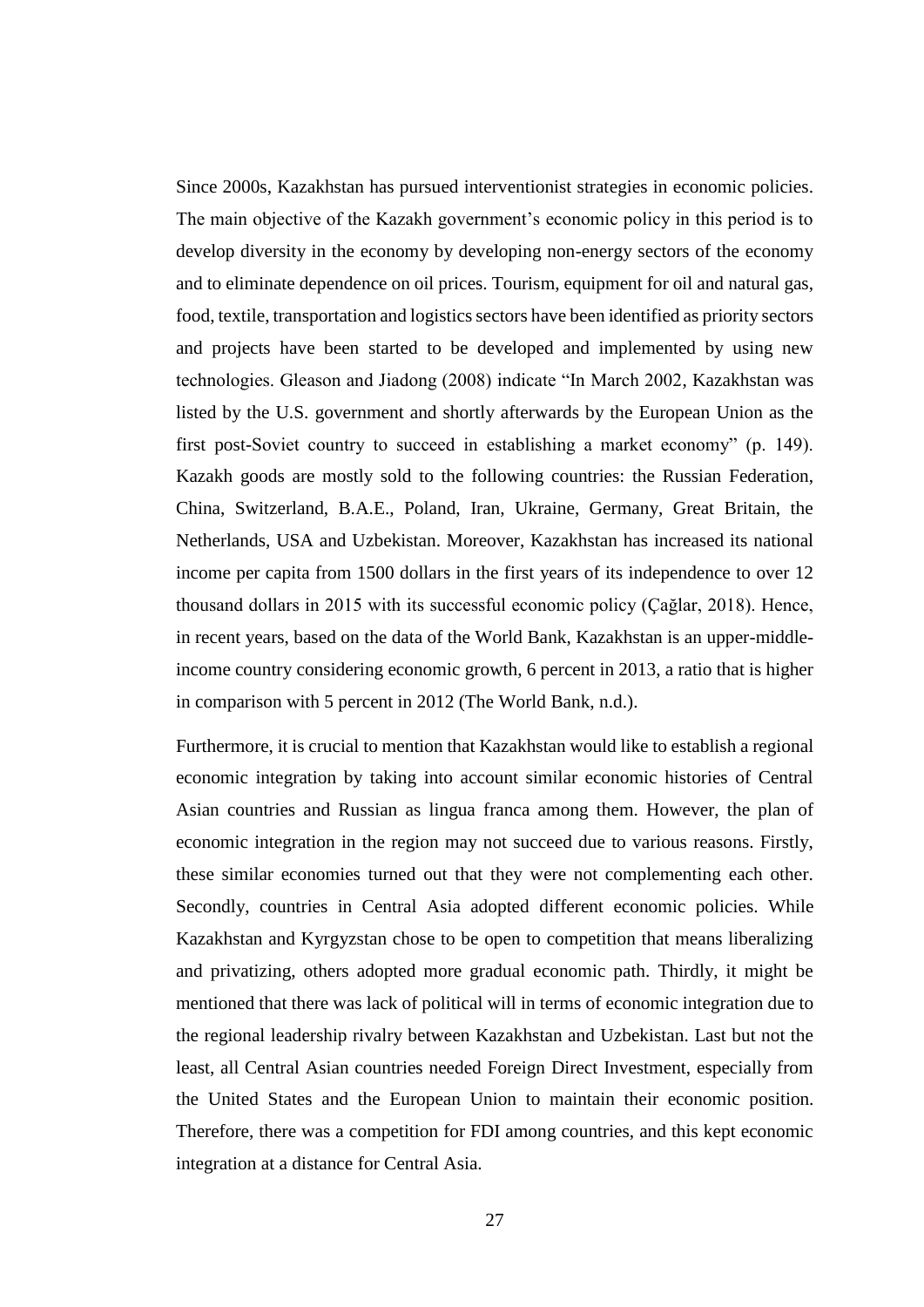Since 2000s, Kazakhstan has pursued interventionist strategies in economic policies. The main objective of the Kazakh government's economic policy in this period is to develop diversity in the economy by developing non-energy sectors of the economy and to eliminate dependence on oil prices. Tourism, equipment for oil and natural gas, food, textile, transportation and logistics sectors have been identified as priority sectors and projects have been started to be developed and implemented by using new technologies. Gleason and Jiadong (2008) indicate "In March 2002, Kazakhstan was listed by the U.S. government and shortly afterwards by the European Union as the first post-Soviet country to succeed in establishing a market economy" (p. 149). Kazakh goods are mostly sold to the following countries: the Russian Federation, China, Switzerland, B.A.E., Poland, Iran, Ukraine, Germany, Great Britain, the Netherlands, USA and Uzbekistan. Moreover, Kazakhstan has increased its national income per capita from 1500 dollars in the first years of its independence to over 12 thousand dollars in 2015 with its successful economic policy (Çağlar, 2018). Hence, in recent years, based on the data of the World Bank, Kazakhstan is an upper-middleincome country considering economic growth, 6 percent in 2013, a ratio that is higher in comparison with 5 percent in 2012 (The World Bank, n.d.).

Furthermore, it is crucial to mention that Kazakhstan would like to establish a regional economic integration by taking into account similar economic histories of Central Asian countries and Russian as lingua franca among them. However, the plan of economic integration in the region may not succeed due to various reasons. Firstly, these similar economies turned out that they were not complementing each other. Secondly, countries in Central Asia adopted different economic policies. While Kazakhstan and Kyrgyzstan chose to be open to competition that means liberalizing and privatizing, others adopted more gradual economic path. Thirdly, it might be mentioned that there was lack of political will in terms of economic integration due to the regional leadership rivalry between Kazakhstan and Uzbekistan. Last but not the least, all Central Asian countries needed Foreign Direct Investment, especially from the United States and the European Union to maintain their economic position. Therefore, there was a competition for FDI among countries, and this kept economic integration at a distance for Central Asia.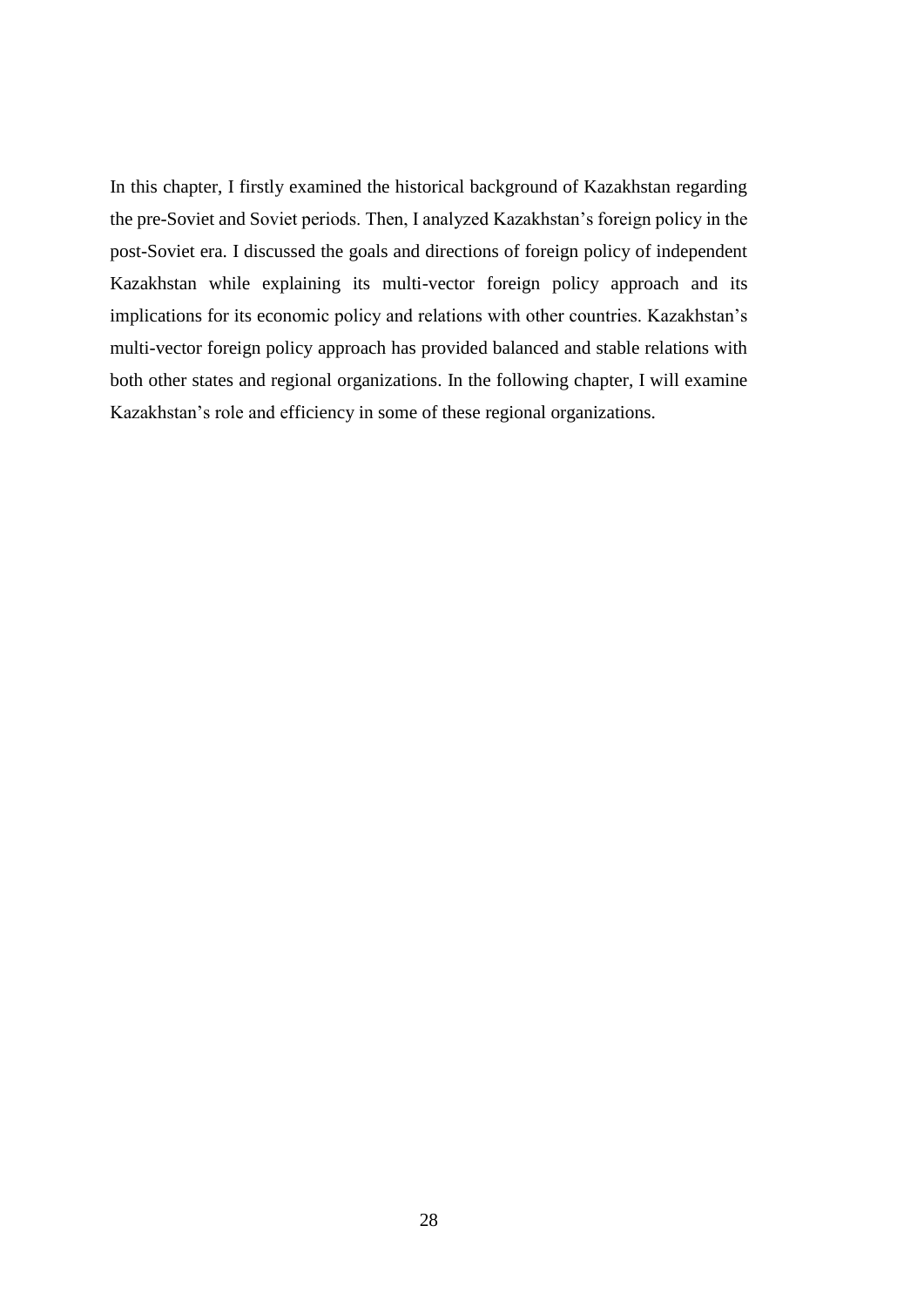In this chapter, I firstly examined the historical background of Kazakhstan regarding the pre-Soviet and Soviet periods. Then, I analyzed Kazakhstan's foreign policy in the post-Soviet era. I discussed the goals and directions of foreign policy of independent Kazakhstan while explaining its multi-vector foreign policy approach and its implications for its economic policy and relations with other countries. Kazakhstan's multi-vector foreign policy approach has provided balanced and stable relations with both other states and regional organizations. In the following chapter, I will examine Kazakhstan's role and efficiency in some of these regional organizations.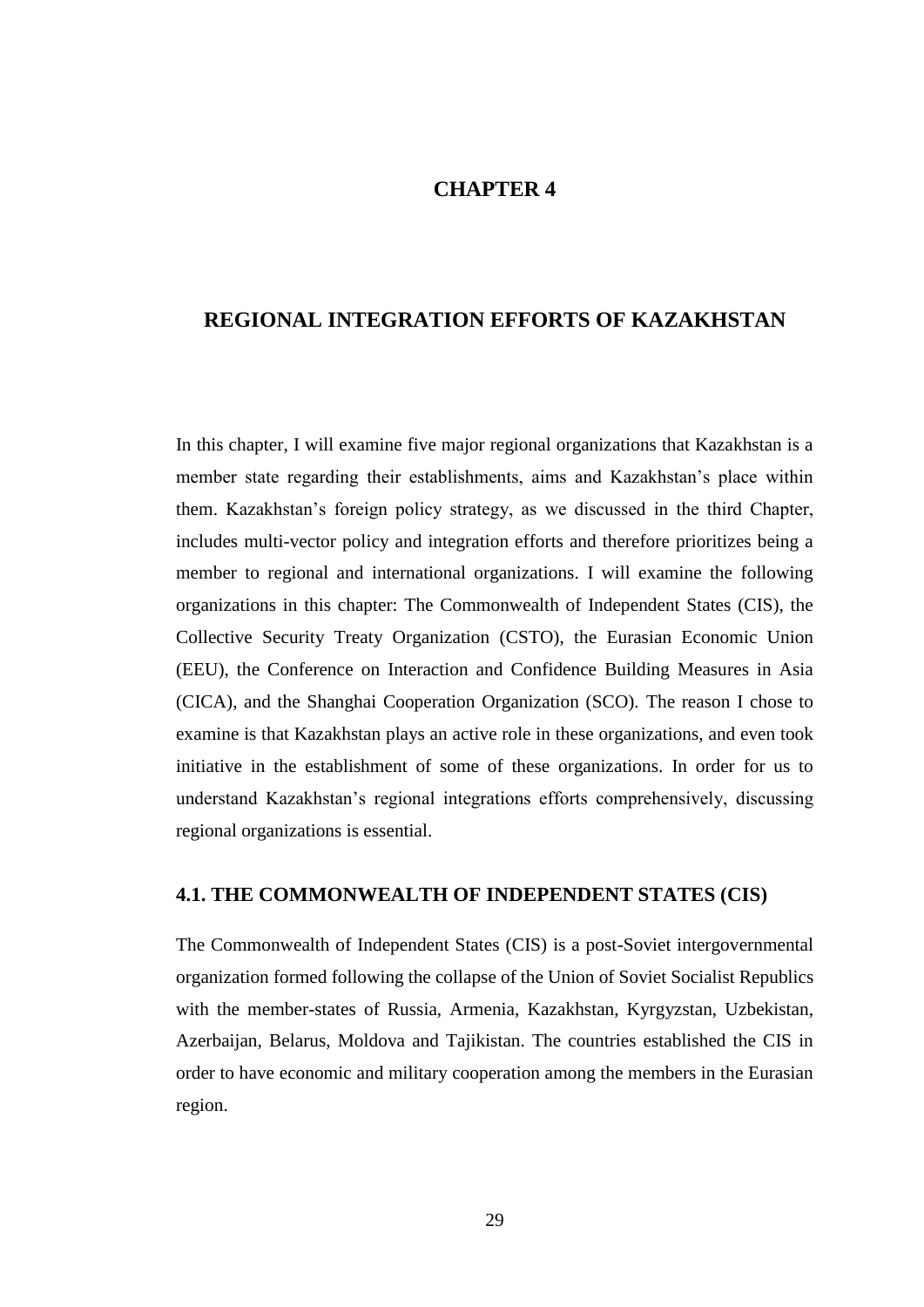## **CHAPTER 4**

## **REGIONAL INTEGRATION EFFORTS OF KAZAKHSTAN**

In this chapter, I will examine five major regional organizations that Kazakhstan is a member state regarding their establishments, aims and Kazakhstan's place within them. Kazakhstan's foreign policy strategy, as we discussed in the third Chapter, includes multi-vector policy and integration efforts and therefore prioritizes being a member to regional and international organizations. I will examine the following organizations in this chapter: The Commonwealth of Independent States (CIS), the Collective Security Treaty Organization (CSTO), the Eurasian Economic Union (EEU), the Conference on Interaction and Confidence Building Measures in Asia (CICA), and the Shanghai Cooperation Organization (SCO). The reason I chose to examine is that Kazakhstan plays an active role in these organizations, and even took initiative in the establishment of some of these organizations. In order for us to understand Kazakhstan's regional integrations efforts comprehensively, discussing regional organizations is essential.

### **4.1. THE COMMONWEALTH OF INDEPENDENT STATES (CIS)**

The Commonwealth of Independent States (CIS) is a post-Soviet intergovernmental organization formed following the collapse of the Union of Soviet Socialist Republics with the member-states of Russia, Armenia, Kazakhstan, Kyrgyzstan, Uzbekistan, Azerbaijan, Belarus, Moldova and Tajikistan. The countries established the CIS in order to have economic and military cooperation among the members in the Eurasian region.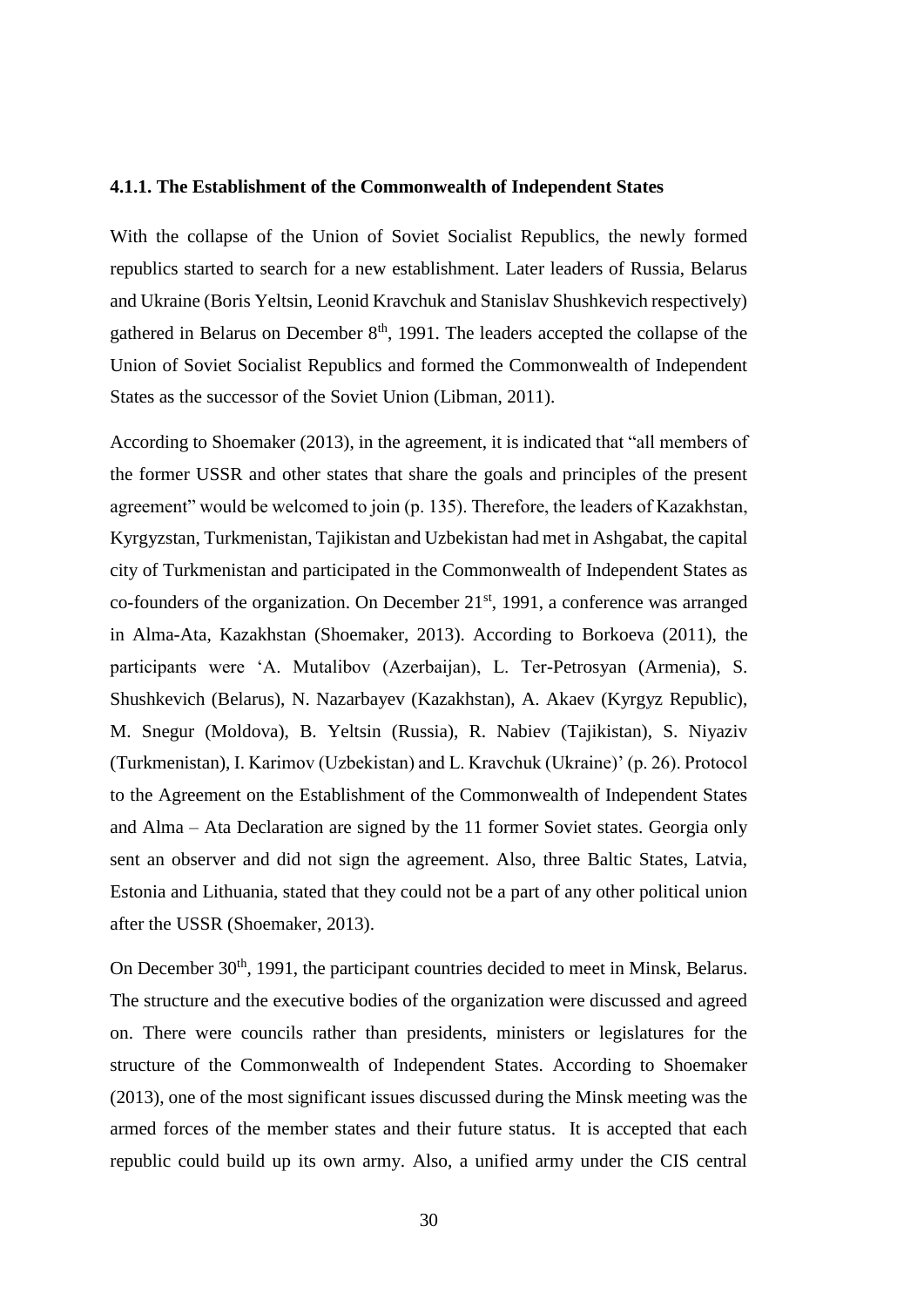#### **4.1.1. The Establishment of the Commonwealth of Independent States**

With the collapse of the Union of Soviet Socialist Republics, the newly formed republics started to search for a new establishment. Later leaders of Russia, Belarus and Ukraine (Boris Yeltsin, Leonid Kravchuk and Stanislav Shushkevich respectively) gathered in Belarus on December 8<sup>th</sup>, 1991. The leaders accepted the collapse of the Union of Soviet Socialist Republics and formed the Commonwealth of Independent States as the successor of the Soviet Union (Libman, 2011).

According to Shoemaker (2013), in the agreement, it is indicated that "all members of the former USSR and other states that share the goals and principles of the present agreement" would be welcomed to join (p. 135). Therefore, the leaders of Kazakhstan, Kyrgyzstan, Turkmenistan, Tajikistan and Uzbekistan had met in Ashgabat, the capital city of Turkmenistan and participated in the Commonwealth of Independent States as co-founders of the organization. On December  $21<sup>st</sup>$ , 1991, a conference was arranged in Alma-Ata, Kazakhstan (Shoemaker, 2013). According to Borkoeva (2011), the participants were 'A. Mutalibov (Azerbaijan), L. Ter-Petrosyan (Armenia), S. Shushkevich (Belarus), N. Nazarbayev (Kazakhstan), A. Akaev (Kyrgyz Republic), M. Snegur (Moldova), B. Yeltsin (Russia), R. Nabiev (Tajikistan), S. Niyaziv (Turkmenistan), I. Karimov (Uzbekistan) and L. Kravchuk (Ukraine)' (p. 26). Protocol to the Agreement on the Establishment of the Commonwealth of Independent States and Alma – Ata Declaration are signed by the 11 former Soviet states. Georgia only sent an observer and did not sign the agreement. Also, three Baltic States, Latvia, Estonia and Lithuania, stated that they could not be a part of any other political union after the USSR (Shoemaker, 2013).

On December 30<sup>th</sup>, 1991, the participant countries decided to meet in Minsk, Belarus. The structure and the executive bodies of the organization were discussed and agreed on. There were councils rather than presidents, ministers or legislatures for the structure of the Commonwealth of Independent States. According to Shoemaker (2013), one of the most significant issues discussed during the Minsk meeting was the armed forces of the member states and their future status. It is accepted that each republic could build up its own army. Also, a unified army under the CIS central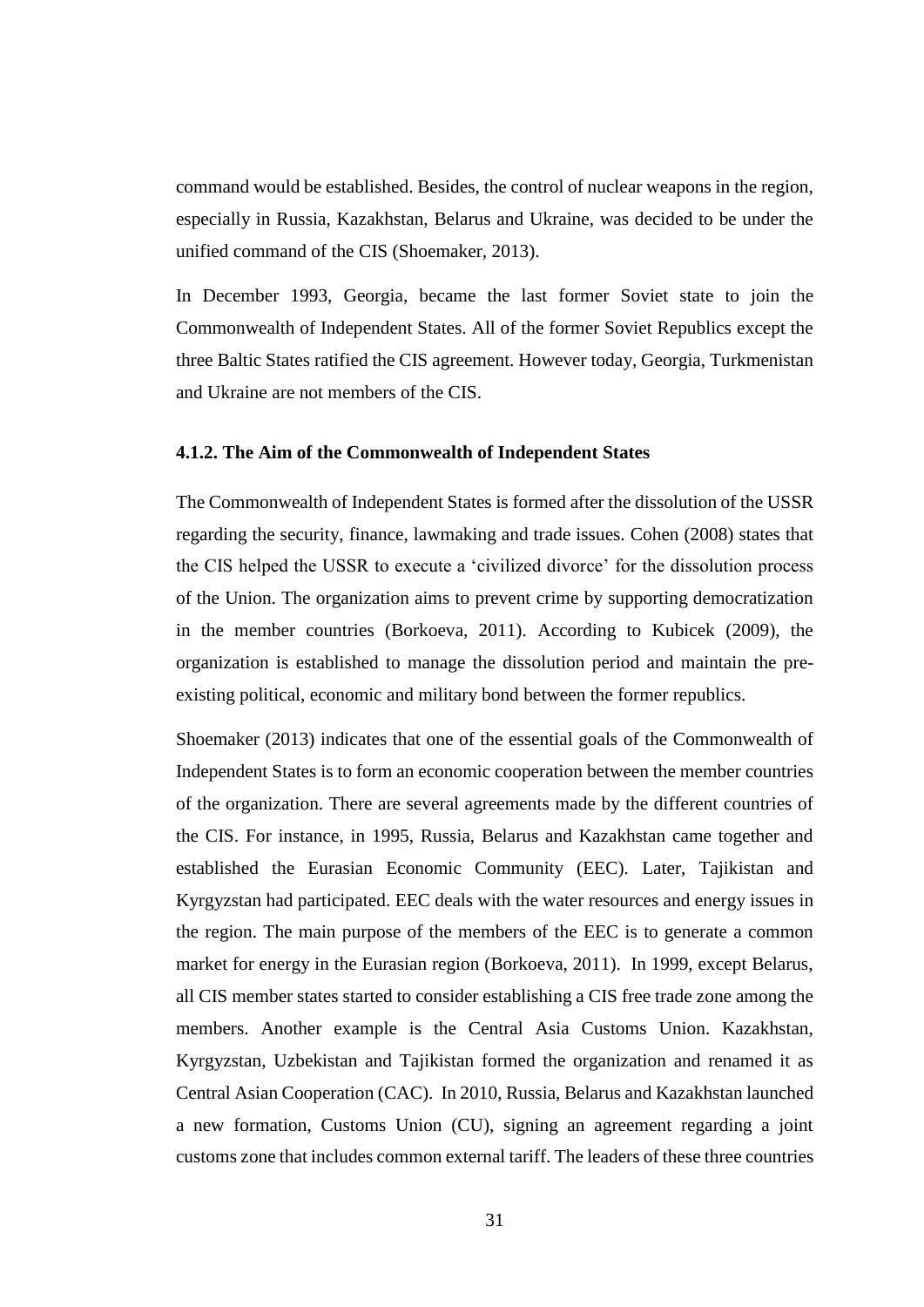command would be established. Besides, the control of nuclear weapons in the region, especially in Russia, Kazakhstan, Belarus and Ukraine, was decided to be under the unified command of the CIS (Shoemaker, 2013).

In December 1993, Georgia, became the last former Soviet state to join the Commonwealth of Independent States. All of the former Soviet Republics except the three Baltic States ratified the CIS agreement. However today, Georgia, Turkmenistan and Ukraine are not members of the CIS.

#### **4.1.2. The Aim of the Commonwealth of Independent States**

The Commonwealth of Independent States is formed after the dissolution of the USSR regarding the security, finance, lawmaking and trade issues. Cohen (2008) states that the CIS helped the USSR to execute a 'civilized divorce' for the dissolution process of the Union. The organization aims to prevent crime by supporting democratization in the member countries (Borkoeva, 2011). According to Kubicek (2009), the organization is established to manage the dissolution period and maintain the preexisting political, economic and military bond between the former republics.

Shoemaker (2013) indicates that one of the essential goals of the Commonwealth of Independent States is to form an economic cooperation between the member countries of the organization. There are several agreements made by the different countries of the CIS. For instance, in 1995, Russia, Belarus and Kazakhstan came together and established the Eurasian Economic Community (EEC). Later, Tajikistan and Kyrgyzstan had participated. EEC deals with the water resources and energy issues in the region. The main purpose of the members of the EEC is to generate a common market for energy in the Eurasian region (Borkoeva, 2011). In 1999, except Belarus, all CIS member states started to consider establishing a CIS free trade zone among the members. Another example is the Central Asia Customs Union. Kazakhstan, Kyrgyzstan, Uzbekistan and Tajikistan formed the organization and renamed it as Central Asian Cooperation (CAC). In 2010, Russia, Belarus and Kazakhstan launched a new formation, Customs Union (CU), signing an agreement regarding a joint customs zone that includes common external tariff. The leaders of these three countries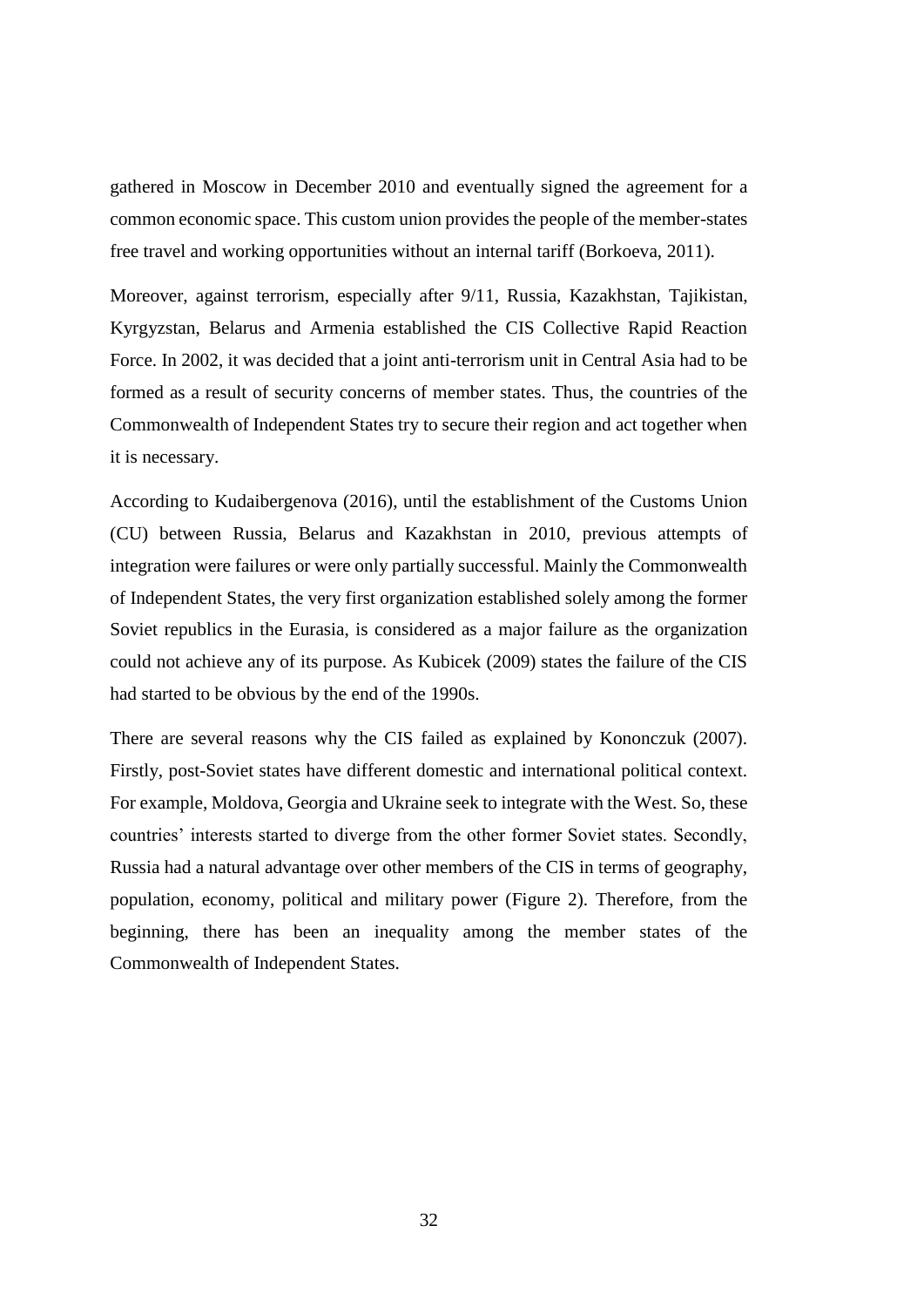gathered in Moscow in December 2010 and eventually signed the agreement for a common economic space. This custom union provides the people of the member-states free travel and working opportunities without an internal tariff (Borkoeva, 2011).

Moreover, against terrorism, especially after 9/11, Russia, Kazakhstan, Tajikistan, Kyrgyzstan, Belarus and Armenia established the CIS Collective Rapid Reaction Force. In 2002, it was decided that a joint anti-terrorism unit in Central Asia had to be formed as a result of security concerns of member states. Thus, the countries of the Commonwealth of Independent States try to secure their region and act together when it is necessary.

According to Kudaibergenova (2016), until the establishment of the Customs Union (CU) between Russia, Belarus and Kazakhstan in 2010, previous attempts of integration were failures or were only partially successful. Mainly the Commonwealth of Independent States, the very first organization established solely among the former Soviet republics in the Eurasia, is considered as a major failure as the organization could not achieve any of its purpose. As Kubicek (2009) states the failure of the CIS had started to be obvious by the end of the 1990s.

There are several reasons why the CIS failed as explained by Kononczuk (2007). Firstly, post-Soviet states have different domestic and international political context. For example, Moldova, Georgia and Ukraine seek to integrate with the West. So, these countries' interests started to diverge from the other former Soviet states. Secondly, Russia had a natural advantage over other members of the CIS in terms of geography, population, economy, political and military power (Figure 2). Therefore, from the beginning, there has been an inequality among the member states of the Commonwealth of Independent States.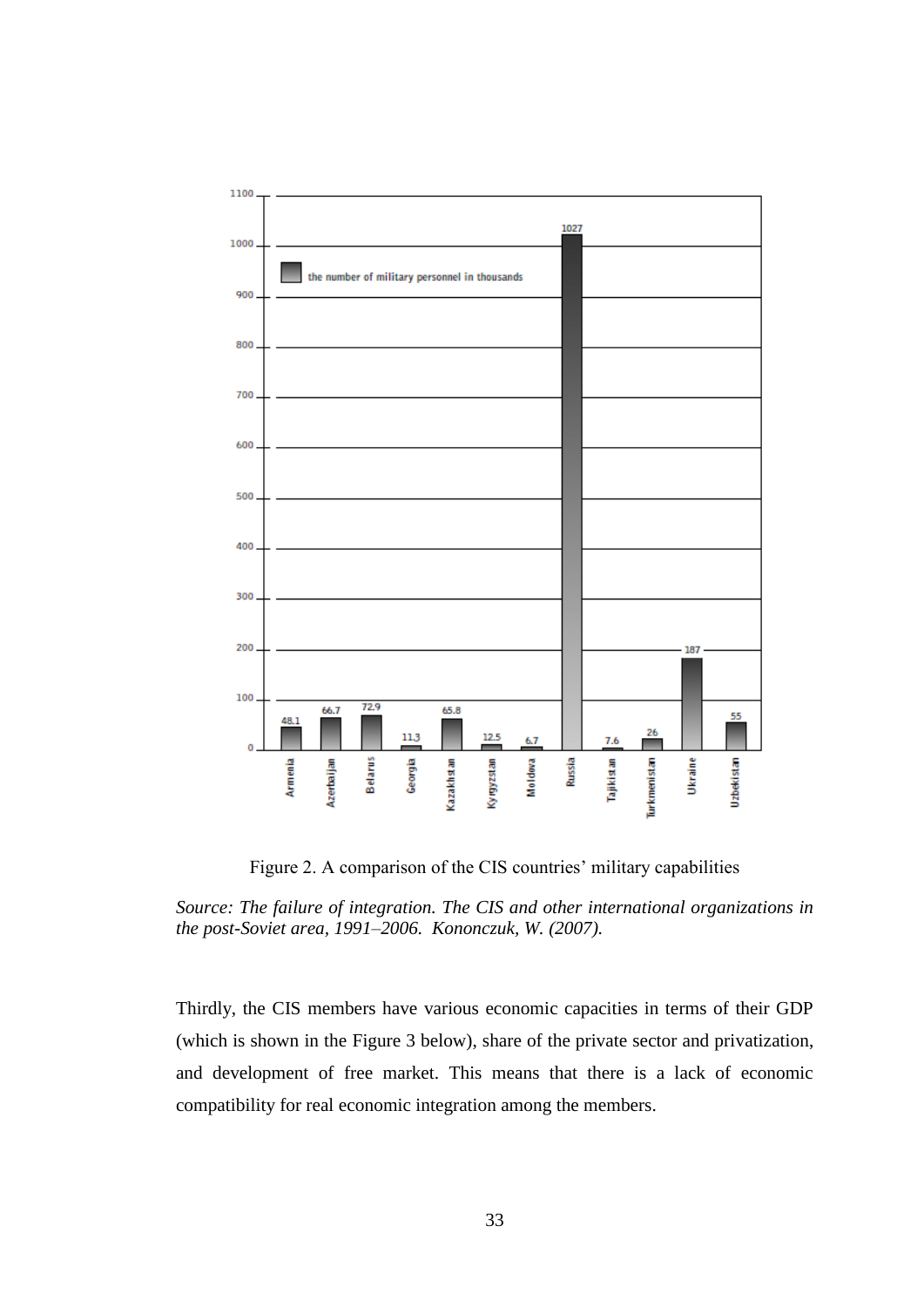

Figure 2. A comparison of the CIS countries' military capabilities

*Source: The failure of integration. The CIS and other international organizations in the post-Soviet area, 1991–2006. Kononczuk, W. (2007).*

Thirdly, the CIS members have various economic capacities in terms of their GDP (which is shown in the [Figure 3](#page-43-0) below), share of the private sector and privatization, and development of free market. This means that there is a lack of economic compatibility for real economic integration among the members.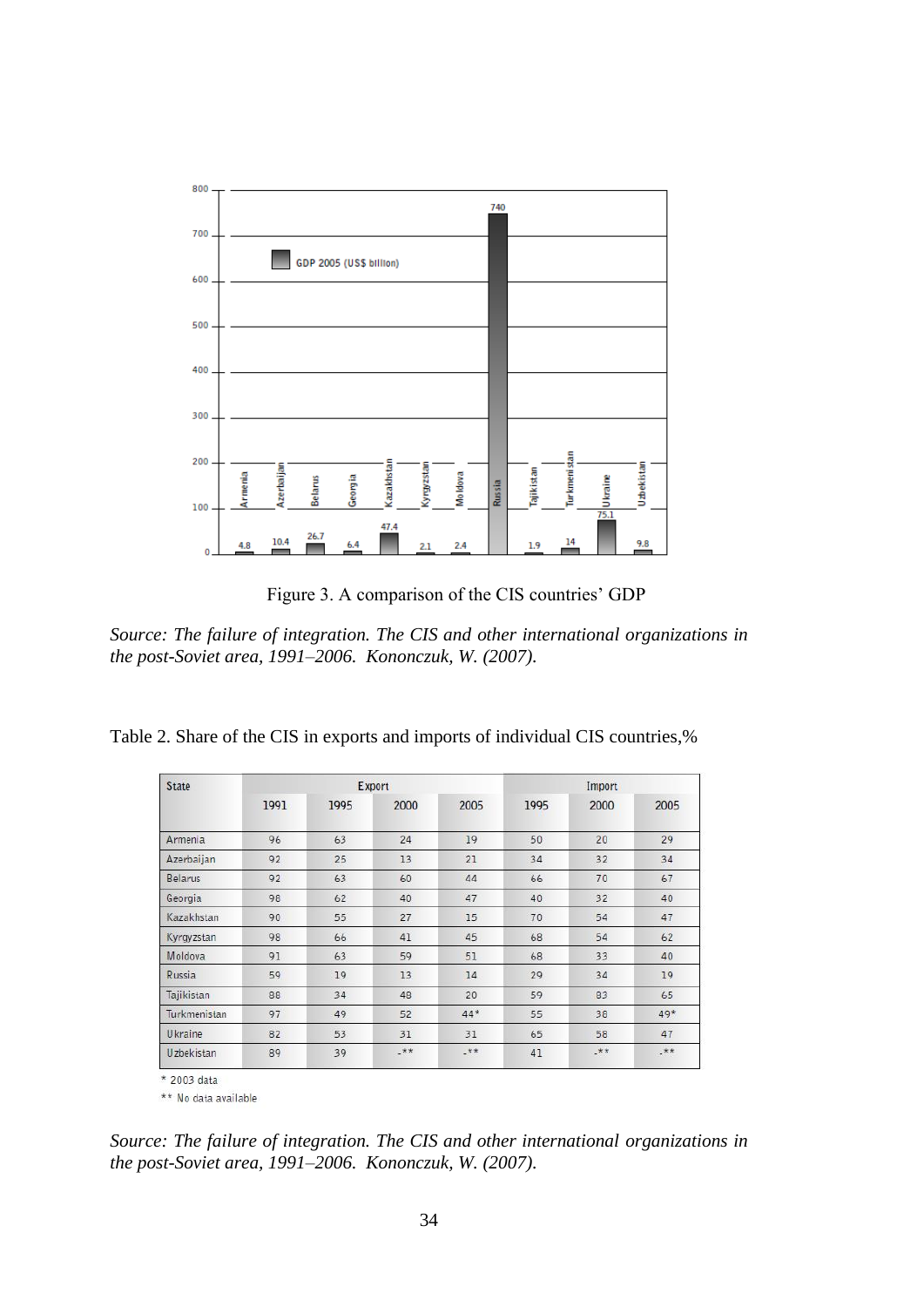

Figure 3. A comparison of the CIS countries' GDP

<span id="page-43-0"></span>*Source: The failure of integration. The CIS and other international organizations in the post-Soviet area, 1991–2006. Kononczuk, W. (2007).*

| Table 2. Share of the CIS in exports and imports of individual CIS countries,% |  |  |  |
|--------------------------------------------------------------------------------|--|--|--|
|--------------------------------------------------------------------------------|--|--|--|

| <b>State</b>   | Export |      |       | Import |      |       |       |
|----------------|--------|------|-------|--------|------|-------|-------|
|                | 1991   | 1995 | 2000  | 2005   | 1995 | 2000  | 2005  |
| <b>Armenia</b> | 96     | 63   | 24    | 19     | 50   | 20    | 29    |
| Azerbaijan     | 92     | 25   | 13    | 21     | 34   | 32    | 34    |
| <b>Belarus</b> | 92     | 63   | 60    | 44     | 66   | 70    | 67    |
| Georgia        | 98     | 62   | 40    | 47     | 40   | 32    | 40    |
| Kazakhstan     | 90     | 55   | 27    | 15     | 70   | 54    | 47    |
| Kyrgyzstan     | 98     | 66   | 41    | 45     | 68   | 54    | 62    |
| Moldova        | 91     | 63   | 59    | 51     | 68   | 33    | 40    |
| Russia         | 59     | 19   | 13    | 14     | 29   | 34    | 19    |
| Tajikistan     | 88     | 34   | 48    | 20     | 59   | 83    | 65    |
| Turkmenistan   | 97     | 49   | 52    | 44*    | 55   | 38    | 49*   |
| Ukraine        | 82     | 53   | 31    | 31     | 65   | 58    | 47    |
| Uzbekistan     | 89     | 39   | $.**$ | $***$  | 41   | $***$ | $.**$ |

\*\* No data available

*Source: The failure of integration. The CIS and other international organizations in the post-Soviet area, 1991–2006. Kononczuk, W. (2007).*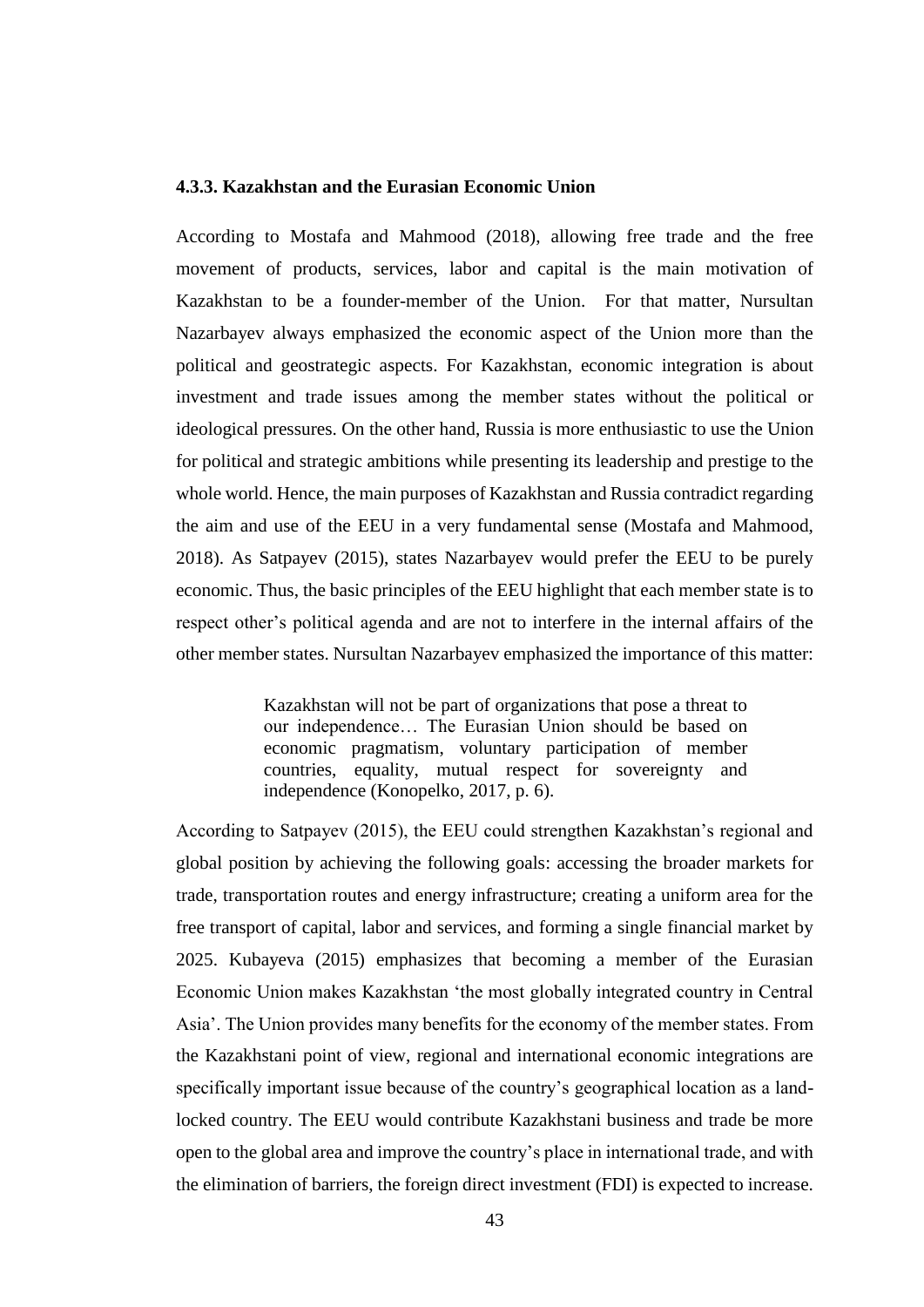Figure 2. A comparison of the CIS countries' military capabilities

### Source: The failure of integration. The CIS and other international organizations in the postSoviet area, 1991£6. Kononczuk, W. (20

Thirdly, the CIS members have various economic capacities in terms of their GDP (which is shown in the Figure 3 below), share of the private sector and privatization, and development of free market. This means that there is a lack of economic compatibility for real economic integration among the members.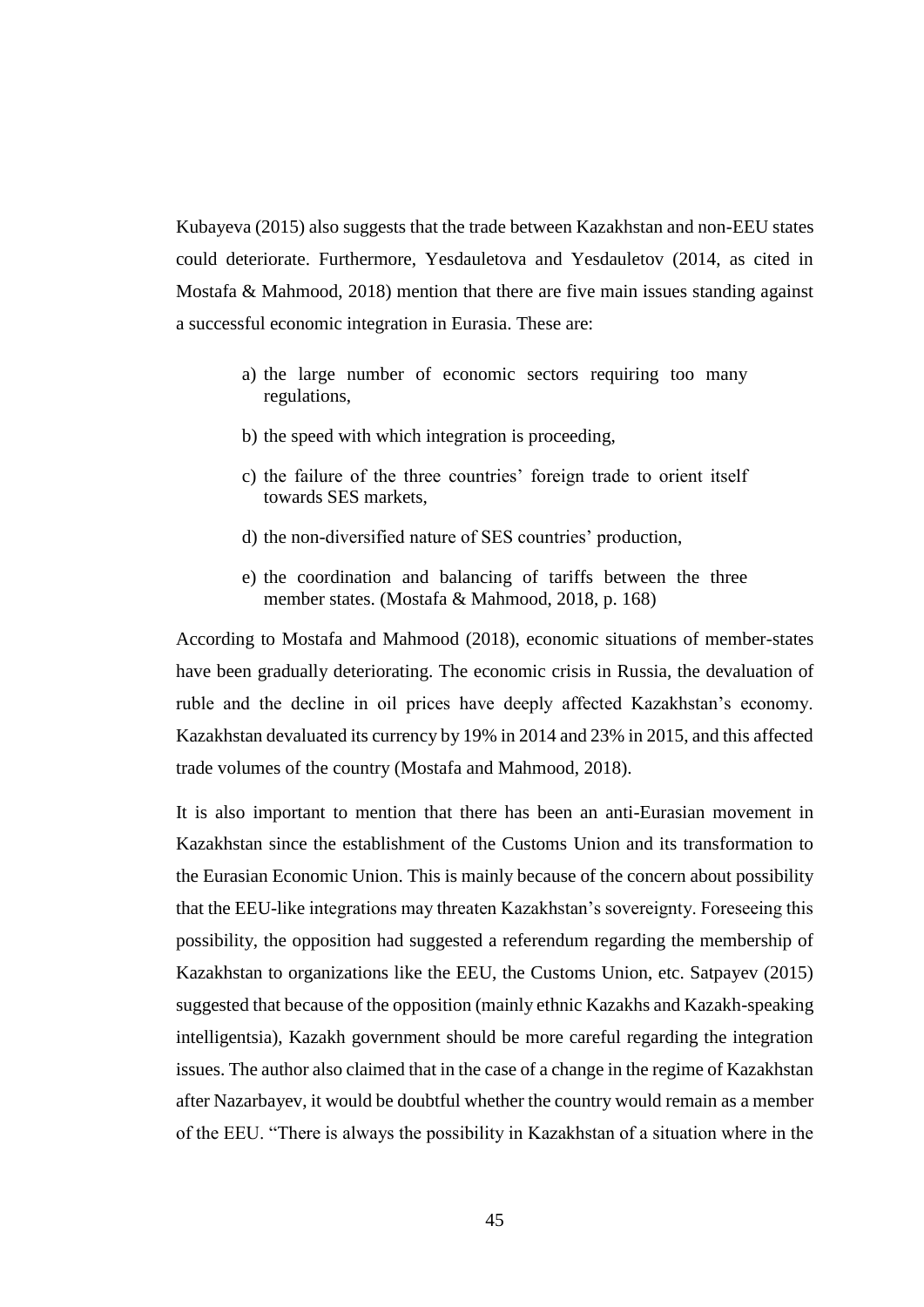Kubayeva (2015) also suggests that the trade between Kazakhstan and non-EEU states could deteriorate. Furthermore, Yesdauletova and Yesdauletov (2014, as cited in Mostafa & Mahmood, 2018) mention that there are five main issues standing against a successful economic integration in Eurasia. These are:

- a) the large number of economic sectors requiring too many regulations,
- b) the speed with which integration is proceeding,
- c) the failure of the three countries' foreign trade to orient itself towards SES markets,
- d) the non-diversified nature of SES countries' production,
- e) the coordination and balancing of tariffs between the three member states. (Mostafa & Mahmood, 2018, p. 168)

According to Mostafa and Mahmood (2018), economic situations of member-states have been gradually deteriorating. The economic crisis in Russia, the devaluation of ruble and the decline in oil prices have deeply affected Kazakhstan's economy. Kazakhstan devaluated its currency by 19% in 2014 and 23% in 2015, and this affected trade volumes of the country (Mostafa and Mahmood, 2018).

It is also important to mention that there has been an anti-Eurasian movement in Kazakhstan since the establishment of the Customs Union and its transformation to the Eurasian Economic Union. This is mainly because of the concern about possibility that the EEU-like integrations may threaten Kazakhstan's sovereignty. Foreseeing this possibility, the opposition had suggested a referendum regarding the membership of Kazakhstan to organizations like the EEU, the Customs Union, etc. Satpayev (2015) suggested that because of the opposition (mainly ethnic Kazakhs and Kazakh-speaking intelligentsia), Kazakh government should be more careful regarding the integration issues. The author also claimed that in the case of a change in the regime of Kazakhstan after Nazarbayev, it would be doubtful whether the country would remain as a member of the EEU. "There is always the possibility in Kazakhstan of a situation where in the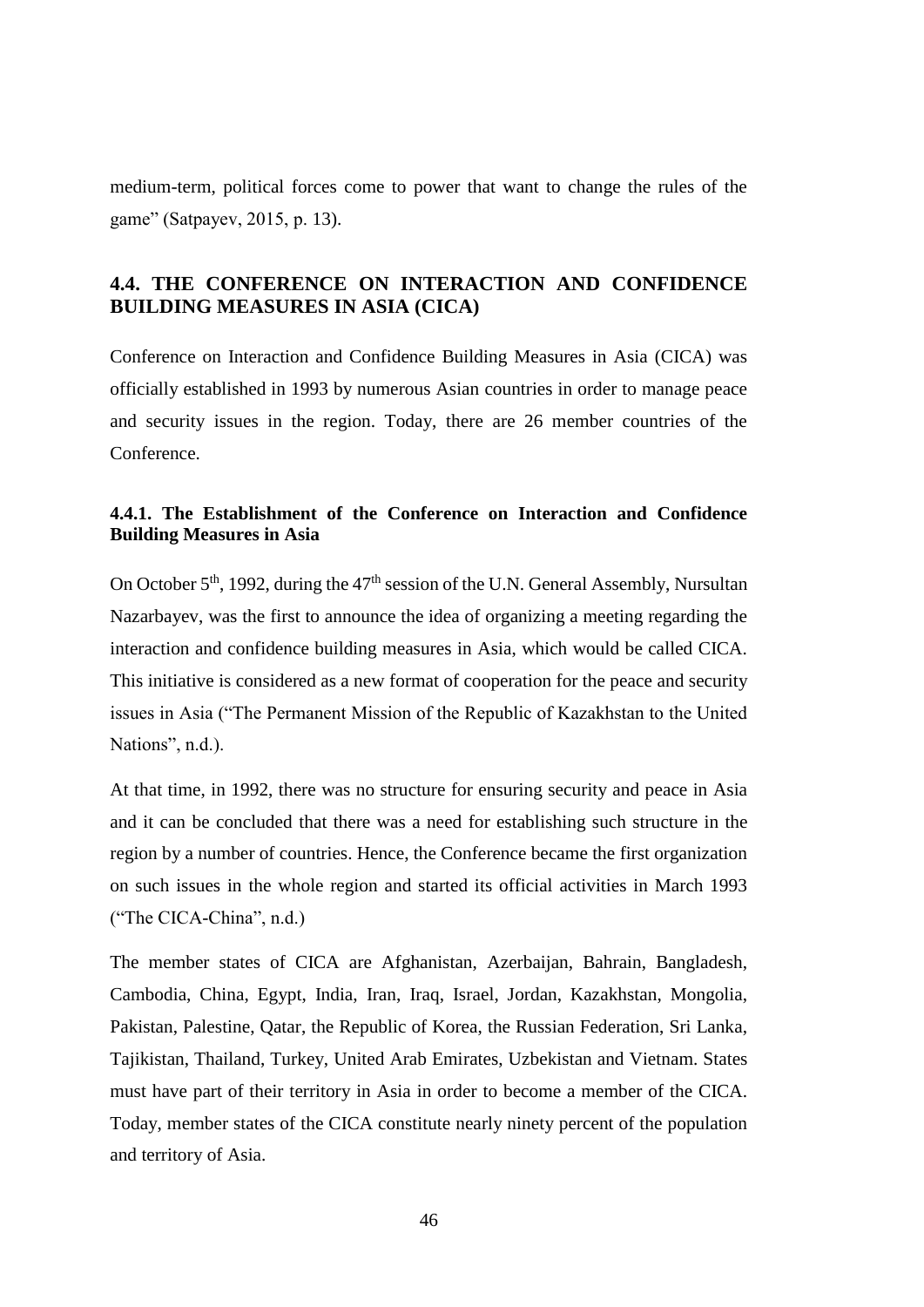medium-term, political forces come to power that want to change the rules of the game" (Satpayev, 2015, p. 13).

# **4.4. THE CONFERENCE ON INTERACTION AND CONFIDENCE BUILDING MEASURES IN ASIA (CICA)**

Conference on Interaction and Confidence Building Measures in Asia (CICA) was officially established in 1993 by numerous Asian countries in order to manage peace and security issues in the region. Today, there are 26 member countries of the **Conference** 

## **4.4.1. The Establishment of the Conference on Interaction and Confidence Building Measures in Asia**

On October  $5<sup>th</sup>$ , 1992, during the  $47<sup>th</sup>$  session of the U.N. General Assembly, Nursultan Nazarbayev, was the first to announce the idea of organizing a meeting regarding the interaction and confidence building measures in Asia, which would be called CICA. This initiative is considered as a new format of cooperation for the peace and security issues in Asia ("The Permanent Mission of the Republic of Kazakhstan to the United Nations", n.d.).

At that time, in 1992, there was no structure for ensuring security and peace in Asia and it can be concluded that there was a need for establishing such structure in the region by a number of countries. Hence, the Conference became the first organization on such issues in the whole region and started its official activities in March 1993 ("The CICA-China", n.d.)

The member states of CICA are Afghanistan, Azerbaijan, Bahrain, Bangladesh, Cambodia, China, Egypt, India, Iran, Iraq, Israel, Jordan, Kazakhstan, Mongolia, Pakistan, Palestine, Qatar, the Republic of Korea, the Russian Federation, Sri Lanka, Tajikistan, Thailand, Turkey, United Arab Emirates, Uzbekistan and Vietnam. States must have part of their territory in Asia in order to become a member of the CICA. Today, member states of the CICA constitute nearly ninety percent of the population and territory of Asia.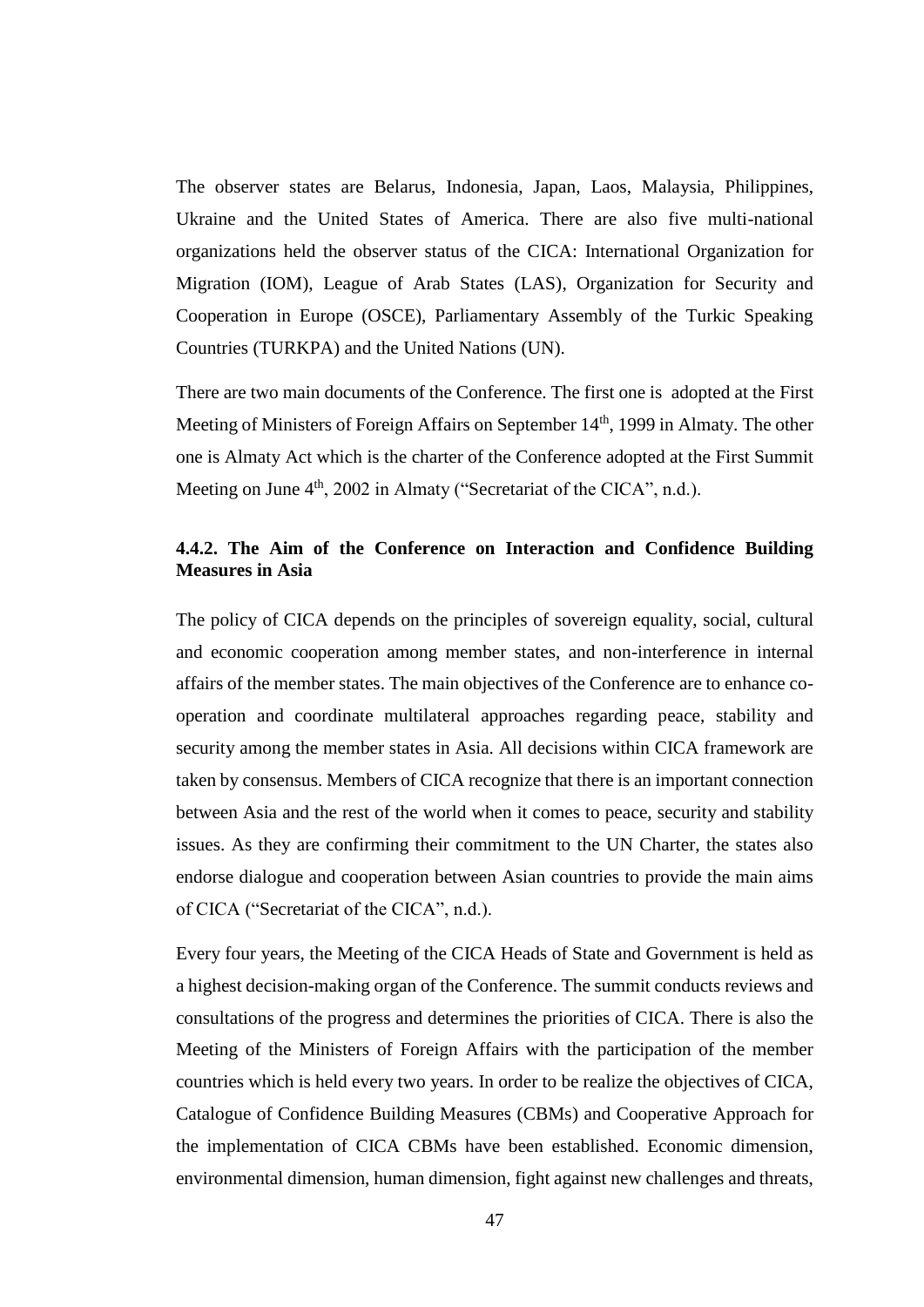The observer states are Belarus, Indonesia, Japan, Laos, Malaysia, Philippines, Ukraine and the United States of America. There are also five multi-national organizations held the observer status of the CICA: International Organization for Migration (IOM), League of Arab States (LAS), Organization for Security and Cooperation in Europe (OSCE), Parliamentary Assembly of the Turkic Speaking Countries (TURKPA) and the United Nations (UN).

There are two main documents of the Conference. The first one is adopted at the First Meeting of Ministers of Foreign Affairs on September 14<sup>th</sup>, 1999 in Almaty. The other one is Almaty Act which is the charter of the Conference adopted at the First Summit Meeting on June  $4<sup>th</sup>$ , 2002 in Almaty (["Secretariat](http://www.s-cica.org/page.php?page_id=7&lang=1) of the CICA", n.d.).

### **4.4.2. The Aim of the Conference on Interaction and Confidence Building Measures in Asia**

The policy of CICA depends on the principles of sovereign equality, social, cultural and economic cooperation among member states, and non-interference in internal affairs of the member states. The main objectives of the Conference are to enhance cooperation and coordinate multilateral approaches regarding peace, stability and security among the member states in Asia. All decisions within CICA framework are taken by consensus. Members of CICA recognize that there is an important connection between Asia and the rest of the world when it comes to peace, security and stability issues. As they are confirming their commitment to the UN Charter, the states also endorse dialogue and cooperation between Asian countries to provide the main aims of CICA (["Secretariat](http://www.s-cica.org/page.php?page_id=7&lang=1) of the CICA", n.d.).

Every four years, the Meeting of the CICA Heads of State and Government is held as a highest decision-making organ of the Conference. The summit conducts reviews and consultations of the progress and determines the priorities of CICA. There is also the Meeting of the Ministers of Foreign Affairs with the participation of the member countries which is held every two years. In order to be realize the objectives of CICA, Catalogue of Confidence Building Measures (CBMs) and Cooperative Approach for the implementation of CICA CBMs have been established. Economic dimension, environmental dimension, human dimension, fight against new challenges and threats,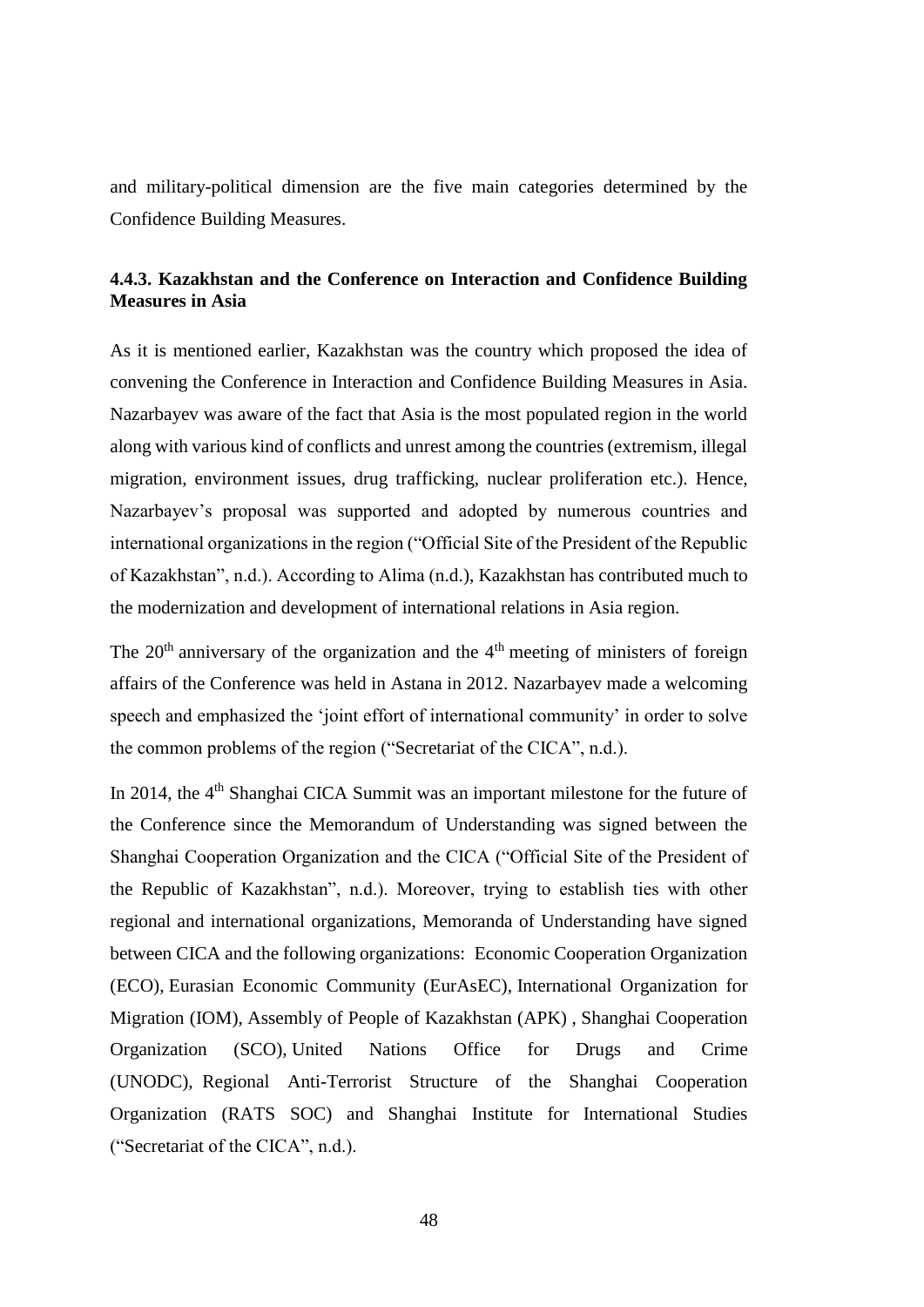and military-political dimension are the five main categories determined by the Confidence Building Measures.

# **4.4.3. Kazakhstan and the Conference on Interaction and Confidence Building Measures in Asia**

As it is mentioned earlier, Kazakhstan was the country which proposed the idea of convening the Conference in Interaction and Confidence Building Measures in Asia. Nazarbayev was aware of the fact that Asia is the most populated region in the world along with various kind of conflicts and unrest among the countries (extremism, illegal migration, environment issues, drug trafficking, nuclear proliferation etc.). Hence, Nazarbayev's proposal was supported and adopted by numerous countries and international organizations in the region ("Official Site of the President of the Republic of Kazakhstan", n.d.). According to Alima (n.d.), Kazakhstan has contributed much to the modernization and development of international relations in Asia region.

The  $20<sup>th</sup>$  anniversary of the organization and the  $4<sup>th</sup>$  meeting of ministers of foreign affairs of the Conference was held in Astana in 2012. Nazarbayev made a welcoming speech and emphasized the 'joint effort of international community' in order to solve the common problems of the region (["Secretariat](http://www.s-cica.org/page.php?page_id=7&lang=1) of the CICA", n.d.).

In 2014, the 4<sup>th</sup> Shanghai CICA Summit was an important milestone for the future of the Conference since the Memorandum of Understanding was signed between the Shanghai Cooperation Organization and the CICA ("Official Site of the President of the Republic of Kazakhstan", n.d.). Moreover, trying to establish ties with other regional and international organizations, Memoranda of Understanding have signed between CICA and the following organizations: [Economic Cooperation Organization](http://www.s-cica.org/admin/upload/files/MOU_between_CICA_and__ECO.doc)  [\(ECO\),](http://www.s-cica.org/admin/upload/files/MOU_between_CICA_and__ECO.doc) [Eurasian Economic Community \(EurAsEC\),](http://www.s-cica.org/admin/upload/files/MOU_between_CICA_and_Eurasec.doc) [International Organization for](http://www.s-cica.org/admin/upload/files/MOU_between_CICA_and_IOM.doc)  [Migration \(IOM\),](http://www.s-cica.org/admin/upload/files/MOU_between_CICA_and_IOM.doc) [Assembly of People of Kazakhstan \(APK\)](http://www.s-cica.kz/admin/upload/files/MOU_THE_ASSEMBLY_OF_PEOPLE_OF_KAZAKHSTAN_(APK).doc) , [Shanghai Cooperation](http://www.s-cica.kz/admin/upload/files/MEMORANDUM_OF_UNDERSTADING_SCO.doc)  [Organization \(SCO\)](http://www.s-cica.kz/admin/upload/files/MEMORANDUM_OF_UNDERSTADING_SCO.doc), [United Nations Office for Drugs and Crime](http://www.s-cica.kz/admin/upload/files/MOU_CICA_UNODC_eng.PDF)  [\(UNODC\),](http://www.s-cica.kz/admin/upload/files/MOU_CICA_UNODC_eng.PDF) [Regional Anti-Terrorist Structure of the Shanghai Cooperation](http://www.s-cica.kz/admin/upload/files/YEAR2017/Signed_Protocol-English.PDF)  [Organization \(RATS SOC\) and Shanghai Institute for International Studies](http://www.s-cica.kz/admin/upload/files/YEAR2017/Signed_Protocol-English.PDF) (["Secretariat](http://www.s-cica.org/page.php?page_id=7&lang=1) of the CICA", n.d.).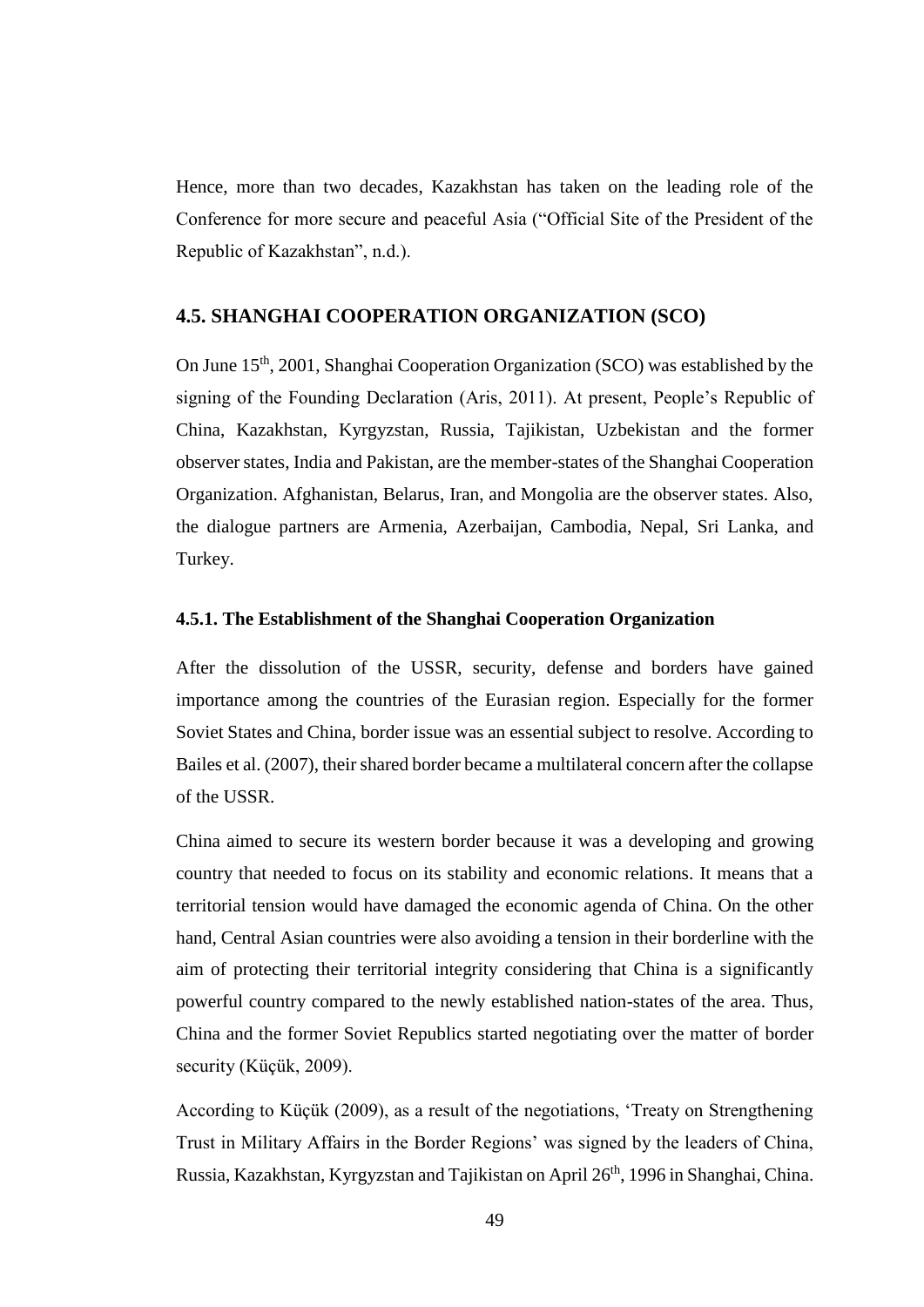Hence, more than two decades, Kazakhstan has taken on the leading role of the Conference for more secure and peaceful Asia ("Official Site of the President of the Republic of Kazakhstan", n.d.).

## **4.5. SHANGHAI COOPERATION ORGANIZATION (SCO)**

On June 15th, 2001, Shanghai Cooperation Organization (SCO) was established by the signing of the Founding Declaration (Aris, 2011). At present, People's Republic of China, Kazakhstan, Kyrgyzstan, Russia, Tajikistan, Uzbekistan and the former observer states, India and Pakistan, are the member-states of the Shanghai Cooperation Organization. Afghanistan, Belarus, Iran, and Mongolia are the observer states. Also, the dialogue partners are Armenia, Azerbaijan, Cambodia, Nepal, Sri Lanka, and Turkey.

#### **4.5.1. The Establishment of the Shanghai Cooperation Organization**

After the dissolution of the USSR, security, defense and borders have gained importance among the countries of the Eurasian region. Especially for the former Soviet States and China, border issue was an essential subject to resolve. According to Bailes et al. (2007), their shared border became a multilateral concern after the collapse of the USSR.

China aimed to secure its western border because it was a developing and growing country that needed to focus on its stability and economic relations. It means that a territorial tension would have damaged the economic agenda of China. On the other hand, Central Asian countries were also avoiding a tension in their borderline with the aim of protecting their territorial integrity considering that China is a significantly powerful country compared to the newly established nation-states of the area. Thus, China and the former Soviet Republics started negotiating over the matter of border security (Küçük, 2009).

According to Küçük (2009), as a result of the negotiations, 'Treaty on Strengthening Trust in Military Affairs in the Border Regions' was signed by the leaders of China, Russia, Kazakhstan, Kyrgyzstan and Tajikistan on April 26<sup>th</sup>, 1996 in Shanghai, China.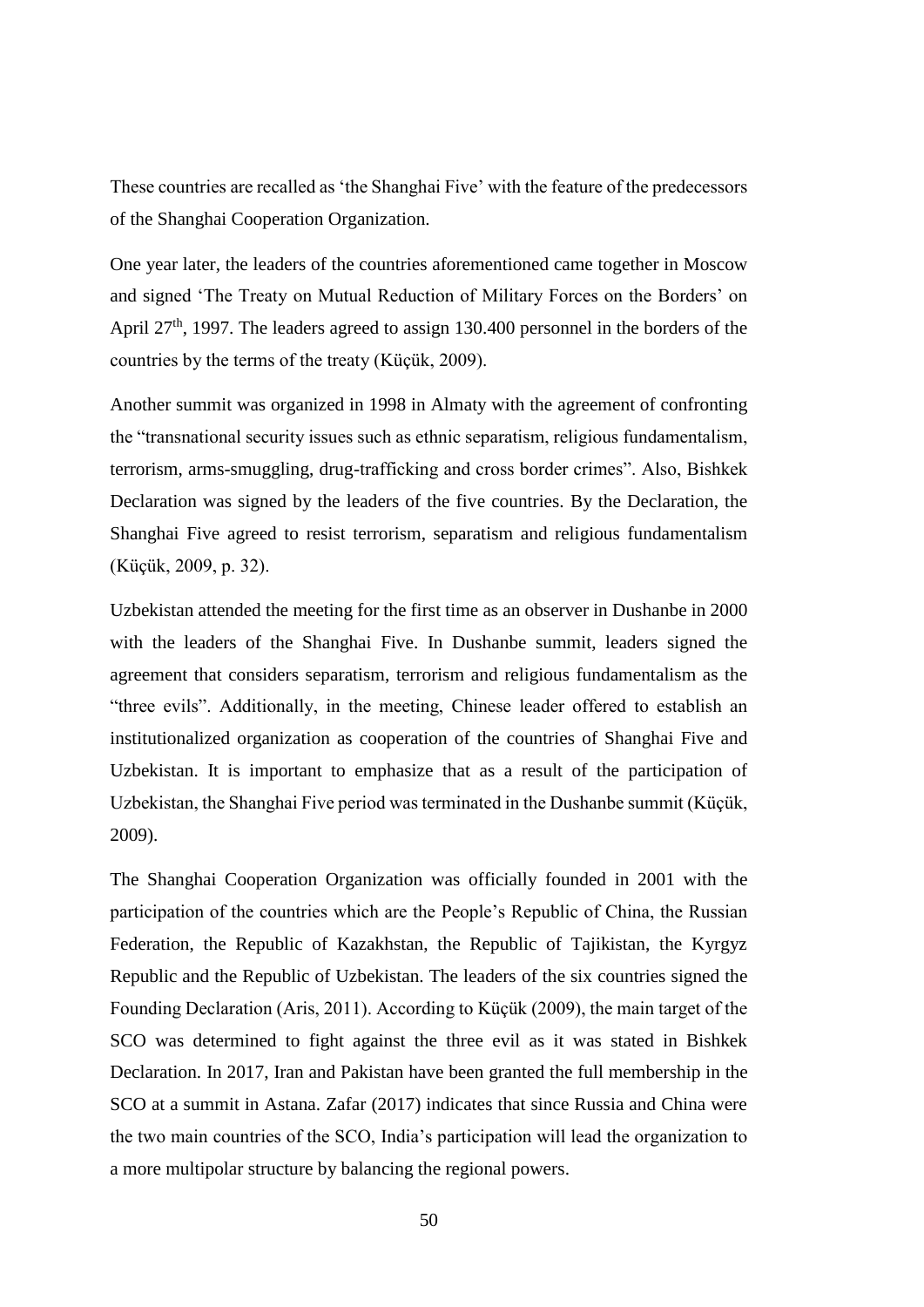These countries are recalled as 'the Shanghai Five' with the feature of the predecessors of the Shanghai Cooperation Organization.

One year later, the leaders of the countries aforementioned came together in Moscow and signed 'The Treaty on Mutual Reduction of Military Forces on the Borders' on April 27<sup>th</sup>, 1997. The leaders agreed to assign 130.400 personnel in the borders of the countries by the terms of the treaty (Küçük, 2009).

Another summit was organized in 1998 in Almaty with the agreement of confronting the "transnational security issues such as ethnic separatism, religious fundamentalism, terrorism, arms-smuggling, drug-trafficking and cross border crimes". Also, Bishkek Declaration was signed by the leaders of the five countries. By the Declaration, the Shanghai Five agreed to resist terrorism, separatism and religious fundamentalism (Küçük, 2009, p. 32).

Uzbekistan attended the meeting for the first time as an observer in Dushanbe in 2000 with the leaders of the Shanghai Five. In Dushanbe summit, leaders signed the agreement that considers separatism, terrorism and religious fundamentalism as the "three evils". Additionally, in the meeting, Chinese leader offered to establish an institutionalized organization as cooperation of the countries of Shanghai Five and Uzbekistan. It is important to emphasize that as a result of the participation of Uzbekistan, the Shanghai Five period was terminated in the Dushanbe summit (Küçük, 2009).

The Shanghai Cooperation Organization was officially founded in 2001 with the participation of the countries which are the People's Republic of China, the Russian Federation, the Republic of Kazakhstan, the Republic of Tajikistan, the Kyrgyz Republic and the Republic of Uzbekistan. The leaders of the six countries signed the Founding Declaration (Aris, 2011). According to Küçük (2009), the main target of the SCO was determined to fight against the three evil as it was stated in Bishkek Declaration. In 2017, Iran and Pakistan have been granted the full membership in the SCO at a summit in Astana. Zafar (2017) indicates that since Russia and China were the two main countries of the SCO, India's participation will lead the organization to a more multipolar structure by balancing the regional powers.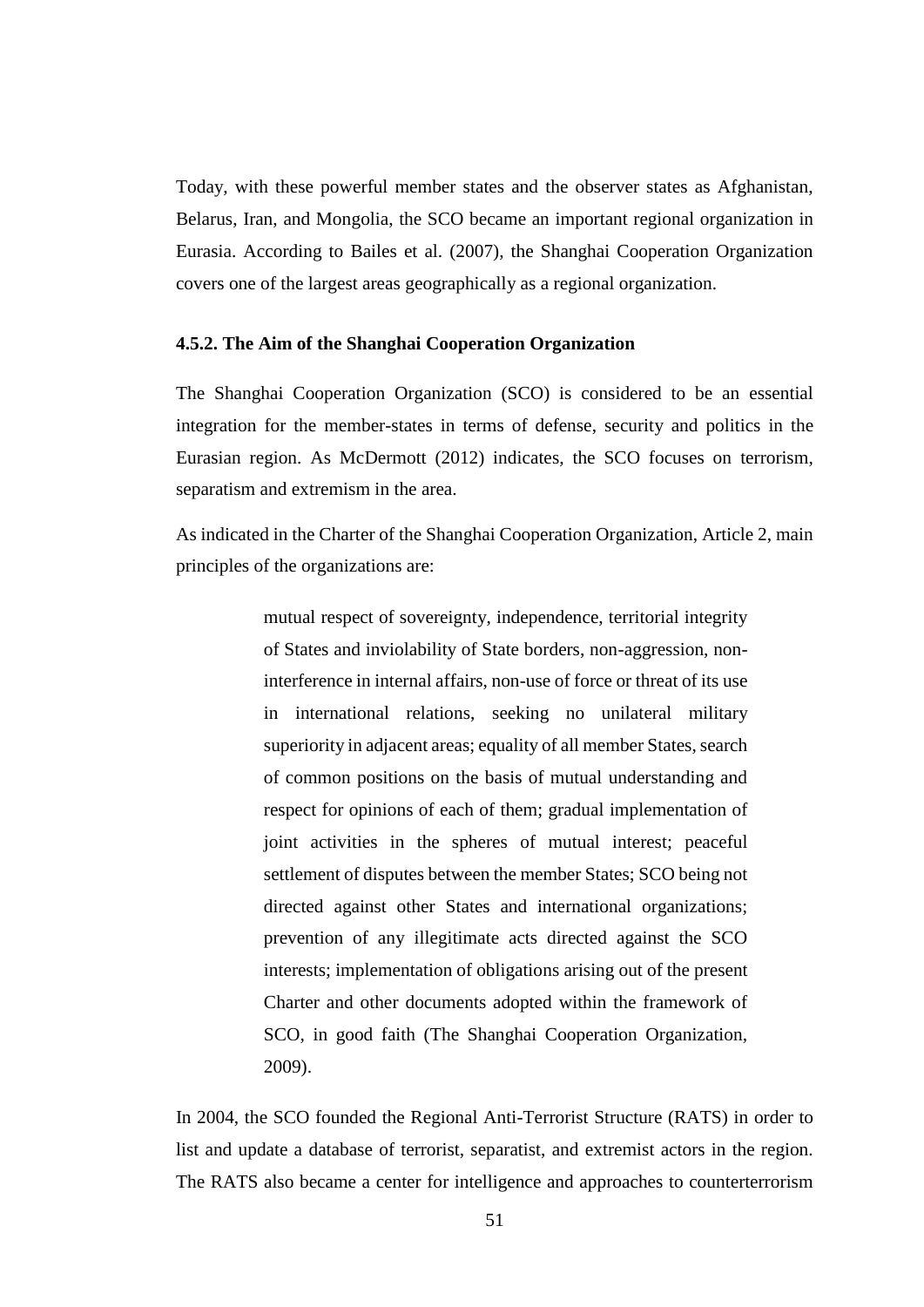Today, with these powerful member states and the observer states as Afghanistan, Belarus, Iran, and Mongolia, the SCO became an important regional organization in Eurasia. According to Bailes et al. (2007), the Shanghai Cooperation Organization covers one of the largest areas geographically as a regional organization.

#### **4.5.2. The Aim of the Shanghai Cooperation Organization**

The Shanghai Cooperation Organization (SCO) is considered to be an essential integration for the member-states in terms of defense, security and politics in the Eurasian region. As McDermott (2012) indicates, the SCO focuses on terrorism, separatism and extremism in the area.

As indicated in the Charter of the Shanghai Cooperation Organization, Article 2, main principles of the organizations are:

> mutual respect of sovereignty, independence, territorial integrity of States and inviolability of State borders, non-aggression, noninterference in internal affairs, non-use of force or threat of its use in international relations, seeking no unilateral military superiority in adjacent areas; equality of all member States, search of common positions on the basis of mutual understanding and respect for opinions of each of them; gradual implementation of joint activities in the spheres of mutual interest; peaceful settlement of disputes between the member States; SCO being not directed against other States and international organizations; prevention of any illegitimate acts directed against the SCO interests; implementation of obligations arising out of the present Charter and other documents adopted within the framework of SCO, in good faith (The Shanghai Cooperation Organization, 2009).

In 2004, the SCO founded the Regional Anti-Terrorist Structure (RATS) in order to list and update a database of terrorist, separatist, and extremist actors in the region. The RATS also became a center for intelligence and approaches to counterterrorism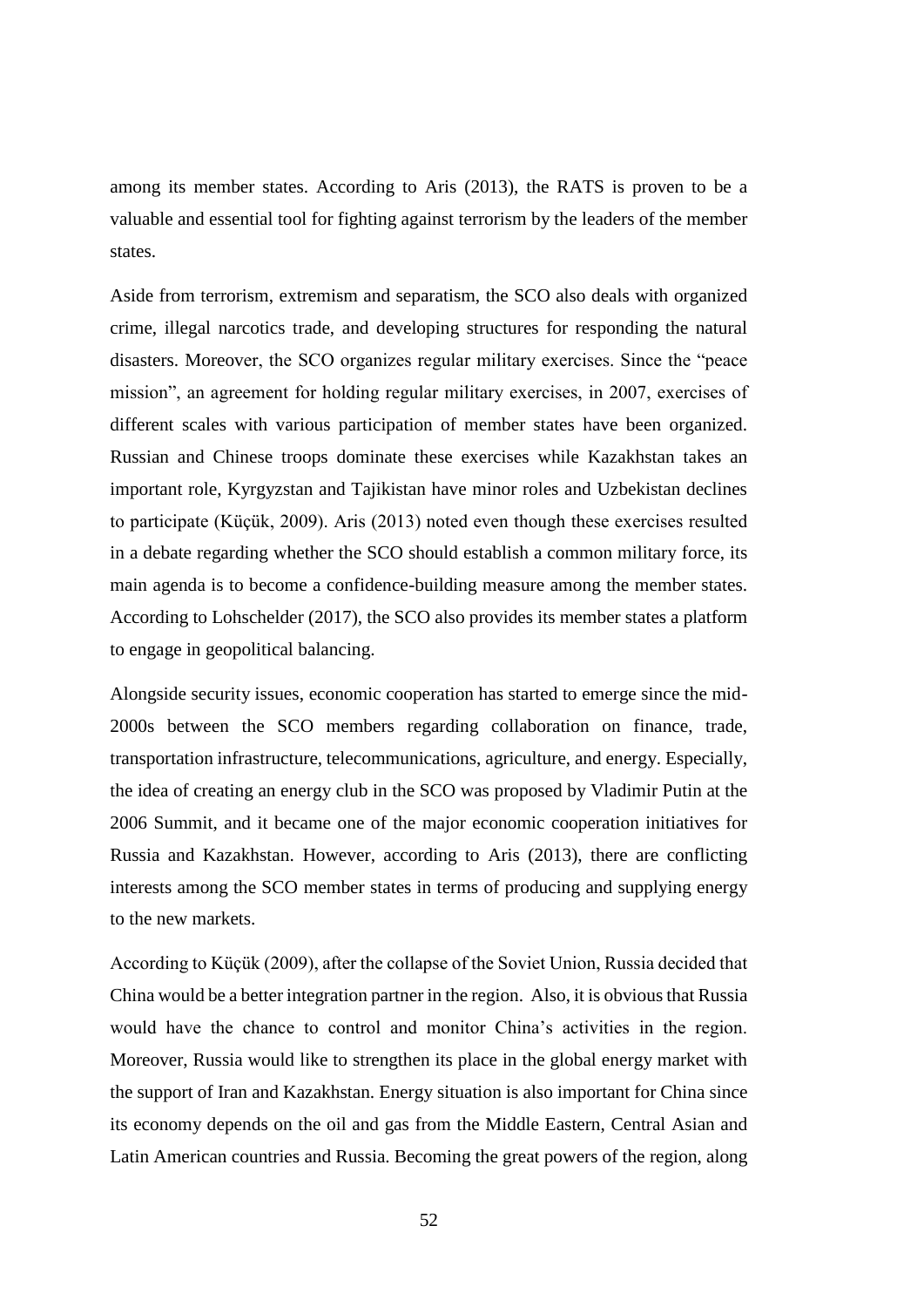among its member states. According to Aris (2013), the RATS is proven to be a valuable and essential tool for fighting against terrorism by the leaders of the member states.

Aside from terrorism, extremism and separatism, the SCO also deals with organized crime, illegal narcotics trade, and developing structures for responding the natural disasters. Moreover, the SCO organizes regular military exercises. Since the "peace mission", an agreement for holding regular military exercises, in 2007, exercises of different scales with various participation of member states have been organized. Russian and Chinese troops dominate these exercises while Kazakhstan takes an important role, Kyrgyzstan and Tajikistan have minor roles and Uzbekistan declines to participate (Küçük, 2009). Aris (2013) noted even though these exercises resulted in a debate regarding whether the SCO should establish a common military force, its main agenda is to become a confidence-building measure among the member states. According to Lohschelder (2017), the SCO also provides its member states a platform to engage in geopolitical balancing.

Alongside security issues, economic cooperation has started to emerge since the mid-2000s between the SCO members regarding collaboration on finance, trade, transportation infrastructure, telecommunications, agriculture, and energy. Especially, the idea of creating an energy club in the SCO was proposed by Vladimir Putin at the 2006 Summit, and it became one of the major economic cooperation initiatives for Russia and Kazakhstan. However, according to Aris (2013), there are conflicting interests among the SCO member states in terms of producing and supplying energy to the new markets.

According to Küçük (2009), after the collapse of the Soviet Union, Russia decided that China would be a better integration partner in the region. Also, it is obvious that Russia would have the chance to control and monitor China's activities in the region. Moreover, Russia would like to strengthen its place in the global energy market with the support of Iran and Kazakhstan. Energy situation is also important for China since its economy depends on the oil and gas from the Middle Eastern, Central Asian and Latin American countries and Russia. Becoming the great powers of the region, along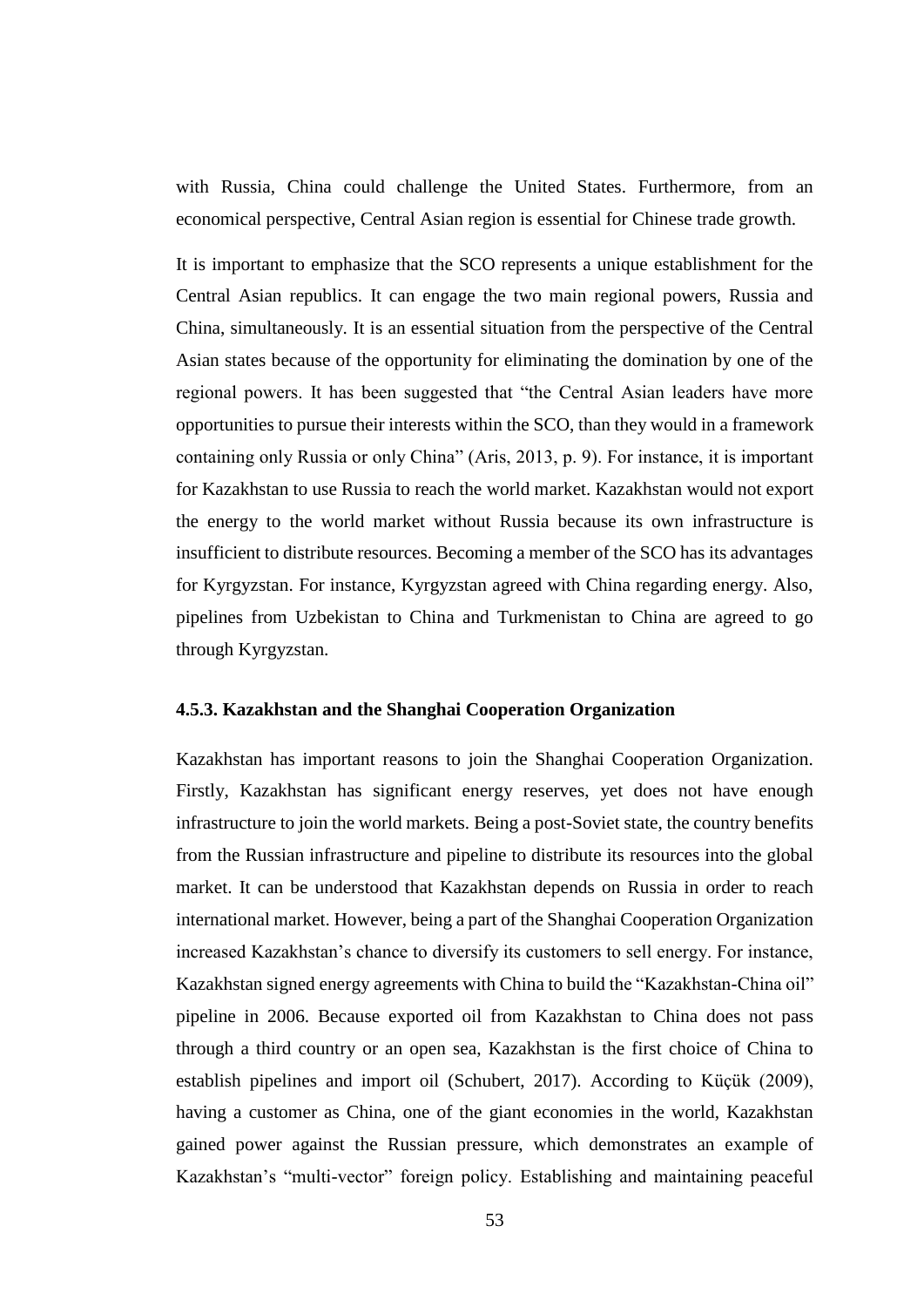with Russia, China could challenge the United States. Furthermore, from an economical perspective, Central Asian region is essential for Chinese trade growth.

It is important to emphasize that the SCO represents a unique establishment for the Central Asian republics. It can engage the two main regional powers, Russia and China, simultaneously. It is an essential situation from the perspective of the Central Asian states because of the opportunity for eliminating the domination by one of the regional powers. It has been suggested that "the Central Asian leaders have more opportunities to pursue their interests within the SCO, than they would in a framework containing only Russia or only China" (Aris, 2013, p. 9). For instance, it is important for Kazakhstan to use Russia to reach the world market. Kazakhstan would not export the energy to the world market without Russia because its own infrastructure is insufficient to distribute resources. Becoming a member of the SCO has its advantages for Kyrgyzstan. For instance, Kyrgyzstan agreed with China regarding energy. Also, pipelines from Uzbekistan to China and Turkmenistan to China are agreed to go through Kyrgyzstan.

#### **4.5.3. Kazakhstan and the Shanghai Cooperation Organization**

Kazakhstan has important reasons to join the Shanghai Cooperation Organization. Firstly, Kazakhstan has significant energy reserves, yet does not have enough infrastructure to join the world markets. Being a post-Soviet state, the country benefits from the Russian infrastructure and pipeline to distribute its resources into the global market. It can be understood that Kazakhstan depends on Russia in order to reach international market. However, being a part of the Shanghai Cooperation Organization increased Kazakhstan's chance to diversify its customers to sell energy. For instance, Kazakhstan signed energy agreements with China to build the "Kazakhstan-China oil" pipeline in 2006. Because exported oil from Kazakhstan to China does not pass through a third country or an open sea, Kazakhstan is the first choice of China to establish pipelines and import oil (Schubert, 2017). According to Küçük (2009), having a customer as China, one of the giant economies in the world, Kazakhstan gained power against the Russian pressure, which demonstrates an example of Kazakhstan's "multi-vector" foreign policy. Establishing and maintaining peaceful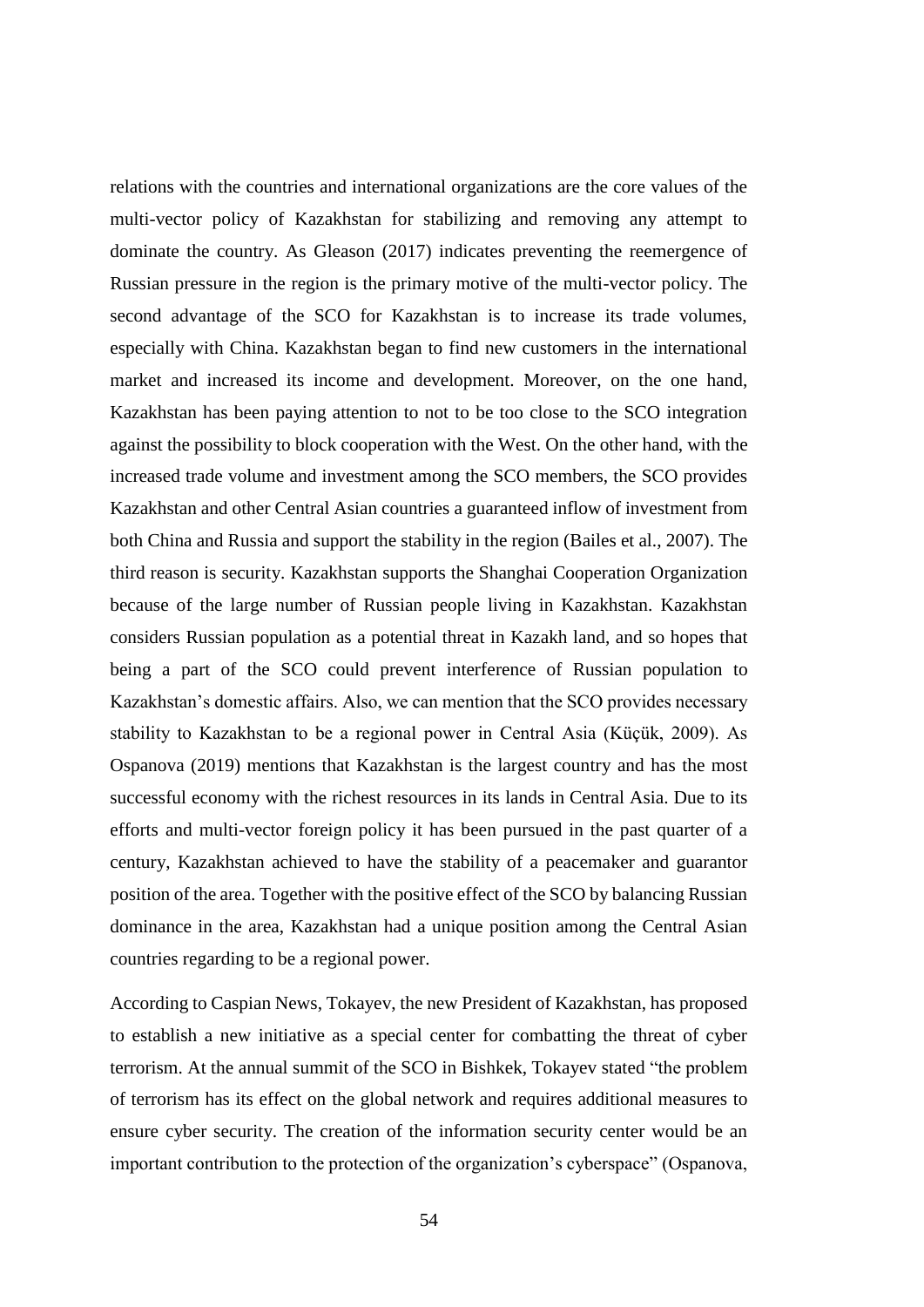relations with the countries and international organizations are the core values of the multi-vector policy of Kazakhstan for stabilizing and removing any attempt to dominate the country. As Gleason (2017) indicates preventing the reemergence of Russian pressure in the region is the primary motive of the multi-vector policy. The second advantage of the SCO for Kazakhstan is to increase its trade volumes, especially with China. Kazakhstan began to find new customers in the international market and increased its income and development. Moreover, on the one hand, Kazakhstan has been paying attention to not to be too close to the SCO integration against the possibility to block cooperation with the West. On the other hand, with the increased trade volume and investment among the SCO members, the SCO provides Kazakhstan and other Central Asian countries a guaranteed inflow of investment from both China and Russia and support the stability in the region (Bailes et al., 2007). The third reason is security. Kazakhstan supports the Shanghai Cooperation Organization because of the large number of Russian people living in Kazakhstan. Kazakhstan considers Russian population as a potential threat in Kazakh land, and so hopes that being a part of the SCO could prevent interference of Russian population to Kazakhstan's domestic affairs. Also, we can mention that the SCO provides necessary stability to Kazakhstan to be a regional power in Central Asia (Küçük, 2009). As Ospanova (2019) mentions that Kazakhstan is the largest country and has the most successful economy with the richest resources in its lands in Central Asia. Due to its efforts and multi-vector foreign policy it has been pursued in the past quarter of a century, Kazakhstan achieved to have the stability of a peacemaker and guarantor position of the area. Together with the positive effect of the SCO by balancing Russian dominance in the area, Kazakhstan had a unique position among the Central Asian countries regarding to be a regional power.

According to Caspian News, Tokayev, the new President of Kazakhstan, has proposed to establish a new initiative as a special center for combatting the threat of cyber terrorism. At the annual summit of the SCO in Bishkek, Tokayev stated "the problem of terrorism has its effect on the global network and requires additional measures to ensure cyber security. The creation of the information security center would be an important contribution to the protection of the organization's cyberspace" (Ospanova,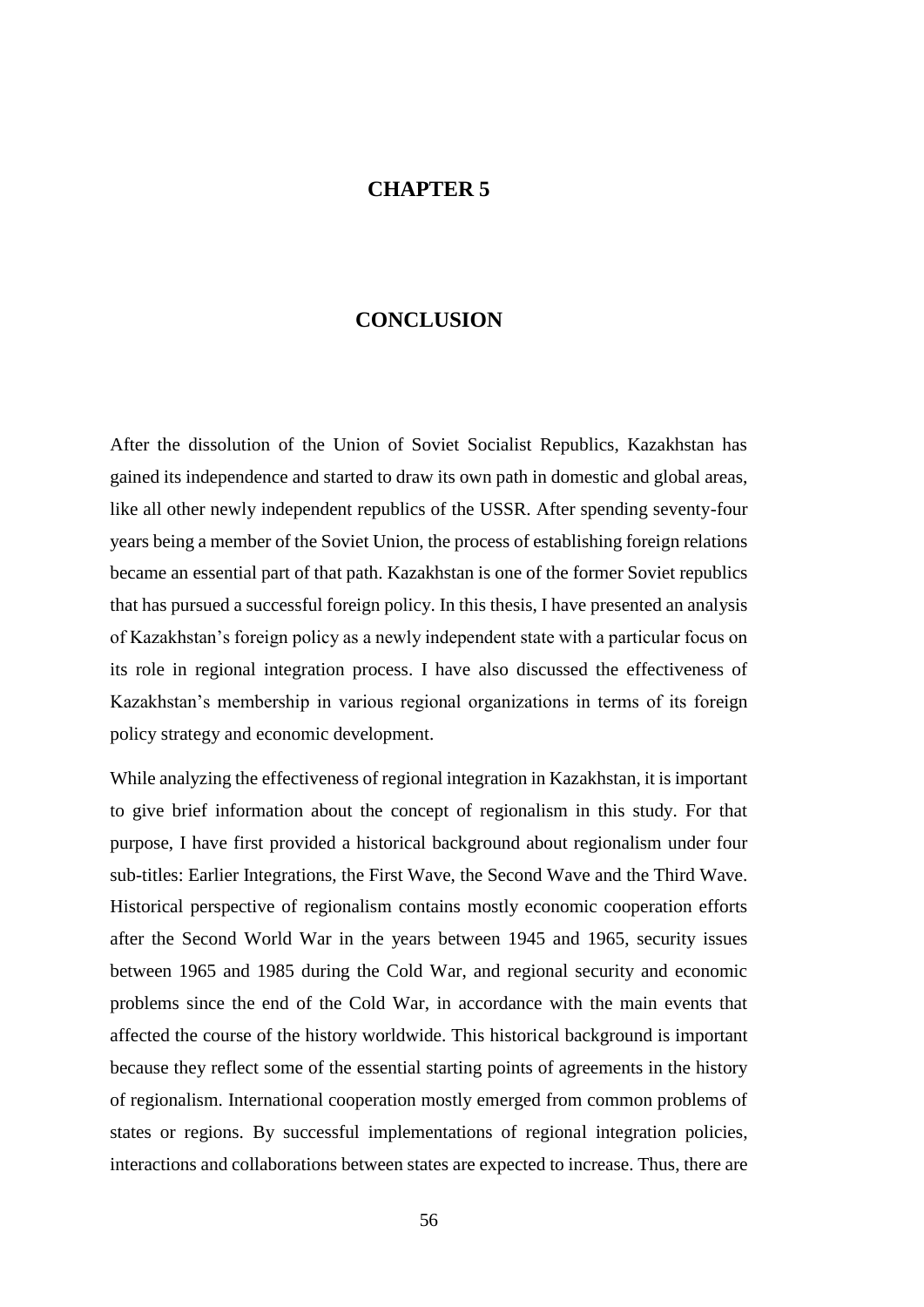## **CHAPTER 5**

### **CONCLUSION**

After the dissolution of the Union of Soviet Socialist Republics, Kazakhstan has gained its independence and started to draw its own path in domestic and global areas, like all other newly independent republics of the USSR. After spending seventy-four years being a member of the Soviet Union, the process of establishing foreign relations became an essential part of that path. Kazakhstan is one of the former Soviet republics that has pursued a successful foreign policy. In this thesis, I have presented an analysis of Kazakhstan's foreign policy as a newly independent state with a particular focus on its role in regional integration process. I have also discussed the effectiveness of Kazakhstan's membership in various regional organizations in terms of its foreign policy strategy and economic development.

While analyzing the effectiveness of regional integration in Kazakhstan, it is important to give brief information about the concept of regionalism in this study. For that purpose, I have first provided a historical background about regionalism under four sub-titles: Earlier Integrations, the First Wave, the Second Wave and the Third Wave. Historical perspective of regionalism contains mostly economic cooperation efforts after the Second World War in the years between 1945 and 1965, security issues between 1965 and 1985 during the Cold War, and regional security and economic problems since the end of the Cold War, in accordance with the main events that affected the course of the history worldwide. This historical background is important because they reflect some of the essential starting points of agreements in the history of regionalism. International cooperation mostly emerged from common problems of states or regions. By successful implementations of regional integration policies, interactions and collaborations between states are expected to increase. Thus, there are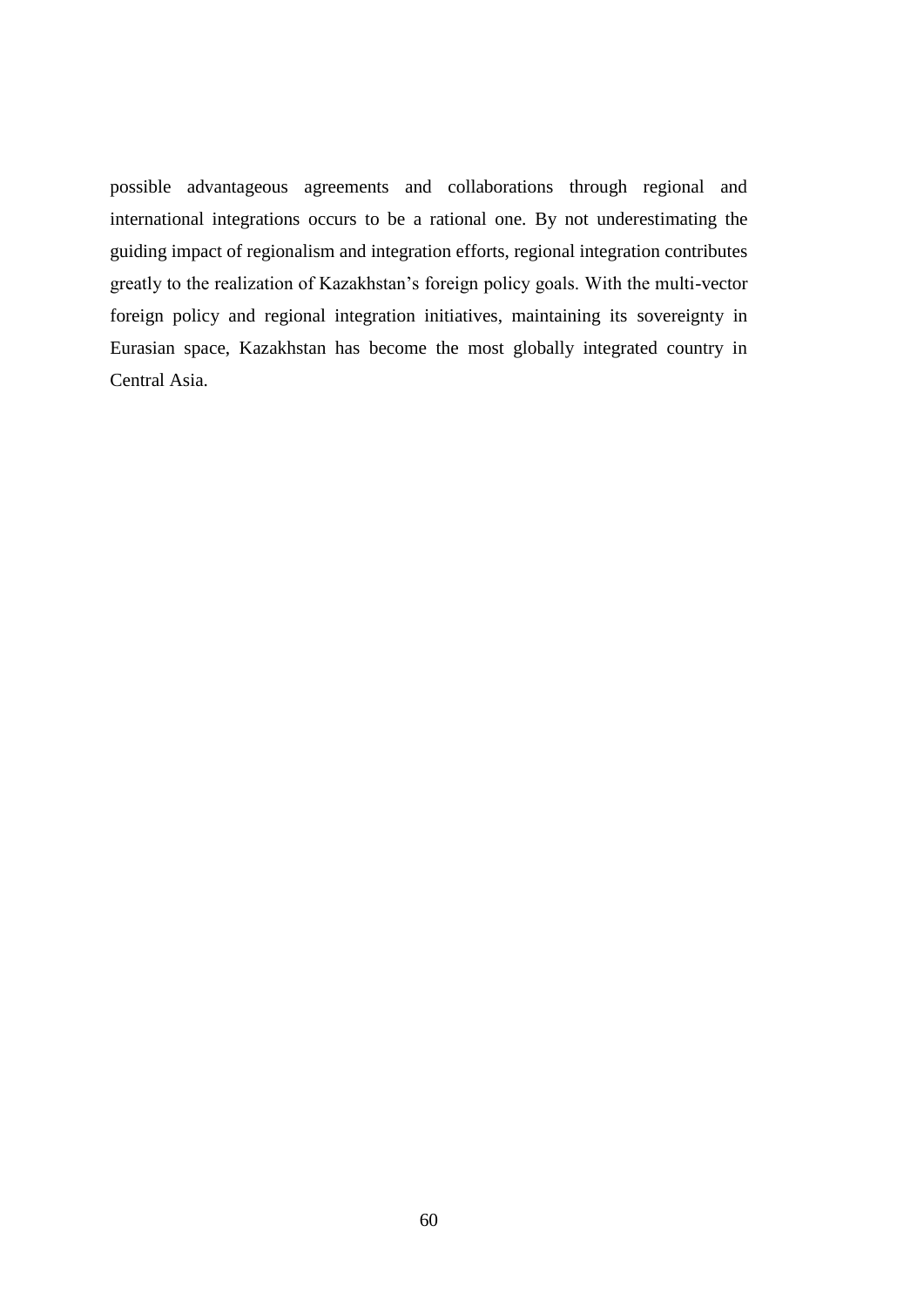possible advantageous agreements and collaborations through regional and international integrations occurs to be a rational one. By not underestimating the guiding impact of regionalism and integration efforts, regional integration contributes greatly to the realization of Kazakhstan's foreign policy goals. With the multi-vector foreign policy and regional integration initiatives, maintaining its sovereignty in Eurasian space, Kazakhstan has become the most globally integrated country in Central Asia.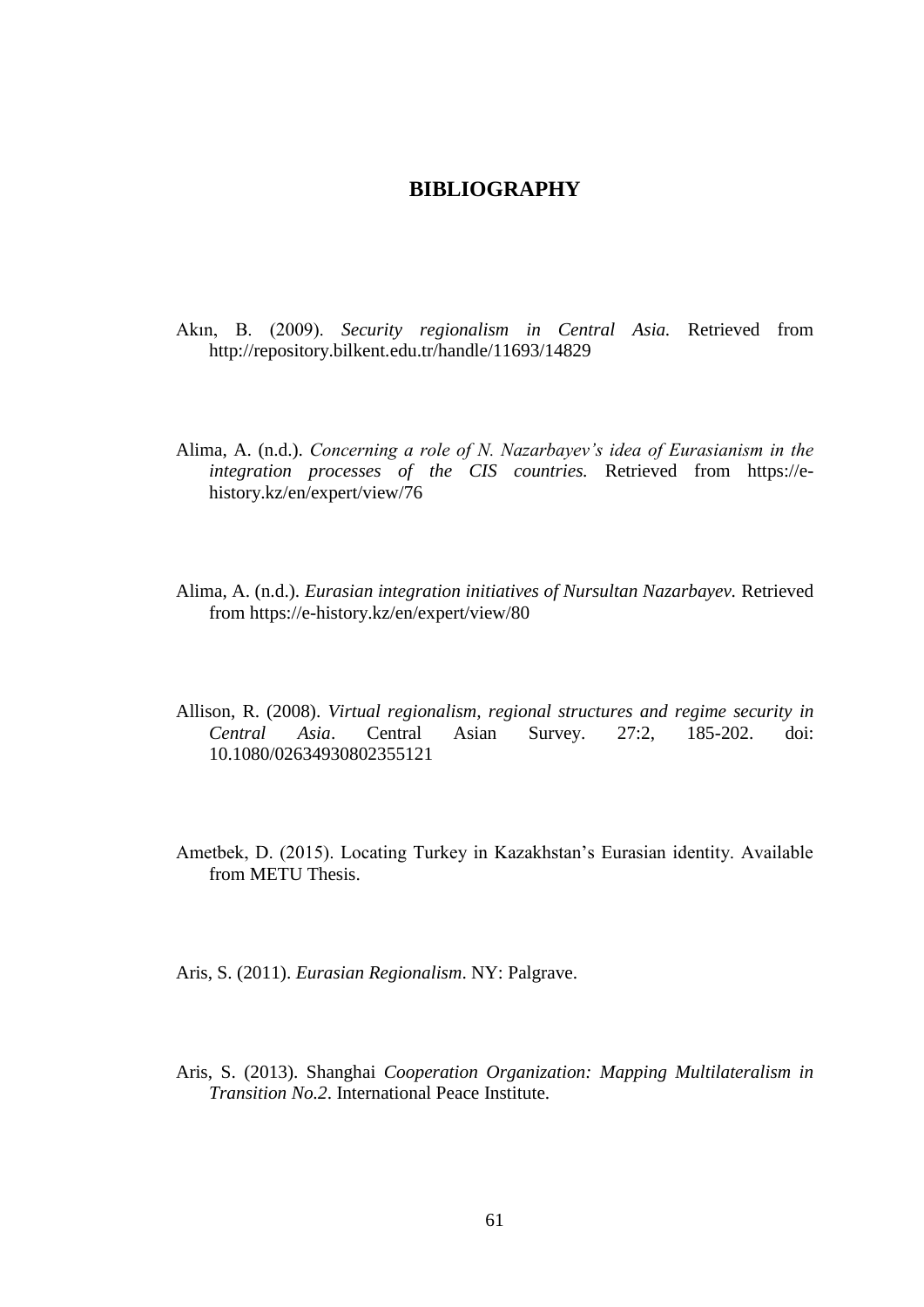## **BIBLIOGRAPHY**

- Akın, B. (2009). *Security regionalism in Central Asia.* Retrieved from <http://repository.bilkent.edu.tr/handle/11693/14829>
- Alima, A. (n.d.). *Concerning a role of N. Nazarbayev's idea of Eurasianism in the integration processes of the CIS countries.* Retrieved from https://ehistory.kz/en/expert/view/76
- Alima, A. (n.d.). *Eurasian integration initiatives of Nursultan Nazarbayev.* Retrieved from https://e-history.kz/en/expert/view/80
- Allison, R. (2008). *Virtual regionalism, regional structures and regime security in Central Asia*. Central Asian Survey. 27:2, 185-202. doi: 10.1080/02634930802355121
- Ametbek, D. (2015). Locating Turkey in Kazakhstan's Eurasian identity. Available from METU Thesis.

Aris, S. (2011). *Eurasian Regionalism*. NY: Palgrave.

Aris, S. (2013). Shanghai *Cooperation Organization: Mapping Multilateralism in Transition No.2*. International Peace Institute.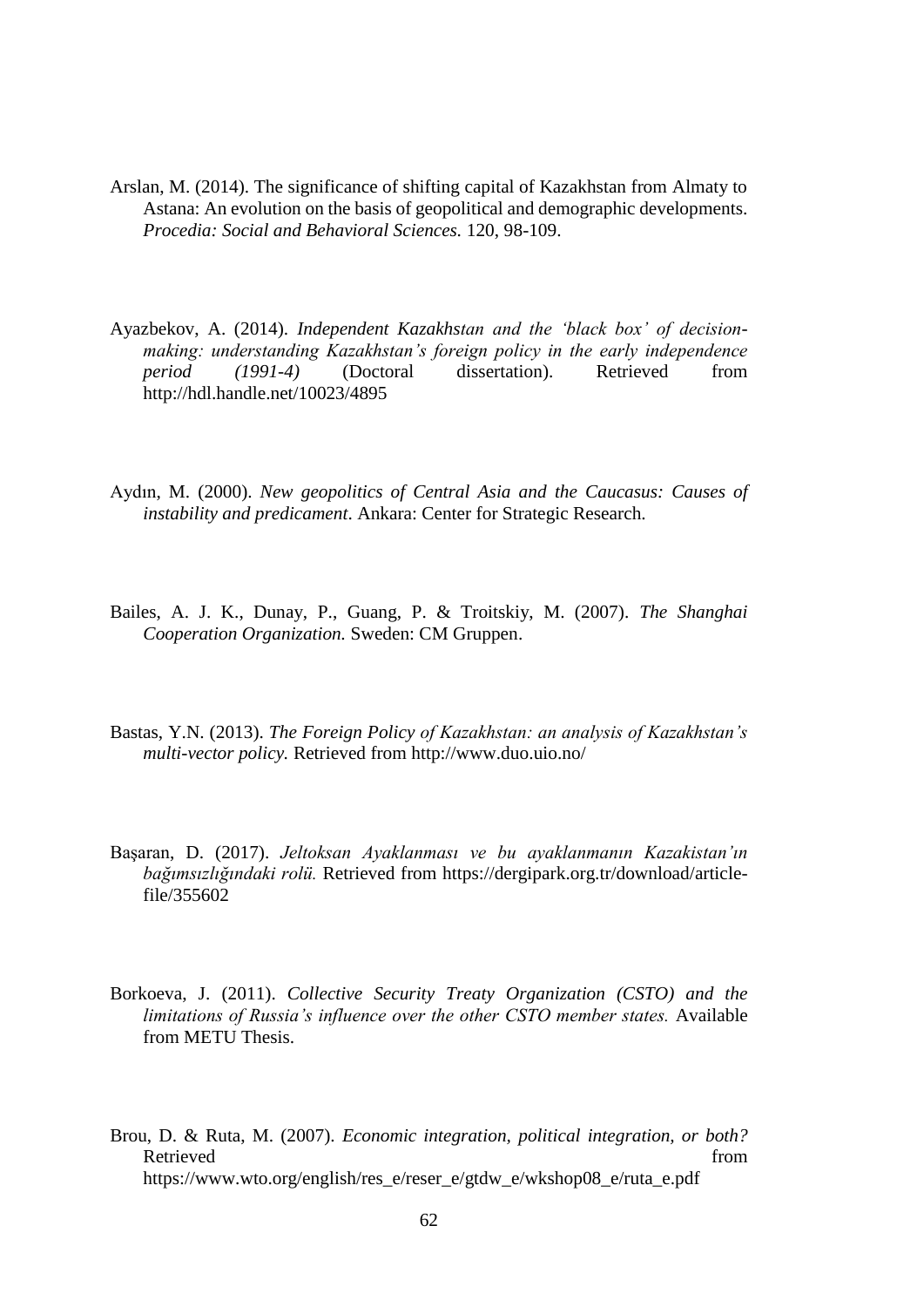- Arslan, M. (2014). The significance of shifting capital of Kazakhstan from Almaty to Astana: An evolution on the basis of geopolitical and demographic developments. *Procedia: Social and Behavioral Sciences.* 120, 98-109.
- Ayazbekov, A. (2014). *Independent Kazakhstan and the 'black box' of decisionmaking: understanding Kazakhstan's foreign policy in the early independence period (1991-4)* (Doctoral dissertation). Retrieved from http://hdl.handle.net/10023/4895
- Aydın, M. (2000). *New geopolitics of Central Asia and the Caucasus: Causes of instability and predicament*. Ankara: Center for Strategic Research.
- Bailes, A. J. K., Dunay, P., Guang, P. & Troitskiy, M. (2007). *The Shanghai Cooperation Organization.* Sweden: CM Gruppen.
- Bastas, Y.N. (2013). *The Foreign Policy of Kazakhstan: an analysis of Kazakhstan's multi-vector policy.* Retrieved from http://www.duo.uio.no/
- Başaran, D. (2017). *Jeltoksan Ayaklanması ve bu ayaklanmanın Kazakistan'ın bağımsızlığındaki rolü.* Retrieved from https://dergipark.org.tr/download/articlefile/355602
- Borkoeva, J. (2011). *Collective Security Treaty Organization (CSTO) and the limitations of Russia's influence over the other CSTO member states.* Available from METU Thesis.
- Brou, D. & Ruta, M. (2007). *Economic integration, political integration, or both?* Retrieved from the state of the state of the state of the state of the state of the state of the state of the state of the state of the state of the state of the state of the state of the state of the state of the state of https://www.wto.org/english/res\_e/reser\_e/gtdw\_e/wkshop08\_e/ruta\_e.pdf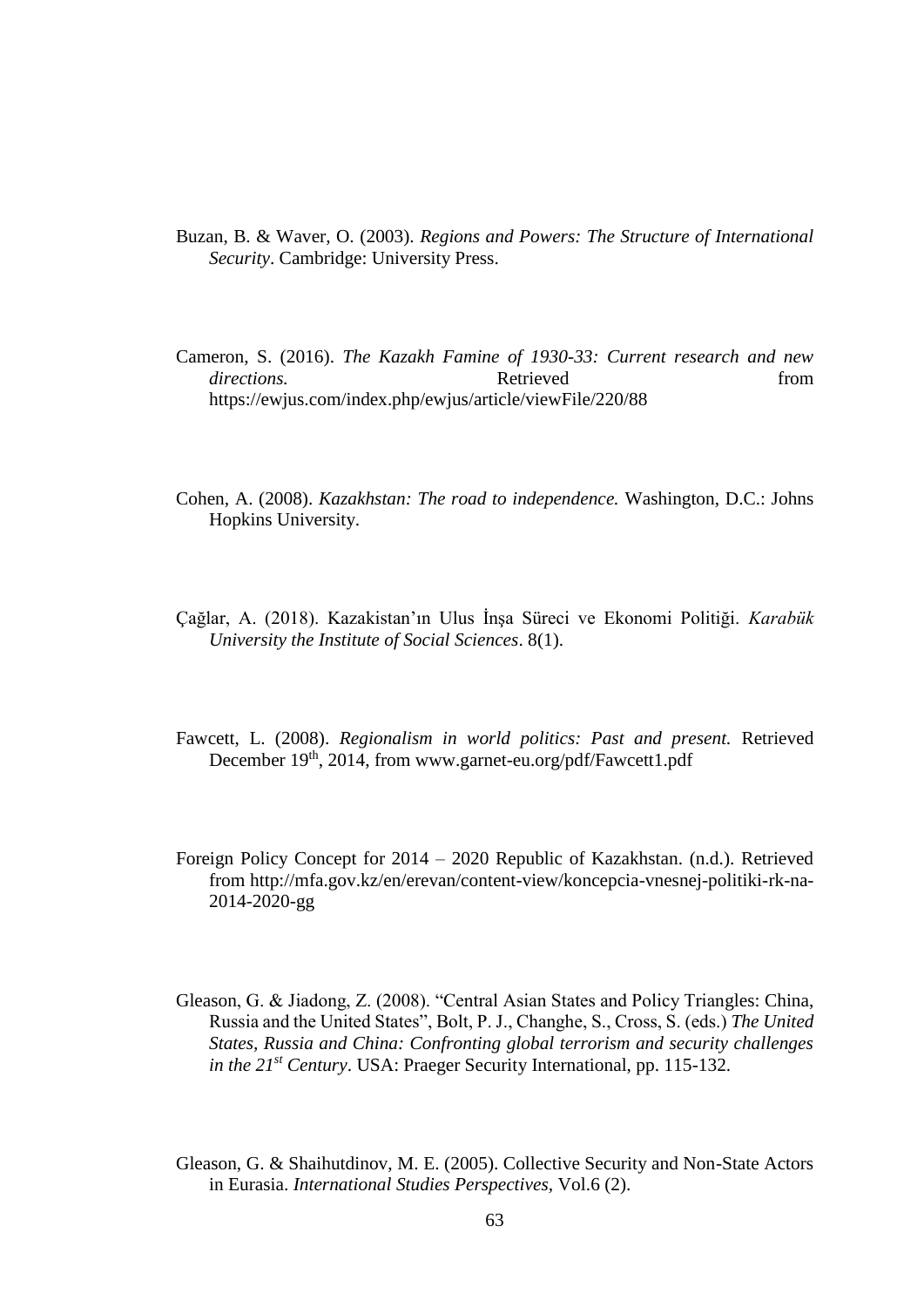- Buzan, B. & Waver, O. (2003). *Regions and Powers: The Structure of International Security*. Cambridge: University Press.
- Cameron, S. (2016). *The Kazakh Famine of 1930-33: Current research and new directions.* Retrieved **heating heating** *n directions. from* https://ewjus.com/index.php/ewjus/article/viewFile/220/88
- Cohen, A. (2008). *Kazakhstan: The road to independence.* Washington, D.C.: Johns Hopkins University.
- Çağlar, A. (2018). Kazakistan'ın Ulus İnşa Süreci ve Ekonomi Politiği. *Karabük University the Institute of Social Sciences*. 8(1).
- Fawcett, L. (2008). *Regionalism in world politics: Past and present.* Retrieved December 19<sup>th</sup>, 2014, from www.garnet-eu.org/pdf/Fawcett1.pdf
- Foreign Policy Concept for 2014 2020 Republic of Kazakhstan. (n.d.). Retrieved from http://mfa.gov.kz/en/erevan/content-view/koncepcia-vnesnej-politiki-rk-na-2014-2020-gg
- Gleason, G. & Jiadong, Z. (2008). "Central Asian States and Policy Triangles: China, Russia and the United States", Bolt, P. J., Changhe, S., Cross, S. (eds.) *The United States, Russia and China: Confronting global terrorism and security challenges in the 21st Century*. USA: Praeger Security International, pp. 115-132.
- Gleason, G. & Shaihutdinov, M. E. (2005). Collective Security and Non-State Actors in Eurasia. *International Studies Perspectives,* Vol.6 (2).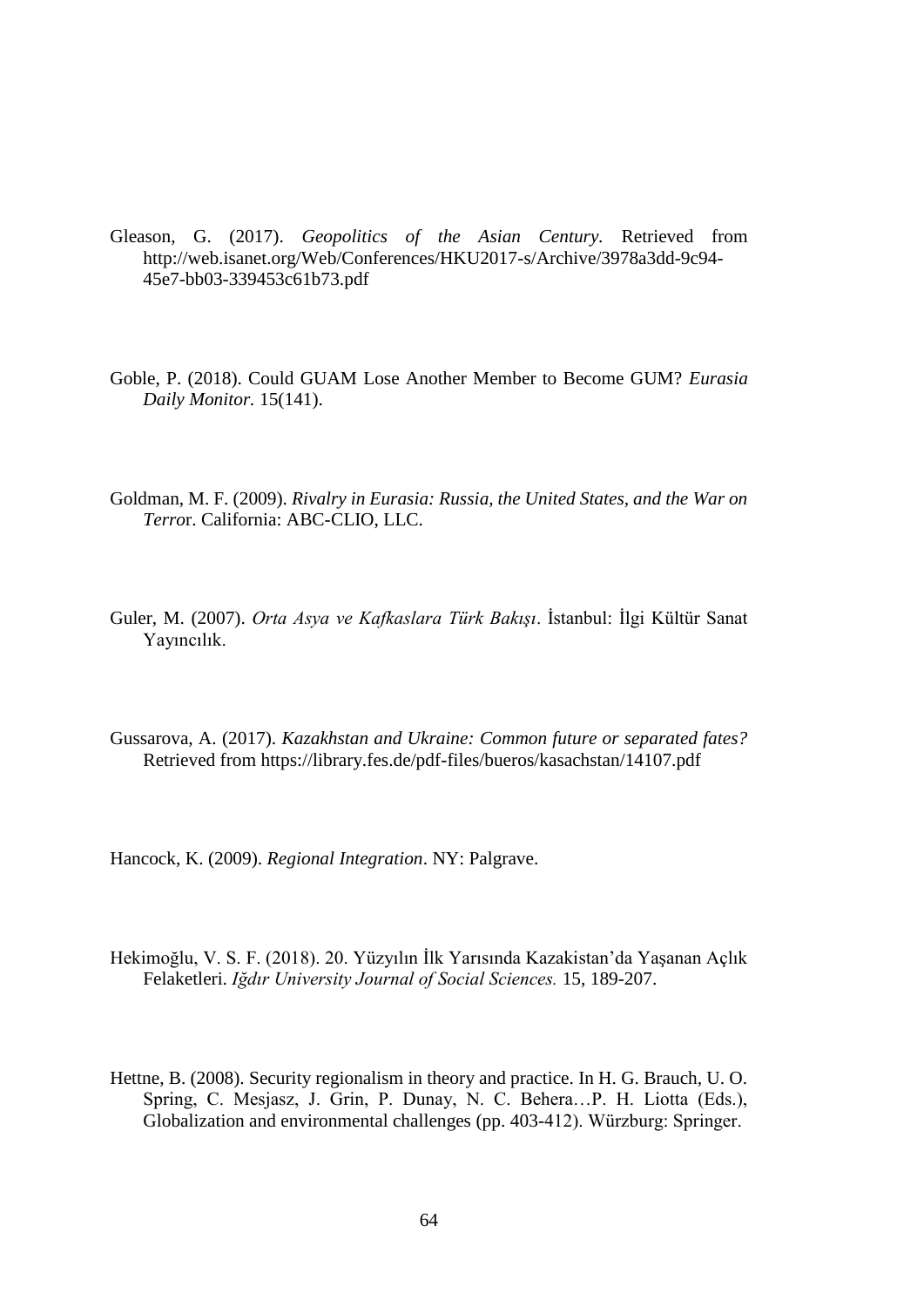- Gleason, G. (2017). *Geopolitics of the Asian Century.* Retrieved from http://web.isanet.org/Web/Conferences/HKU2017-s/Archive/3978a3dd-9c94- 45e7-bb03-339453c61b73.pdf
- Goble, P. (2018). Could GUAM Lose Another Member to Become GUM? *Eurasia Daily Monitor.* 15(141).
- Goldman, M. F. (2009). *Rivalry in Eurasia: Russia, the United States, and the War on Terro*r. California: ABC-CLIO, LLC.
- Guler, M. (2007). *Orta Asya ve Kafkaslara Türk Bakışı*. İstanbul: İlgi Kültür Sanat Yayıncılık.
- Gussarova, A. (2017). *Kazakhstan and Ukraine: Common future or separated fates?*  Retrieved from<https://library.fes.de/pdf-files/bueros/kasachstan/14107.pdf>

Hancock, K. (2009). *Regional Integration*. NY: Palgrave.

- Hekimoğlu, V. S. F. (2018). 20. Yüzyılın İlk Yarısında Kazakistan'da Yaşanan Açlık Felaketleri. *Iğdır University Journal of Social Sciences.* 15, 189-207.
- Hettne, B. (2008). Security regionalism in theory and practice. In H. G. Brauch, U. O. Spring, C. Mesjasz, J. Grin, P. Dunay, N. C. Behera…P. H. Liotta (Eds.), Globalization and environmental challenges (pp. 403-412). Würzburg: Springer.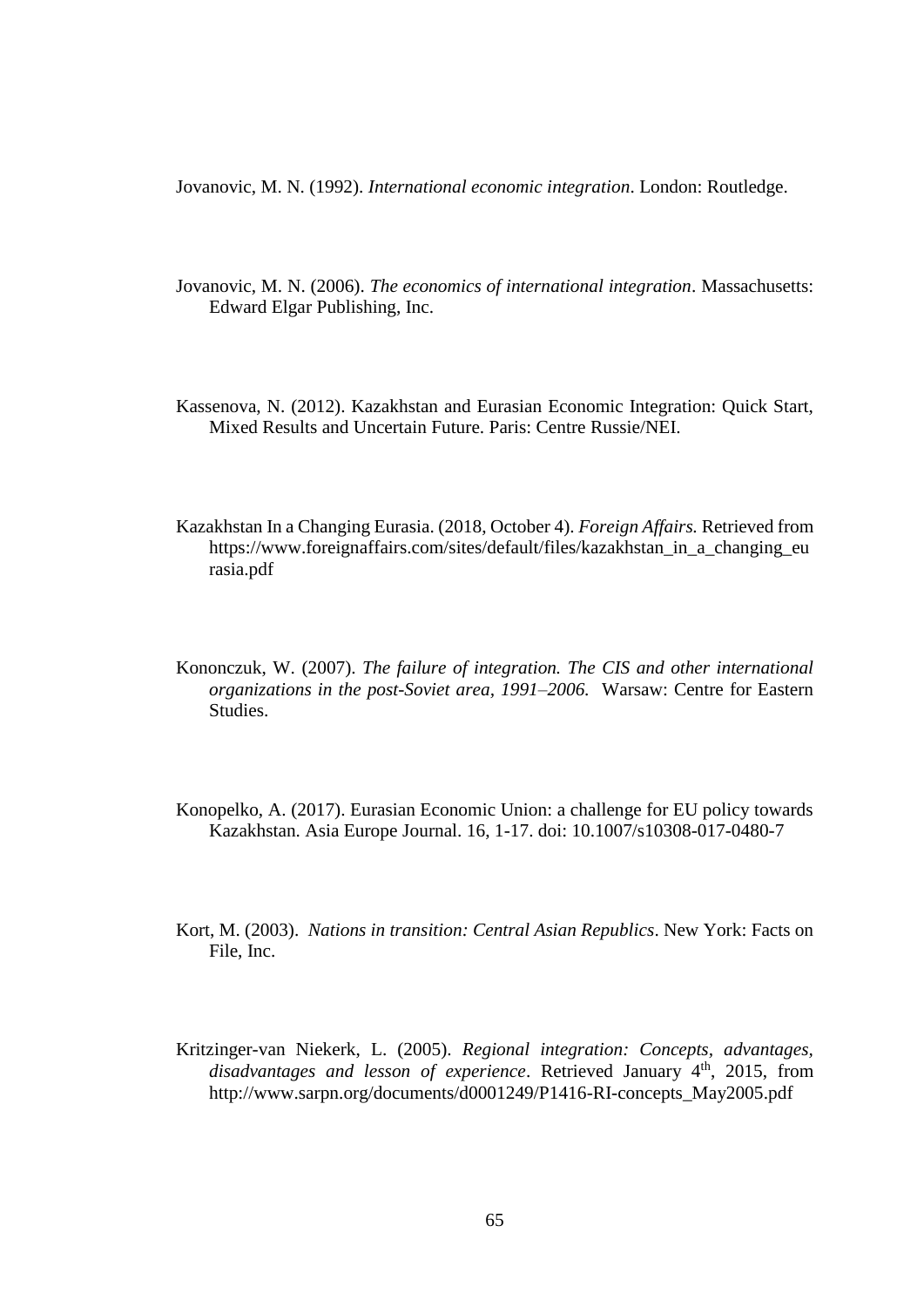Jovanovic, M. N. (1992). *International economic integration*. London: Routledge.

- Jovanovic, M. N. (2006). *The economics of international integration*. Massachusetts: Edward Elgar Publishing, Inc.
- Kassenova, N. (2012). Kazakhstan and Eurasian Economic Integration: Quick Start, Mixed Results and Uncertain Future. Paris: Centre Russie/NEI.
- Kazakhstan In a Changing Eurasia. (2018, October 4). *Foreign Affairs.* Retrieved from https://www.foreignaffairs.com/sites/default/files/kazakhstan\_in\_a\_changing\_eu rasia.pdf
- Kononczuk, W. (2007). *The failure of integration. The CIS and other international organizations in the post-Soviet area, 1991–2006.* Warsaw: Centre for Eastern Studies.
- Konopelko, A. (2017). Eurasian Economic Union: a challenge for EU policy towards Kazakhstan. Asia Europe Journal. 16, 1-17. doi: 10.1007/s10308-017-0480-7
- Kort, M. (2003). *Nations in transition: Central Asian Republics*. New York: Facts on File, Inc.
- Kritzinger-van Niekerk, L. (2005). *Regional integration: Concepts, advantages,*  disadvantages and lesson of experience. Retrieved January 4<sup>th</sup>, 2015, from http://www.sarpn.org/documents/d0001249/P1416-RI-concepts\_May2005.pdf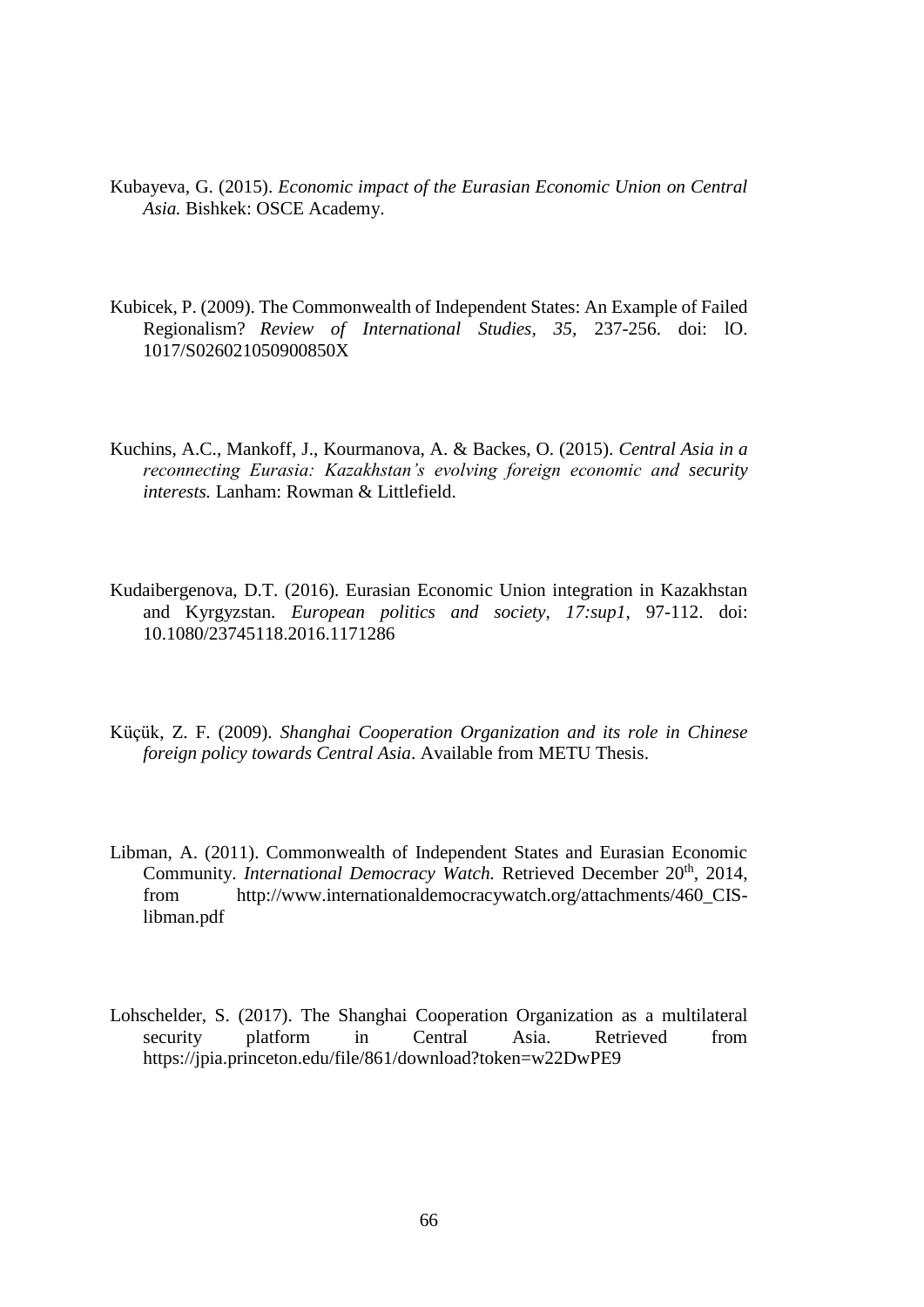- Kubayeva, G. (2015). *Economic impact of the Eurasian Economic Union on Central Asia.* Bishkek: OSCE Academy.
- Kubicek, P. (2009). The Commonwealth of Independent States: An Example of Failed Regionalism? *Review of International Studies, 35,* 237-256. doi: lO. 1017/S026021050900850X
- Kuchins, A.C., Mankoff, J., Kourmanova, A. & Backes, O. (2015). *Central Asia in a reconnecting Eurasia: Kazakhstan's evolving foreign economic and security interests.* Lanham: Rowman & Littlefield.
- Kudaibergenova, D.T. (2016). Eurasian Economic Union integration in Kazakhstan and Kyrgyzstan. *European politics and society, 17:sup1*, 97-112. doi: 10.1080/23745118.2016.1171286
- Küçük, Z. F. (2009). *Shanghai Cooperation Organization and its role in Chinese foreign policy towards Central Asia*. Available from METU Thesis.
- Libman, A. (2011). Commonwealth of Independent States and Eurasian Economic Community. *International Democracy Watch*. Retrieved December 20<sup>th</sup>, 2014, from http://www.internationaldemocracywatch.org/attachments/460\_CISlibman.pdf
- Lohschelder, S. (2017). The Shanghai Cooperation Organization as a multilateral security platform in Central Asia. Retrieved from https://jpia.princeton.edu/file/861/download?token=w22DwPE9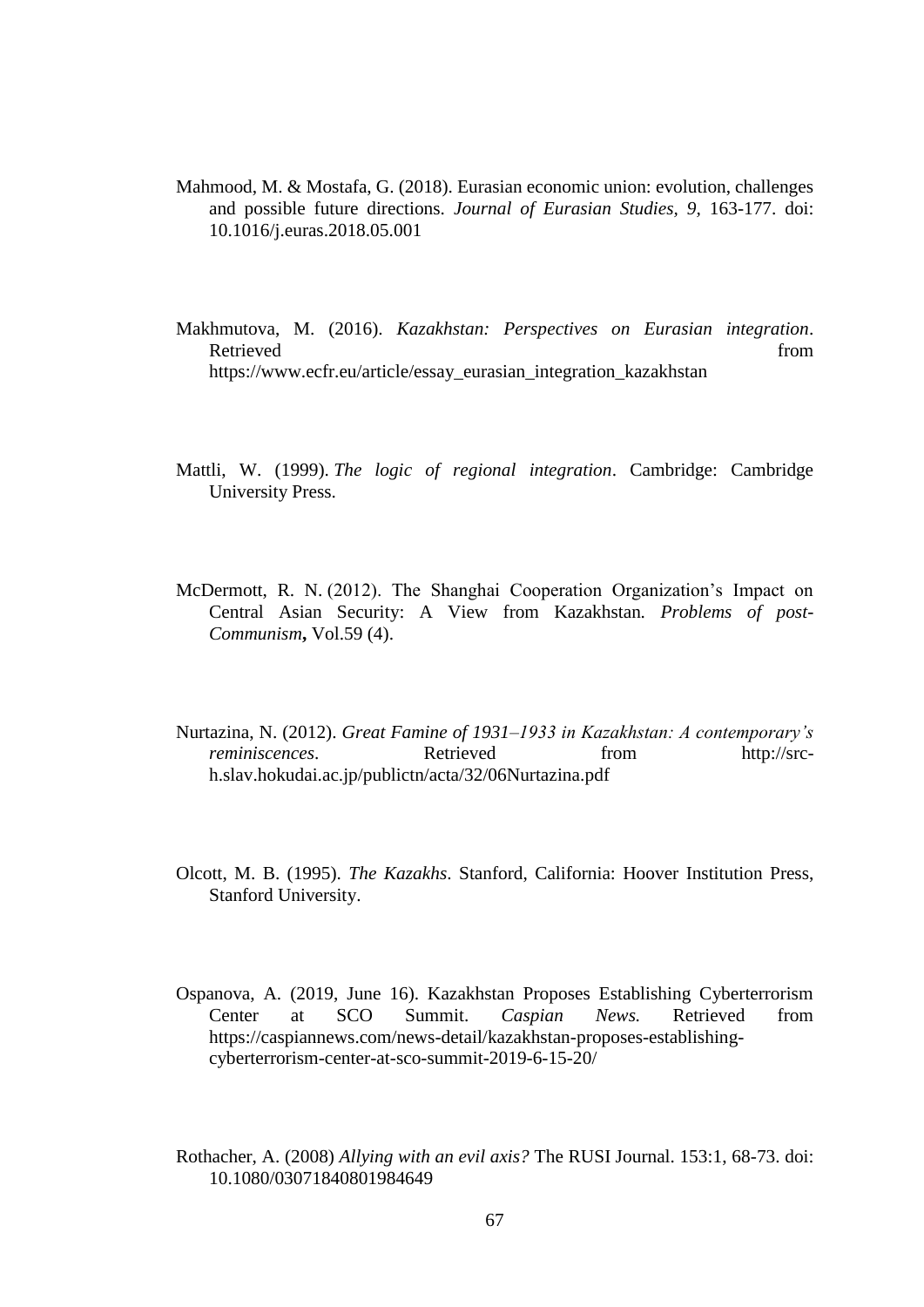- Mahmood, M. & Mostafa, G. (2018). Eurasian economic union: evolution, challenges and possible future directions. *Journal of Eurasian Studies, 9,* 163-177. doi: 10.1016/j.euras.2018.05.001
- Makhmutova, M. (2016). *Kazakhstan: Perspectives on Eurasian integration*. Retrieved from the state of  $\sim$  from the state of  $\sim$  from the state of  $\sim$  from the state of  $\sim$  from the state of  $\sim$  from the state of  $\sim$  from the state of  $\sim$  from the state of  $\sim$  from the state of  $\sim$  from [https://www.ecfr.eu/article/essay\\_eurasian\\_integration\\_kazakhstan](https://www.ecfr.eu/article/essay_eurasian_integration_kazakhstan)
- Mattli, W. (1999). *The logic of regional integration*. Cambridge: Cambridge University Press.
- McDermott, R. N. (2012). The Shanghai Cooperation Organization's Impact on Central Asian Security: A View from Kazakhstan*. Problems of post-Communism***,** Vol.59 (4).
- Nurtazina, N. (2012). *Great Famine of 1931–1933 in Kazakhstan: A contemporary's reminiscences*. Retrieved from http://srch.slav.hokudai.ac.jp/publictn/acta/32/06Nurtazina.pdf
- Olcott, M. B. (1995). *The Kazakhs*. Stanford, California: Hoover Institution Press, Stanford University.
- Ospanova, A. (2019, June 16). Kazakhstan Proposes Establishing Cyberterrorism Center at SCO Summit. *Caspian News.* Retrieved from [https://caspiannews.com/news-detail/kazakhstan-proposes-establishing](https://caspiannews.com/news-detail/kazakhstan-proposes-establishing-cyberterrorism-center-at-sco-summit-2019-6-15-20/)[cyberterrorism-center-at-sco-summit-2019-6-15-20/](https://caspiannews.com/news-detail/kazakhstan-proposes-establishing-cyberterrorism-center-at-sco-summit-2019-6-15-20/)
- Rothacher, A. (2008) *Allying with an evil axis?* The RUSI Journal. 153:1, 68-73. doi: 10.1080/03071840801984649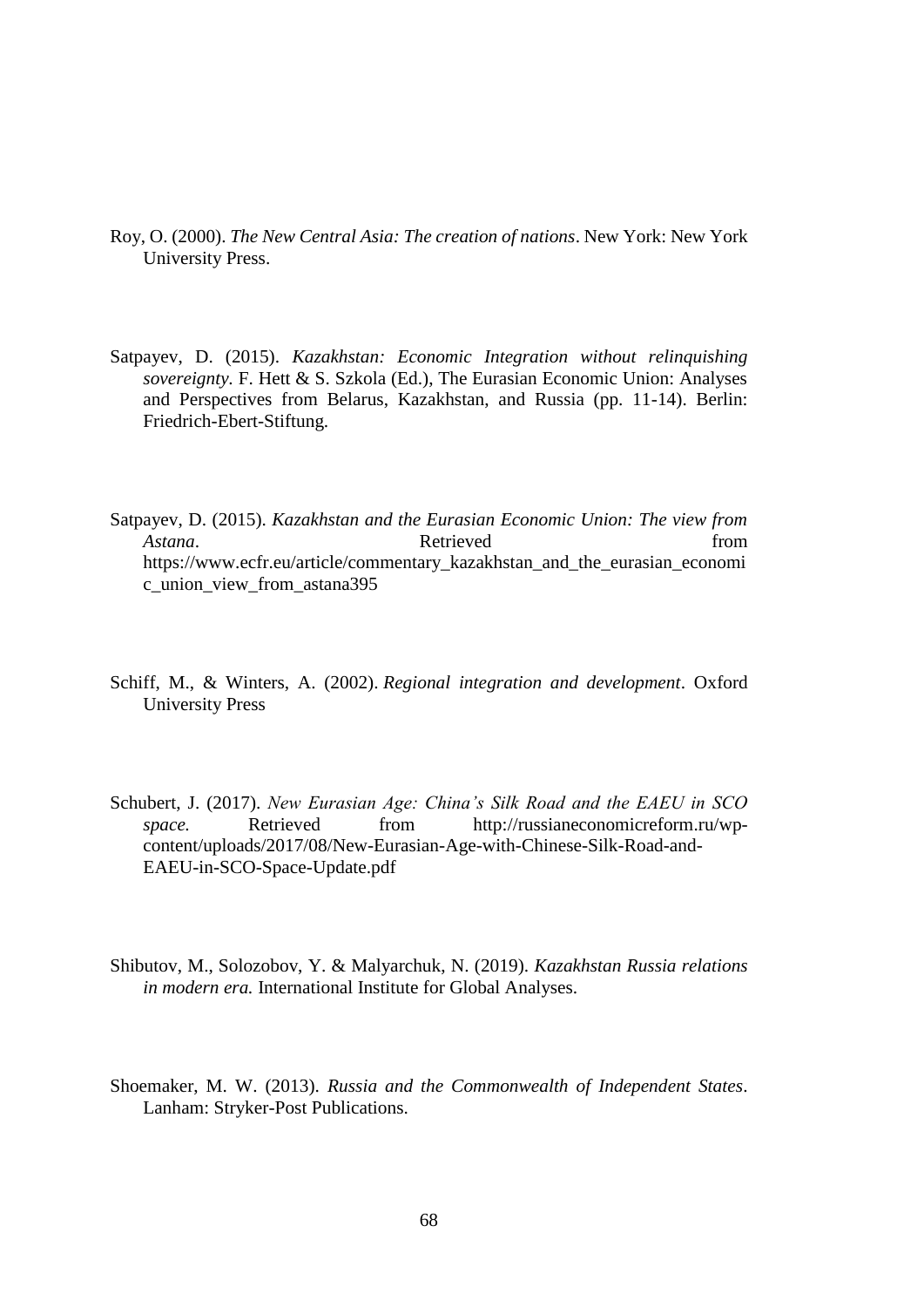- Roy, O. (2000). *The New Central Asia: The creation of nations*. New York: New York University Press.
- Satpayev, D. (2015). *Kazakhstan: Economic Integration without relinquishing sovereignty.* F. Hett & S. Szkola (Ed.), The Eurasian Economic Union: Analyses and Perspectives from Belarus, Kazakhstan, and Russia (pp. 11-14). Berlin: Friedrich-Ebert-Stiftung.
- Satpayev, D. (2015). *Kazakhstan and the Eurasian Economic Union: The view from Astana*. Retrieved **heats** *Retrieved* from https://www.ecfr.eu/article/commentary\_kazakhstan\_and\_the\_eurasian\_economi c\_union\_view\_from\_astana395
- Schiff, M., & Winters, A. (2002). *Regional integration and development*. Oxford University Press
- Schubert, J. (2017). *New Eurasian Age: China's Silk Road and the EAEU in SCO space.* Retrieved from http://russianeconomicreform.ru/wpcontent/uploads/2017/08/New-Eurasian-Age-with-Chinese-Silk-Road-and-EAEU-in-SCO-Space-Update.pdf
- Shibutov, M., Solozobov, Y. & Malyarchuk, N. (2019). *Kazakhstan Russia relations in modern era.* International Institute for Global Analyses.
- Shoemaker, M. W. (2013). *Russia and the Commonwealth of Independent States*. Lanham: Stryker-Post Publications.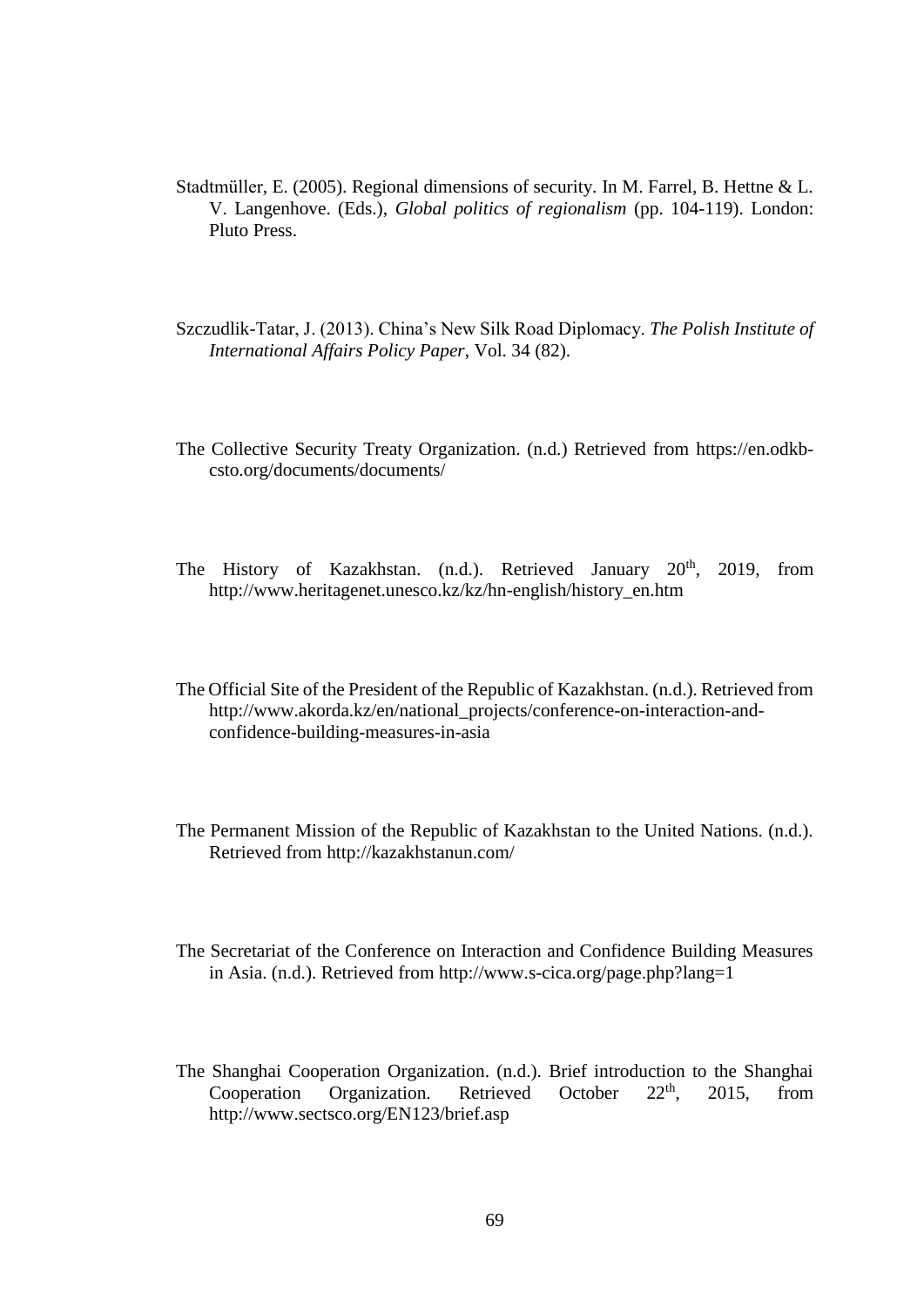- Stadtmüller, E. (2005). Regional dimensions of security. In M. Farrel, B. Hettne & L. V. Langenhove. (Eds.), *Global politics of regionalism* (pp. 104-119). London: Pluto Press.
- Szczudlik-Tatar, J. (2013). China's New Silk Road Diplomacy. *The Polish Institute of International Affairs Policy Paper*, Vol. 34 (82).
- The Collective Security Treaty Organization. (n.d.) Retrieved from https://en.odkbcsto.org/documents/documents/
- The History of Kazakhstan. (n.d.). Retrieved January 20<sup>th</sup>, 2019, from [http://www.heritagenet.unesco.kz/kz/hn-english/history\\_en.htm](http://www.heritagenet.unesco.kz/kz/hn-english/history_en.htm)
- The Official Site of the President of the Republic of Kazakhstan. (n.d.). Retrieved from [http://www.akorda.kz/en/national\\_projects/conference-on-interaction-and](http://www.akorda.kz/en/national_projects/conference-on-interaction-and-confidence-building-measures-in-asia)[confidence-building-measures-in-asia](http://www.akorda.kz/en/national_projects/conference-on-interaction-and-confidence-building-measures-in-asia)
- The Permanent Mission of the Republic of Kazakhstan to the United Nations. (n.d.). Retrieved from http://kazakhstanun.com/
- The Secretariat of the Conference on Interaction and Confidence Building Measures in Asia. (n.d.). Retrieved from<http://www.s-cica.org/page.php?lang=1>
- The Shanghai Cooperation Organization. (n.d.). Brief introduction to the Shanghai Cooperation Organization. Retrieved October  $22<sup>th</sup>$ ,  $2015$ , from http://www.sectsco.org/EN123/brief.asp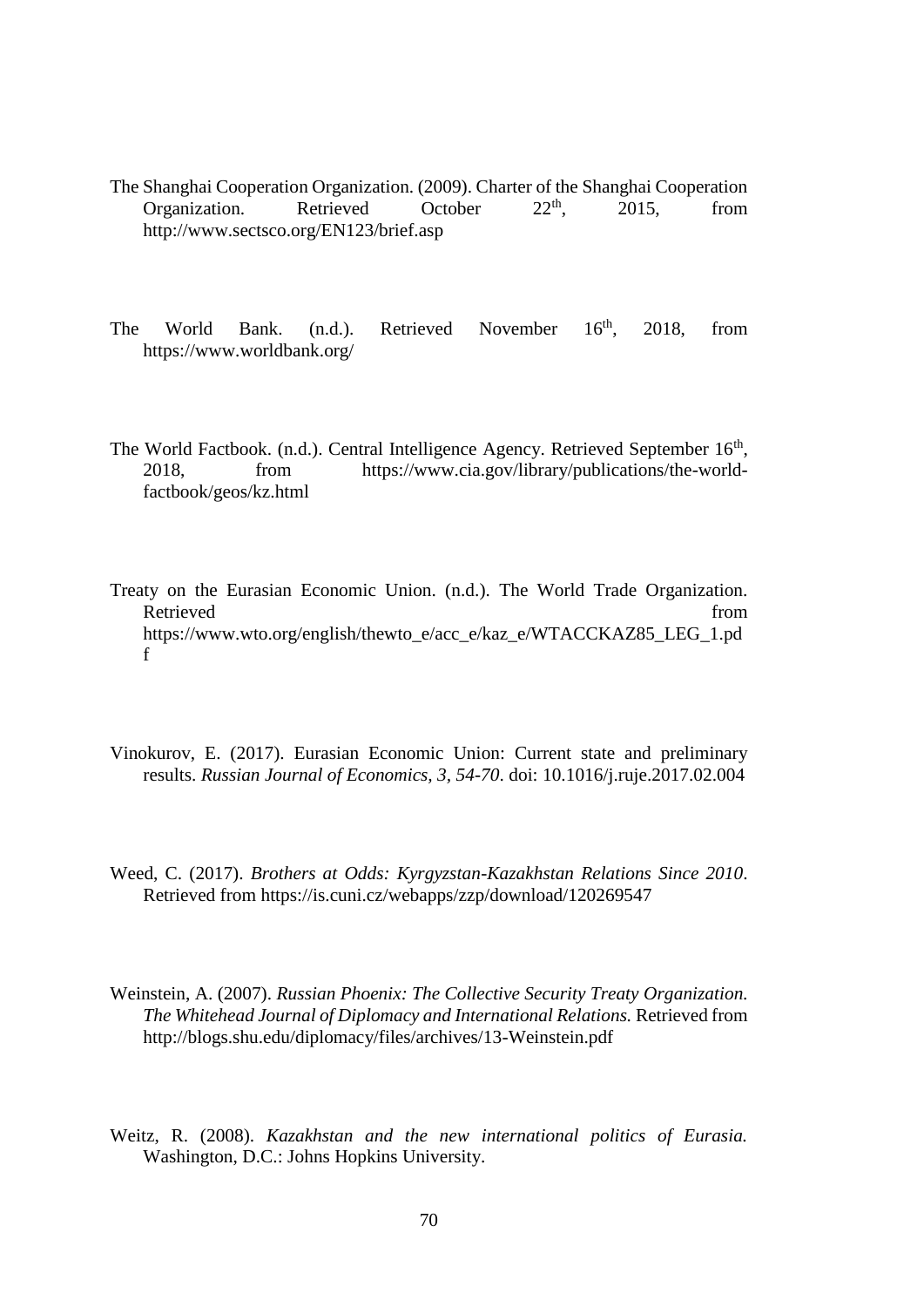- The Shanghai Cooperation Organization. (2009). Charter of the Shanghai Cooperation Organization. Retrieved October  $22<sup>th</sup>$ , 2015, from Organization. Retrieved October  $22<sup>th</sup>$ , 2015, from http://www.sectsco.org/EN123/brief.asp
- The World Bank. (n.d.). Retrieved November 16<sup>th</sup>, 2018, from https://www.worldbank.org/
- The World Factbook. (n.d.). Central Intelligence Agency. Retrieved September 16<sup>th</sup>, 2018, from https://www.cia.gov/library/publications/the-worldfactbook/geos/kz.html
- Treaty on the Eurasian Economic Union. (n.d.). The World Trade Organization. Retrieved from the state of the state of the state of the state of the state of the state of the state of the state of the state of the state of the state of the state of the state of the state of the state of the state of https://www.wto.org/english/thewto\_e/acc\_e/kaz\_e/WTACCKAZ85\_LEG\_1.pd f
- Vinokurov, E. (2017). Eurasian Economic Union: Current state and preliminary results. *Russian Journal of Economics, 3, 54-70*. doi: 10.1016/j.ruje.2017.02.004
- Weed, C. (2017). *Brothers at Odds: Kyrgyzstan-Kazakhstan Relations Since 2010*. Retrieved from https://is.cuni.cz/webapps/zzp/download/120269547
- Weinstein, A. (2007). *Russian Phoenix: The Collective Security Treaty Organization. The Whitehead Journal of Diplomacy and International Relations.* Retrieved from http://blogs.shu.edu/diplomacy/files/archives/13-Weinstein.pdf
- Weitz, R. (2008). *Kazakhstan and the new international politics of Eurasia.*  Washington, D.C.: Johns Hopkins University.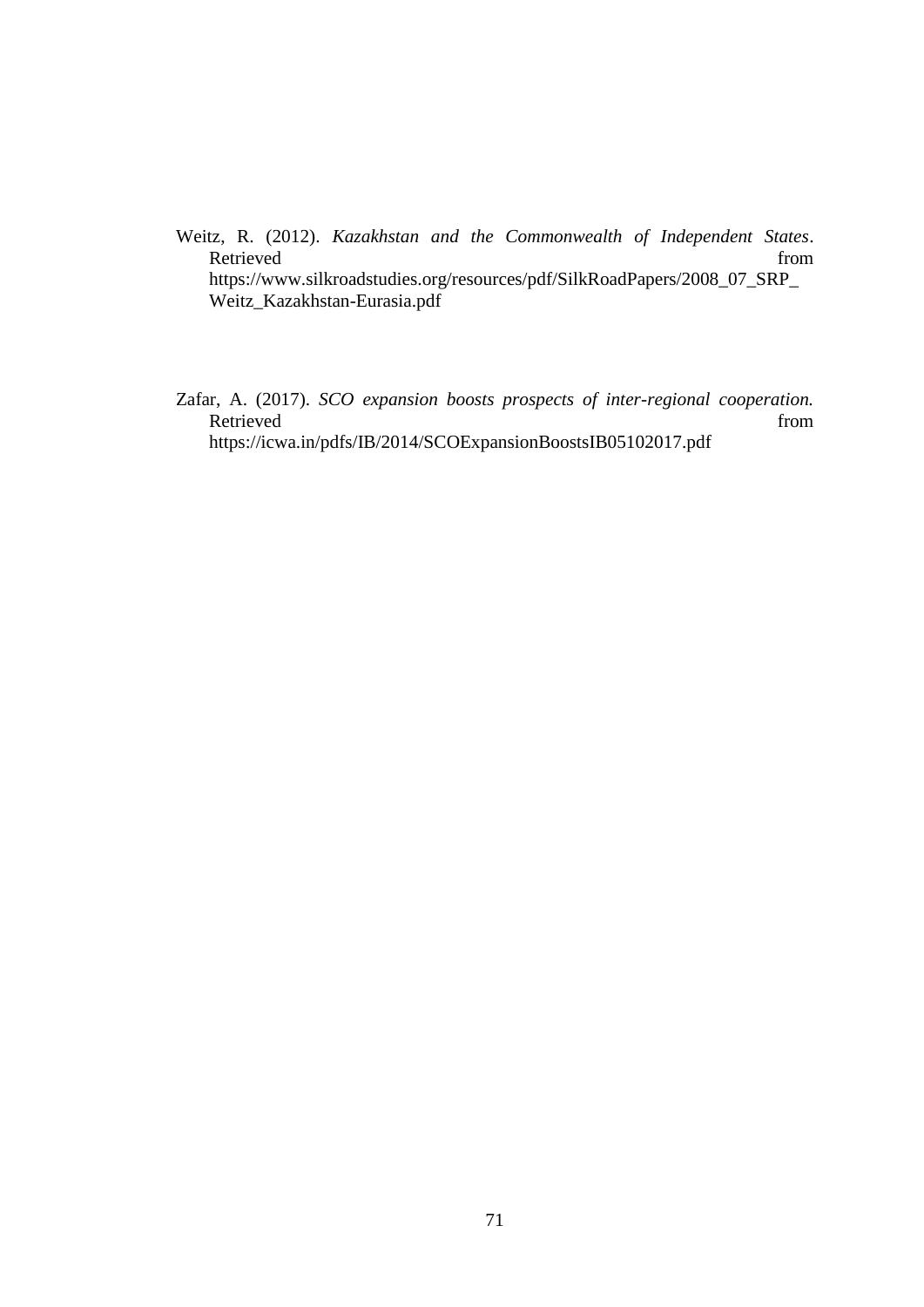- Weitz, R. (2012). *Kazakhstan and the Commonwealth of Independent States*. Retrieved from the state of  $\sim$ [https://www.silkroadstudies.org/resources/pdf/SilkRoadPapers/2008\\_07\\_SRP\\_](https://www.silkroadstudies.org/resources/pdf/SilkRoadPapers/2008_07_SRP_Weitz_Kazakhstan-Eurasia.pdf) [Weitz\\_Kazakhstan-Eurasia.pdf](https://www.silkroadstudies.org/resources/pdf/SilkRoadPapers/2008_07_SRP_Weitz_Kazakhstan-Eurasia.pdf)
- Zafar, A. (2017). *SCO expansion boosts prospects of inter-regional cooperation.* Retrieved from the state of the state of the state of the state of the state of the state of the state of the state of the state of the state of the state of the state of the state of the state of the state of the state of https://icwa.in/pdfs/IB/2014/SCOExpansionBoostsIB05102017.pdf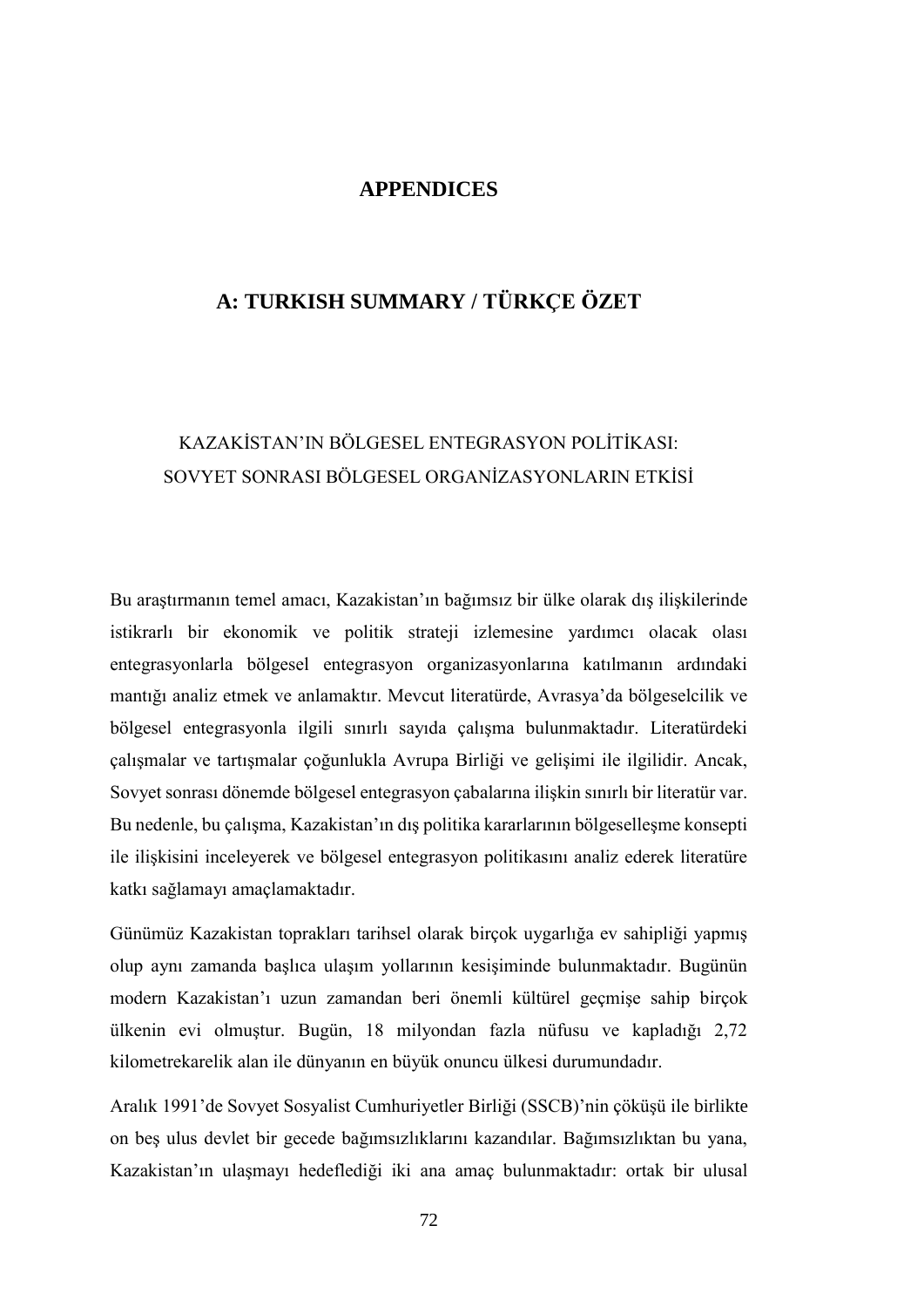#### **APPENDICES**

## **A: TURKISH SUMMARY / TÜRKÇE ÖZET**

# KAZAKİSTAN'IN BÖLGESEL ENTEGRASYON POLİTİKASI: SOVYET SONRASI BÖLGESEL ORGANİZASYONLARIN ETKİSİ

Bu araştırmanın temel amacı, Kazakistan'ın bağımsız bir ülke olarak dış ilişkilerinde istikrarlı bir ekonomik ve politik strateji izlemesine yardımcı olacak olası entegrasyonlarla bölgesel entegrasyon organizasyonlarına katılmanın ardındaki mantığı analiz etmek ve anlamaktır. Mevcut literatürde, Avrasya'da bölgeselcilik ve bölgesel entegrasyonla ilgili sınırlı sayıda çalışma bulunmaktadır. Literatürdeki çalışmalar ve tartışmalar çoğunlukla Avrupa Birliği ve gelişimi ile ilgilidir. Ancak, Sovyet sonrası dönemde bölgesel entegrasyon çabalarına ilişkin sınırlı bir literatür var. Bu nedenle, bu çalışma, Kazakistan'ın dış politika kararlarının bölgeselleşme konsepti ile ilişkisini inceleyerek ve bölgesel entegrasyon politikasını analiz ederek literatüre katkı sağlamayı amaçlamaktadır.

Günümüz Kazakistan toprakları tarihsel olarak birçok uygarlığa ev sahipliği yapmış olup aynı zamanda başlıca ulaşım yollarının kesişiminde bulunmaktadır. Bugünün modern Kazakistan'ı uzun zamandan beri önemli kültürel geçmişe sahip birçok ülkenin evi olmuştur. Bugün, 18 milyondan fazla nüfusu ve kapladığı 2,72 kilometrekarelik alan ile dünyanın en büyük onuncu ülkesi durumundadır.

Aralık 1991'de Sovyet Sosyalist Cumhuriyetler Birliği (SSCB)'nin çöküşü ile birlikte on beş ulus devlet bir gecede bağımsızlıklarını kazandılar. Bağımsızlıktan bu yana, Kazakistan'ın ulaşmayı hedeflediği iki ana amaç bulunmaktadır: ortak bir ulusal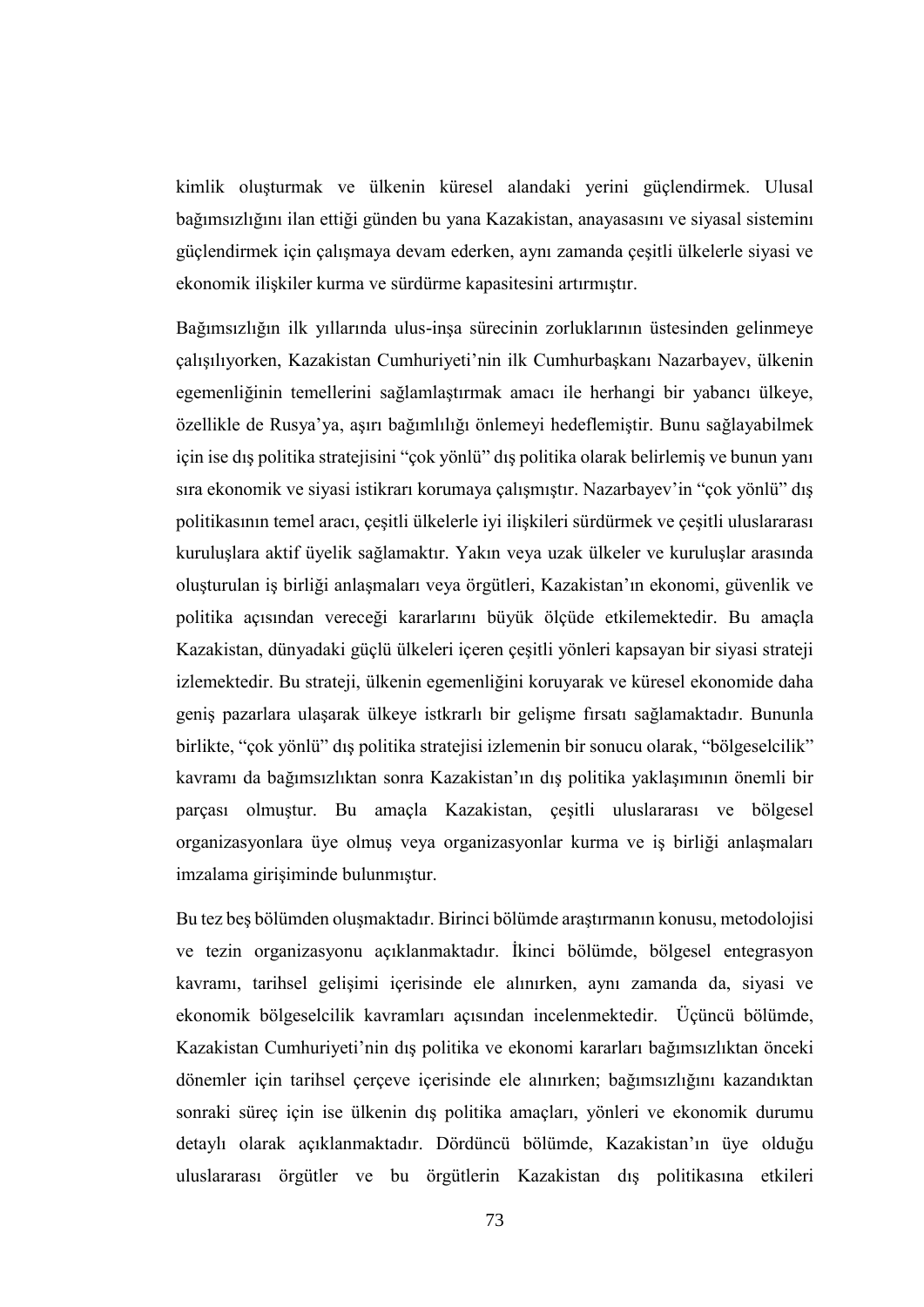kimlik oluşturmak ve ülkenin küresel alandaki yerini güçlendirmek. Ulusal bağımsızlığını ilan ettiği günden bu yana Kazakistan, anayasasını ve siyasal sisteminı güçlendirmek için çalışmaya devam ederken, aynı zamanda çeşitli ülkelerle siyasi ve ekonomik ilişkiler kurma ve sürdürme kapasitesini artırmıştır.

Bağımsızlığın ilk yıllarında ulus-inşa sürecinin zorluklarının üstesinden gelinmeye çalışılıyorken, Kazakistan Cumhuriyeti'nin ilk Cumhurbaşkanı Nazarbayev, ülkenin egemenliğinin temellerini sağlamlaştırmak amacı ile herhangi bir yabancı ülkeye, özellikle de Rusya'ya, aşırı bağımlılığı önlemeyi hedeflemiştir. Bunu sağlayabilmek için ise dış politika stratejisini "çok yönlü" dış politika olarak belirlemiş ve bunun yanı sıra ekonomik ve siyasi istikrarı korumaya çalışmıştır. Nazarbayev'in "çok yönlü" dış politikasının temel aracı, çeşitli ülkelerle iyi ilişkileri sürdürmek ve çeşitli uluslararası kuruluşlara aktif üyelik sağlamaktır. Yakın veya uzak ülkeler ve kuruluşlar arasında oluşturulan iş birliği anlaşmaları veya örgütleri, Kazakistan'ın ekonomi, güvenlik ve politika açısından vereceği kararlarını büyük ölçüde etkilemektedir. Bu amaçla Kazakistan, dünyadaki güçlü ülkeleri içeren çeşitli yönleri kapsayan bir siyasi strateji izlemektedir. Bu strateji, ülkenin egemenliğini koruyarak ve küresel ekonomide daha geniş pazarlara ulaşarak ülkeye istkrarlı bir gelişme fırsatı sağlamaktadır. Bununla birlikte, "çok yönlü" dış politika stratejisi izlemenin bir sonucu olarak, "bölgeselcilik" kavramı da bağımsızlıktan sonra Kazakistan'ın dış politika yaklaşımının önemli bir parçası olmuştur. Bu amaçla Kazakistan, çeşitli uluslararası ve bölgesel organizasyonlara üye olmuş veya organizasyonlar kurma ve iş birliği anlaşmaları imzalama girişiminde bulunmıştur.

Bu tez beş bölümden oluşmaktadır. Birinci bölümde araştırmanın konusu, metodolojisi ve tezin organizasyonu açıklanmaktadır. İkinci bölümde, bölgesel entegrasyon kavramı, tarihsel gelişimi içerisinde ele alınırken, aynı zamanda da, siyasi ve ekonomik bölgeselcilik kavramları açısından incelenmektedir. Üçüncü bölümde, Kazakistan Cumhuriyeti'nin dış politika ve ekonomi kararları bağımsızlıktan önceki dönemler için tarihsel çerçeve içerisinde ele alınırken; bağımsızlığını kazandıktan sonraki süreç için ise ülkenin dış politika amaçları, yönleri ve ekonomik durumu detaylı olarak açıklanmaktadır. Dördüncü bölümde, Kazakistan'ın üye olduğu uluslararası örgütler ve bu örgütlerin Kazakistan dış politikasına etkileri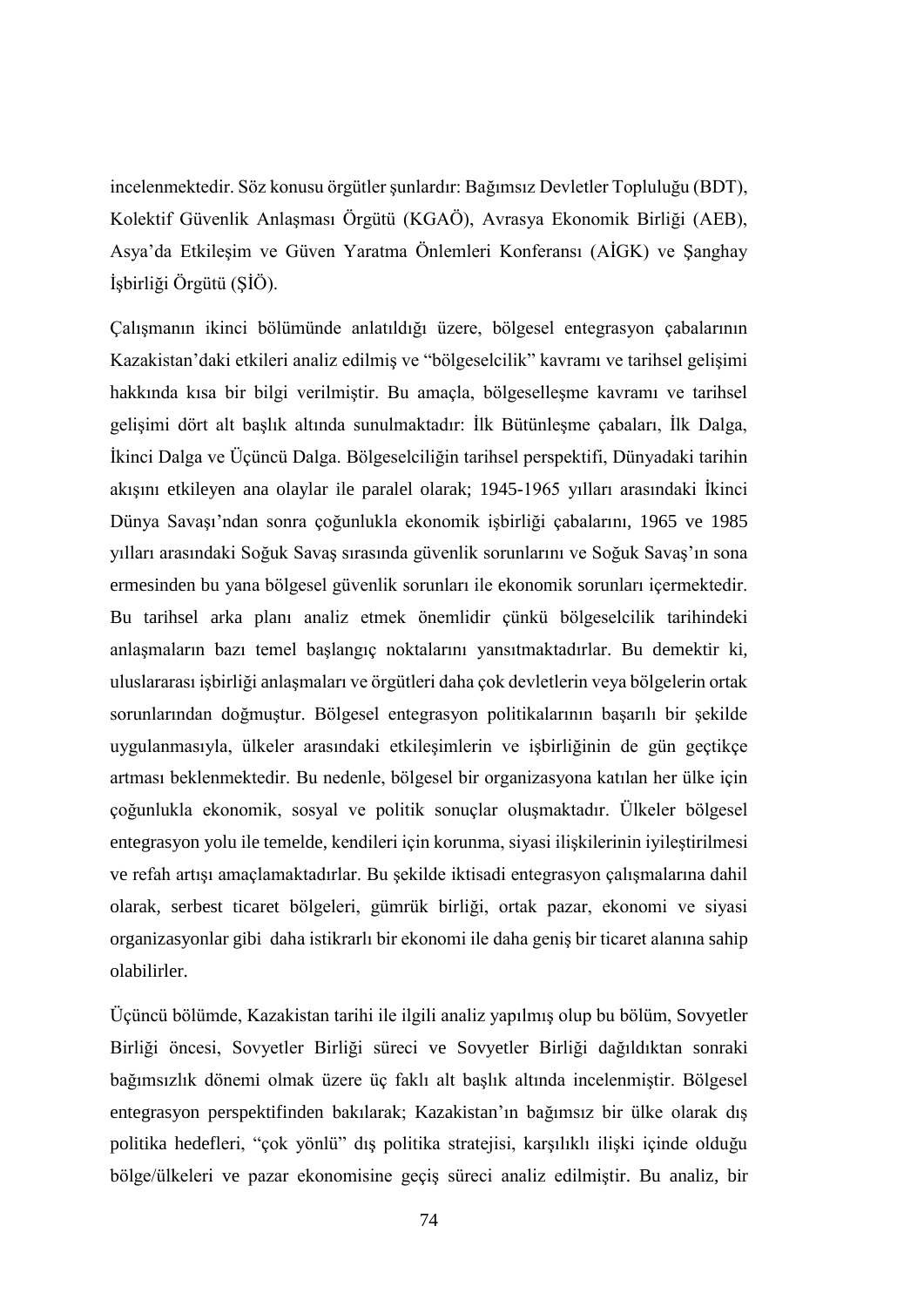incelenmektedir. Söz konusu örgütler şunlardır: Bağımsız Devletler Topluluğu (BDT), Kolektif Güvenlik Anlaşması Örgütü (KGAÖ), Avrasya Ekonomik Birliği (AEB), Asya'da Etkileşim ve Güven Yaratma Önlemleri Konferansı (AİGK) ve Şanghay İşbirliği Örgütü (ŞİÖ).

Çalışmanın ikinci bölümünde anlatıldığı üzere, bölgesel entegrasyon çabalarının Kazakistan'daki etkileri analiz edilmiş ve "bölgeselcilik" kavramı ve tarihsel gelişimi hakkında kısa bir bilgi verilmiştir. Bu amaçla, bölgeselleşme kavramı ve tarihsel gelişimi dört alt başlık altında sunulmaktadır: İlk Bütünleşme çabaları, İlk Dalga, İkinci Dalga ve Üçüncü Dalga. Bölgeselciliğin tarihsel perspektifi, Dünyadaki tarihin akışını etkileyen ana olaylar ile paralel olarak; 1945-1965 yılları arasındaki İkinci Dünya Savaşı'ndan sonra çoğunlukla ekonomik işbirliği çabalarını, 1965 ve 1985 yılları arasındaki Soğuk Savaş sırasında güvenlik sorunlarını ve Soğuk Savaş'ın sona ermesinden bu yana bölgesel güvenlik sorunları ile ekonomik sorunları içermektedir. Bu tarihsel arka planı analiz etmek önemlidir çünkü bölgeselcilik tarihindeki anlaşmaların bazı temel başlangıç noktalarını yansıtmaktadırlar. Bu demektir ki, uluslararası işbirliği anlaşmaları ve örgütleri daha çok devletlerin veya bölgelerin ortak sorunlarından doğmuştur. Bölgesel entegrasyon politikalarının başarılı bir şekilde uygulanmasıyla, ülkeler arasındaki etkileşimlerin ve işbirliğinin de gün geçtikçe artması beklenmektedir. Bu nedenle, bölgesel bir organizasyona katılan her ülke için çoğunlukla ekonomik, sosyal ve politik sonuçlar oluşmaktadır. Ülkeler bölgesel entegrasyon yolu ile temelde, kendileri için korunma, siyasi ilişkilerinin iyileştirilmesi ve refah artışı amaçlamaktadırlar. Bu şekilde iktisadi entegrasyon çalışmalarına dahil olarak, serbest ticaret bölgeleri, gümrük birliği, ortak pazar, ekonomi ve siyasi organizasyonlar gibi daha istikrarlı bir ekonomi ile daha geniş bir ticaret alanına sahip olabilirler.

Üçüncü bölümde, Kazakistan tarihi ile ilgili analiz yapılmış olup bu bölüm, Sovyetler Birliği öncesi, Sovyetler Birliği süreci ve Sovyetler Birliği dağıldıktan sonraki bağımsızlık dönemi olmak üzere üç faklı alt başlık altında incelenmiştir. Bölgesel entegrasyon perspektifinden bakılarak; Kazakistan'ın bağımsız bir ülke olarak dış politika hedefleri, "çok yönlü" dış politika stratejisi, karşılıklı ilişki içinde olduğu bölge/ülkeleri ve pazar ekonomisine geçiş süreci analiz edilmiştir. Bu analiz, bir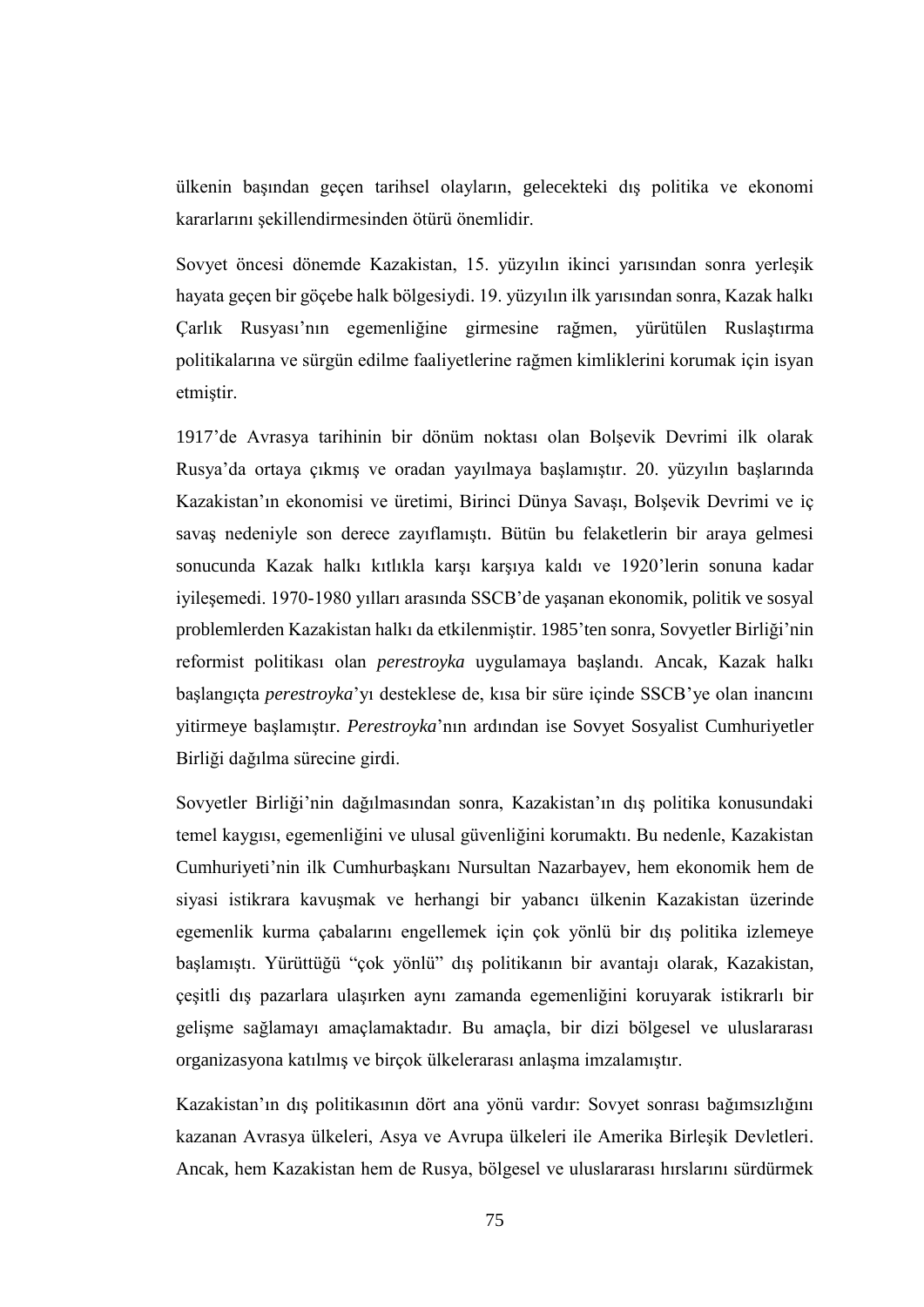ülkenin başından geçen tarihsel olayların, gelecekteki dış politika ve ekonomi kararlarını şekillendirmesinden ötürü önemlidir.

Sovyet öncesi dönemde Kazakistan, 15. yüzyılın ikinci yarısından sonra yerleşik hayata geçen bir göçebe halk bölgesiydi. 19. yüzyılın ilk yarısından sonra, Kazak halkı Çarlık Rusyası'nın egemenliğine girmesine rağmen, yürütülen Ruslaştırma politikalarına ve sürgün edilme faaliyetlerine rağmen kimliklerini korumak için isyan etmiştir.

1917'de Avrasya tarihinin bir dönüm noktası olan Bolşevik Devrimi ilk olarak Rusya'da ortaya çıkmış ve oradan yayılmaya başlamıştır. 20. yüzyılın başlarında Kazakistan'ın ekonomisi ve üretimi, Birinci Dünya Savaşı, Bolşevik Devrimi ve iç savaş nedeniyle son derece zayıflamıştı. Bütün bu felaketlerin bir araya gelmesi sonucunda Kazak halkı kıtlıkla karşı karşıya kaldı ve 1920'lerin sonuna kadar iyileşemedi. 1970-1980 yılları arasında SSCB'de yaşanan ekonomik, politik ve sosyal problemlerden Kazakistan halkı da etkilenmiştir. 1985'ten sonra, Sovyetler Birliği'nin reformist politikası olan *perestroyka* uygulamaya başlandı. Ancak, Kazak halkı başlangıçta *perestroyka*'yı desteklese de, kısa bir süre içinde SSCB'ye olan inancını yitirmeye başlamıştır. *Perestroyka*'nın ardından ise Sovyet Sosyalist Cumhuriyetler Birliği dağılma sürecine girdi.

Sovyetler Birliği'nin dağılmasından sonra, Kazakistan'ın dış politika konusundaki temel kaygısı, egemenliğini ve ulusal güvenliğini korumaktı. Bu nedenle, Kazakistan Cumhuriyeti'nin ilk Cumhurbaşkanı Nursultan Nazarbayev, hem ekonomik hem de siyasi istikrara kavuşmak ve herhangi bir yabancı ülkenin Kazakistan üzerinde egemenlik kurma çabalarını engellemek için çok yönlü bir dış politika izlemeye başlamıştı. Yürüttüğü "çok yönlü" dış politikanın bir avantajı olarak, Kazakistan, çeşitli dış pazarlara ulaşırken aynı zamanda egemenliğini koruyarak istikrarlı bir gelişme sağlamayı amaçlamaktadır. Bu amaçla, bir dizi bölgesel ve uluslararası organizasyona katılmış ve birçok ülkelerarası anlaşma imzalamıştır.

Kazakistan'ın dış politikasının dört ana yönü vardır: Sovyet sonrası bağımsızlığını kazanan Avrasya ülkeleri, Asya ve Avrupa ülkeleri ile Amerika Birleşik Devletleri. Ancak, hem Kazakistan hem de Rusya, bölgesel ve uluslararası hırslarını sürdürmek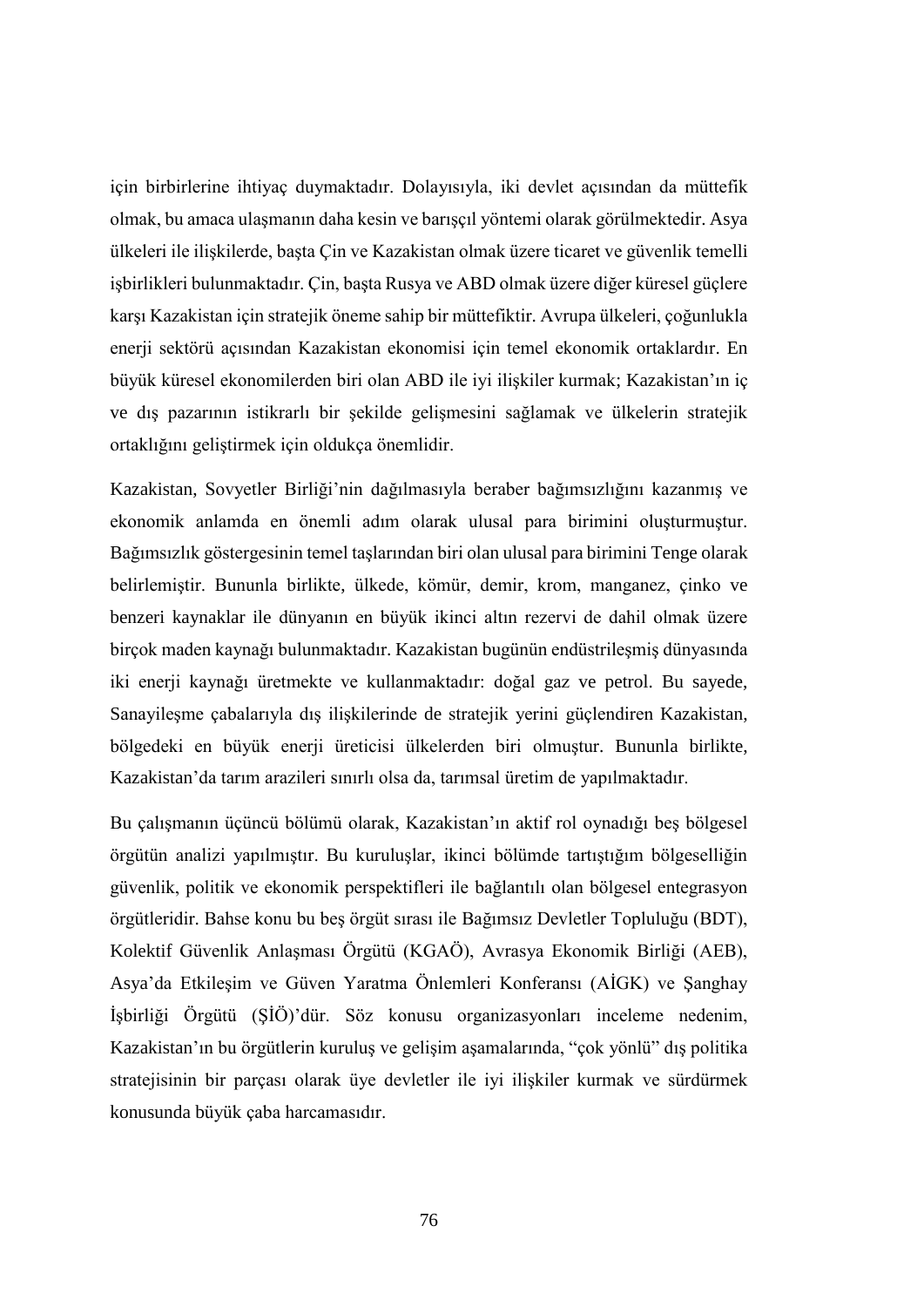için birbirlerine ihtiyaç duymaktadır. Dolayısıyla, iki devlet açısından da müttefik olmak, bu amaca ulaşmanın daha kesin ve barışçıl yöntemi olarak görülmektedir. Asya ülkeleri ile ilişkilerde, başta Çin ve Kazakistan olmak üzere ticaret ve güvenlik temelli işbirlikleri bulunmaktadır. Çin, başta Rusya ve ABD olmak üzere diğer küresel güçlere karşı Kazakistan için stratejik öneme sahip bir müttefiktir. Avrupa ülkeleri, çoğunlukla enerji sektörü açısından Kazakistan ekonomisi için temel ekonomik ortaklardır. En büyük küresel ekonomilerden biri olan ABD ile iyi ilişkiler kurmak; Kazakistan'ın iç ve dış pazarının istikrarlı bir şekilde gelişmesini sağlamak ve ülkelerin stratejik ortaklığını geliştirmek için oldukça önemlidir.

Kazakistan, Sovyetler Birliği'nin dağılmasıyla beraber bağımsızlığını kazanmış ve ekonomik anlamda en önemli adım olarak ulusal para birimini oluşturmuştur. Bağımsızlık göstergesinin temel taşlarından biri olan ulusal para birimini Tenge olarak belirlemiştir. Bununla birlikte, ülkede, kömür, demir, krom, manganez, çinko ve benzeri kaynaklar ile dünyanın en büyük ikinci altın rezervi de dahil olmak üzere birçok maden kaynağı bulunmaktadır. Kazakistan bugünün endüstrileşmiş dünyasında iki enerji kaynağı üretmekte ve kullanmaktadır: doğal gaz ve petrol. Bu sayede, Sanayileşme çabalarıyla dış ilişkilerinde de stratejik yerini güçlendiren Kazakistan, bölgedeki en büyük enerji üreticisi ülkelerden biri olmuştur. Bununla birlikte, Kazakistan'da tarım arazileri sınırlı olsa da, tarımsal üretim de yapılmaktadır.

Bu çalışmanın üçüncü bölümü olarak, Kazakistan'ın aktif rol oynadığı beş bölgesel örgütün analizi yapılmıştır. Bu kuruluşlar, ikinci bölümde tartıştığım bölgeselliğin güvenlik, politik ve ekonomik perspektifleri ile bağlantılı olan bölgesel entegrasyon örgütleridir. Bahse konu bu beş örgüt sırası ile Bağımsız Devletler Topluluğu (BDT), Kolektif Güvenlik Anlaşması Örgütü (KGAÖ), Avrasya Ekonomik Birliği (AEB), Asya'da Etkileşim ve Güven Yaratma Önlemleri Konferansı (AİGK) ve Şanghay İşbirliği Örgütü (ŞİÖ)'dür. Söz konusu organizasyonları inceleme nedenim, Kazakistan'ın bu örgütlerin kuruluş ve gelişim aşamalarında, "çok yönlü" dış politika stratejisinin bir parçası olarak üye devletler ile iyi ilişkiler kurmak ve sürdürmek konusunda büyük çaba harcamasıdır.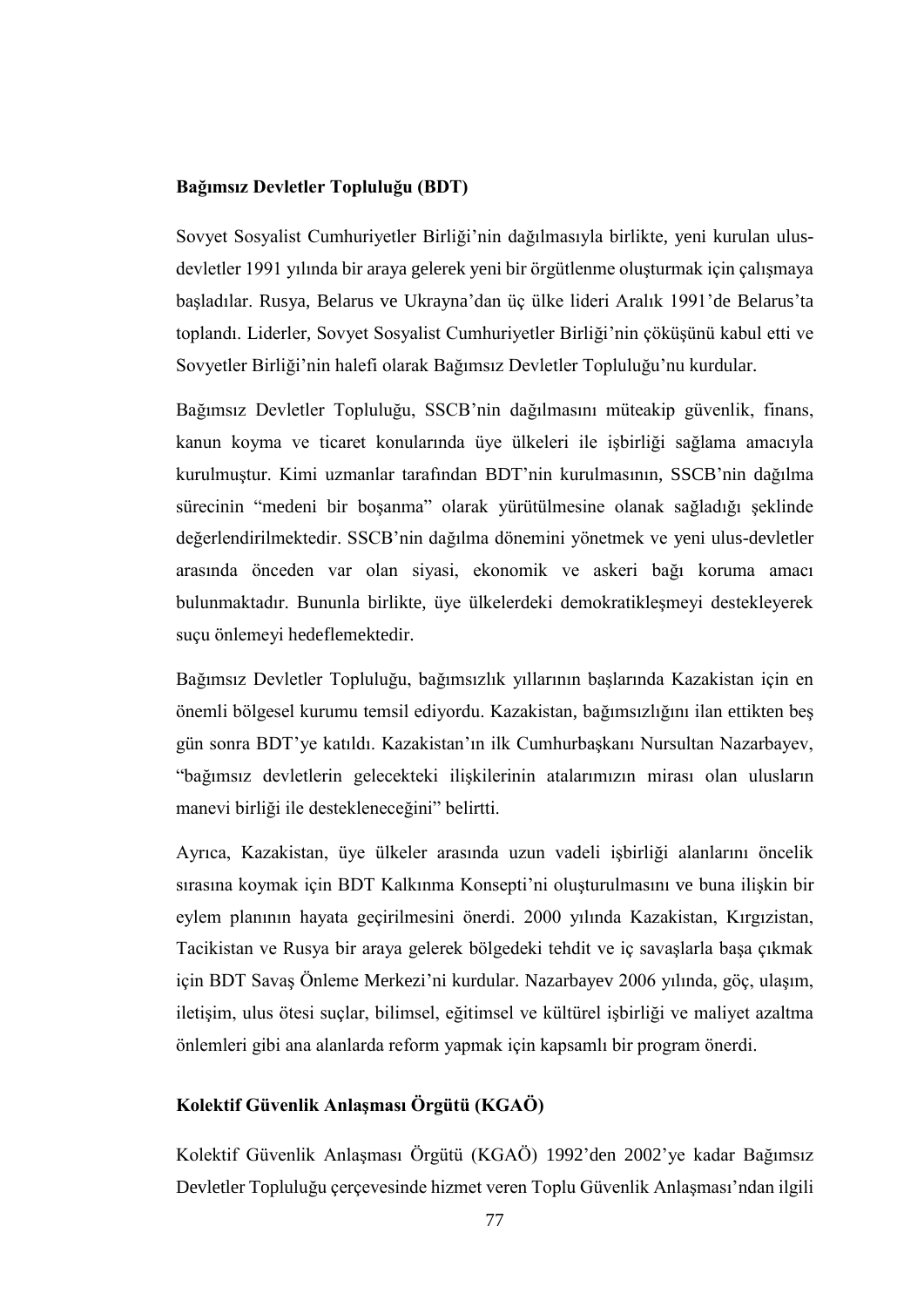#### **Bağımsız Devletler Topluluğu (BDT)**

Sovyet Sosyalist Cumhuriyetler Birliği'nin dağılmasıyla birlikte, yeni kurulan ulusdevletler 1991 yılında bir araya gelerek yeni bir örgütlenme oluşturmak için çalışmaya başladılar. Rusya, Belarus ve Ukrayna'dan üç ülke lideri Aralık 1991'de Belarus'ta toplandı. Liderler, Sovyet Sosyalist Cumhuriyetler Birliği'nin çöküşünü kabul etti ve Sovyetler Birliği'nin halefi olarak Bağımsız Devletler Topluluğu'nu kurdular.

Bağımsız Devletler Topluluğu, SSCB'nin dağılmasını müteakip güvenlik, finans, kanun koyma ve ticaret konularında üye ülkeleri ile işbirliği sağlama amacıyla kurulmuştur. Kimi uzmanlar tarafından BDT'nin kurulmasının, SSCB'nin dağılma sürecinin "medeni bir boşanma" olarak yürütülmesine olanak sağladığı şeklinde değerlendirilmektedir. SSCB'nin dağılma dönemini yönetmek ve yeni ulus-devletler arasında önceden var olan siyasi, ekonomik ve askeri bağı koruma amacı bulunmaktadır. Bununla birlikte, üye ülkelerdeki demokratikleşmeyi destekleyerek suçu önlemeyi hedeflemektedir.

Bağımsız Devletler Topluluğu, bağımsızlık yıllarının başlarında Kazakistan için en önemli bölgesel kurumu temsil ediyordu. Kazakistan, bağımsızlığını ilan ettikten beş gün sonra BDT'ye katıldı. Kazakistan'ın ilk Cumhurbaşkanı Nursultan Nazarbayev, "bağımsız devletlerin gelecekteki ilişkilerinin atalarımızın mirası olan ulusların manevi birliği ile destekleneceğini" belirtti.

Ayrıca, Kazakistan, üye ülkeler arasında uzun vadeli işbirliği alanlarını öncelik sırasına koymak için BDT Kalkınma Konsepti'ni oluşturulmasını ve buna ilişkin bir eylem planının hayata geçirilmesini önerdi. 2000 yılında Kazakistan, Kırgızistan, Tacikistan ve Rusya bir araya gelerek bölgedeki tehdit ve iç savaşlarla başa çıkmak için BDT Savaş Önleme Merkezi'ni kurdular. Nazarbayev 2006 yılında, göç, ulaşım, iletişim, ulus ötesi suçlar, bilimsel, eğitimsel ve kültürel işbirliği ve maliyet azaltma önlemleri gibi ana alanlarda reform yapmak için kapsamlı bir program önerdi.

#### **Kolektif Güvenlik Anlaşması Örgütü (KGAÖ)**

Kolektif Güvenlik Anlaşması Örgütü (KGAÖ) 1992'den 2002'ye kadar Bağımsız Devletler Topluluğu çerçevesinde hizmet veren Toplu Güvenlik Anlaşması'ndan ilgili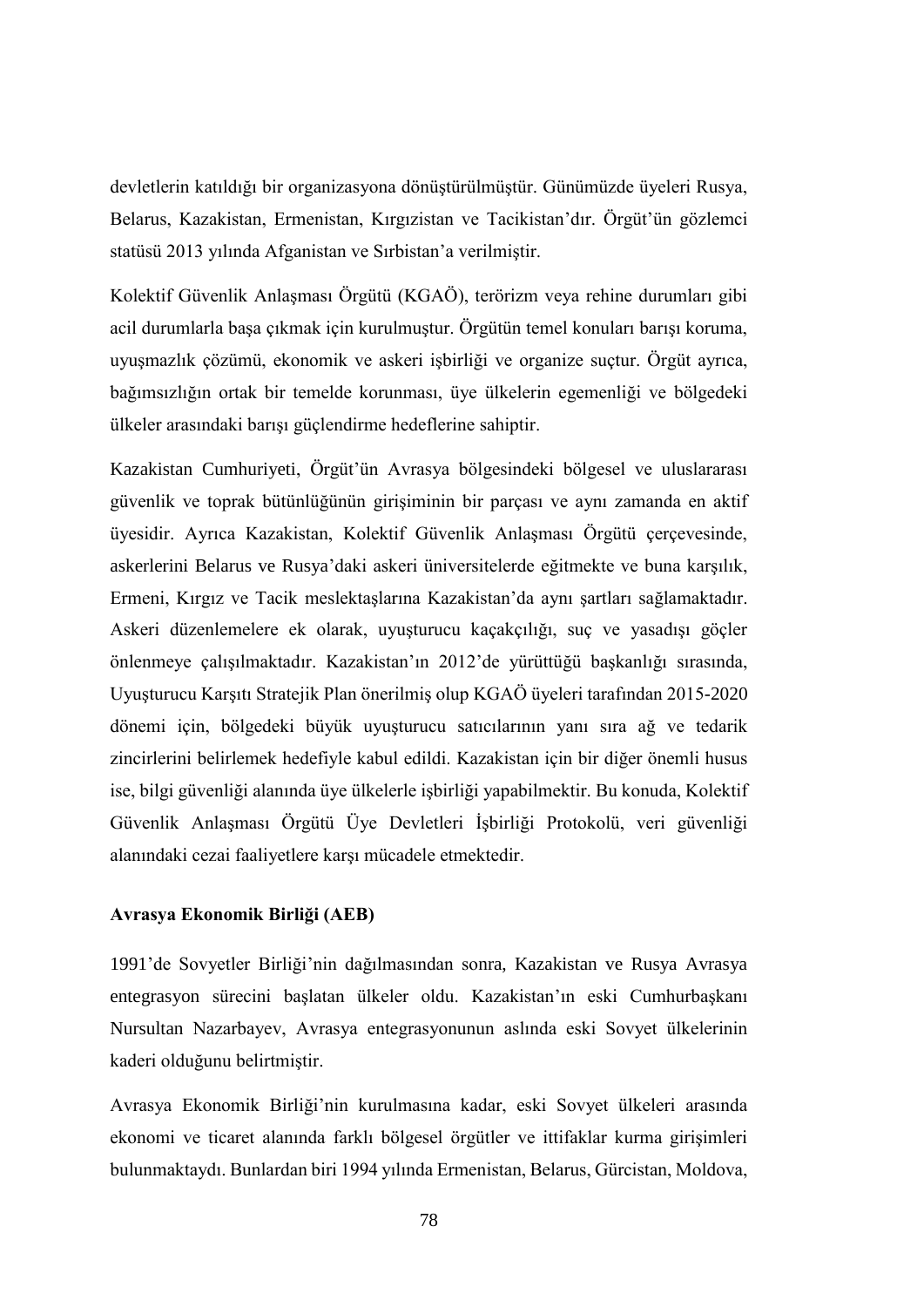devletlerin katıldığı bir organizasyona dönüştürülmüştür. Günümüzde üyeleri Rusya, Belarus, Kazakistan, Ermenistan, Kırgızistan ve Tacikistan'dır. Örgüt'ün gözlemci statüsü 2013 yılında Afganistan ve Sırbistan'a verilmiştir.

Kolektif Güvenlik Anlaşması Örgütü (KGAÖ), terörizm veya rehine durumları gibi acil durumlarla başa çıkmak için kurulmuştur. Örgütün temel konuları barışı koruma, uyuşmazlık çözümü, ekonomik ve askeri işbirliği ve organize suçtur. Örgüt ayrıca, bağımsızlığın ortak bir temelde korunması, üye ülkelerin egemenliği ve bölgedeki ülkeler arasındaki barışı güçlendirme hedeflerine sahiptir.

Kazakistan Cumhuriyeti, Örgüt'ün Avrasya bölgesindeki bölgesel ve uluslararası güvenlik ve toprak bütünlüğünün girişiminin bir parçası ve aynı zamanda en aktif üyesidir. Ayrıca Kazakistan, Kolektif Güvenlik Anlaşması Örgütü çerçevesinde, askerlerini Belarus ve Rusya'daki askeri üniversitelerde eğitmekte ve buna karşılık, Ermeni, Kırgız ve Tacik meslektaşlarına Kazakistan'da aynı şartları sağlamaktadır. Askeri düzenlemelere ek olarak, uyuşturucu kaçakçılığı, suç ve yasadışı göçler önlenmeye çalışılmaktadır. Kazakistan'ın 2012'de yürüttüğü başkanlığı sırasında, Uyuşturucu Karşıtı Stratejik Plan önerilmiş olup KGAÖ üyeleri tarafından 2015-2020 dönemi için, bölgedeki büyük uyuşturucu satıcılarının yanı sıra ağ ve tedarik zincirlerini belirlemek hedefiyle kabul edildi. Kazakistan için bir diğer önemli husus ise, bilgi güvenliği alanında üye ülkelerle işbirliği yapabilmektir. Bu konuda, Kolektif Güvenlik Anlaşması Örgütü Üye Devletleri İşbirliği Protokolü, veri güvenliği alanındaki cezai faaliyetlere karşı mücadele etmektedir.

#### **Avrasya Ekonomik Birliği (AEB)**

1991'de Sovyetler Birliği'nin dağılmasından sonra, Kazakistan ve Rusya Avrasya entegrasyon sürecini başlatan ülkeler oldu. Kazakistan'ın eski Cumhurbaşkanı Nursultan Nazarbayev, Avrasya entegrasyonunun aslında eski Sovyet ülkelerinin kaderi olduğunu belirtmiştir.

Avrasya Ekonomik Birliği'nin kurulmasına kadar, eski Sovyet ülkeleri arasında ekonomi ve ticaret alanında farklı bölgesel örgütler ve ittifaklar kurma girişimleri bulunmaktaydı. Bunlardan biri 1994 yılında Ermenistan, Belarus, Gürcistan, Moldova,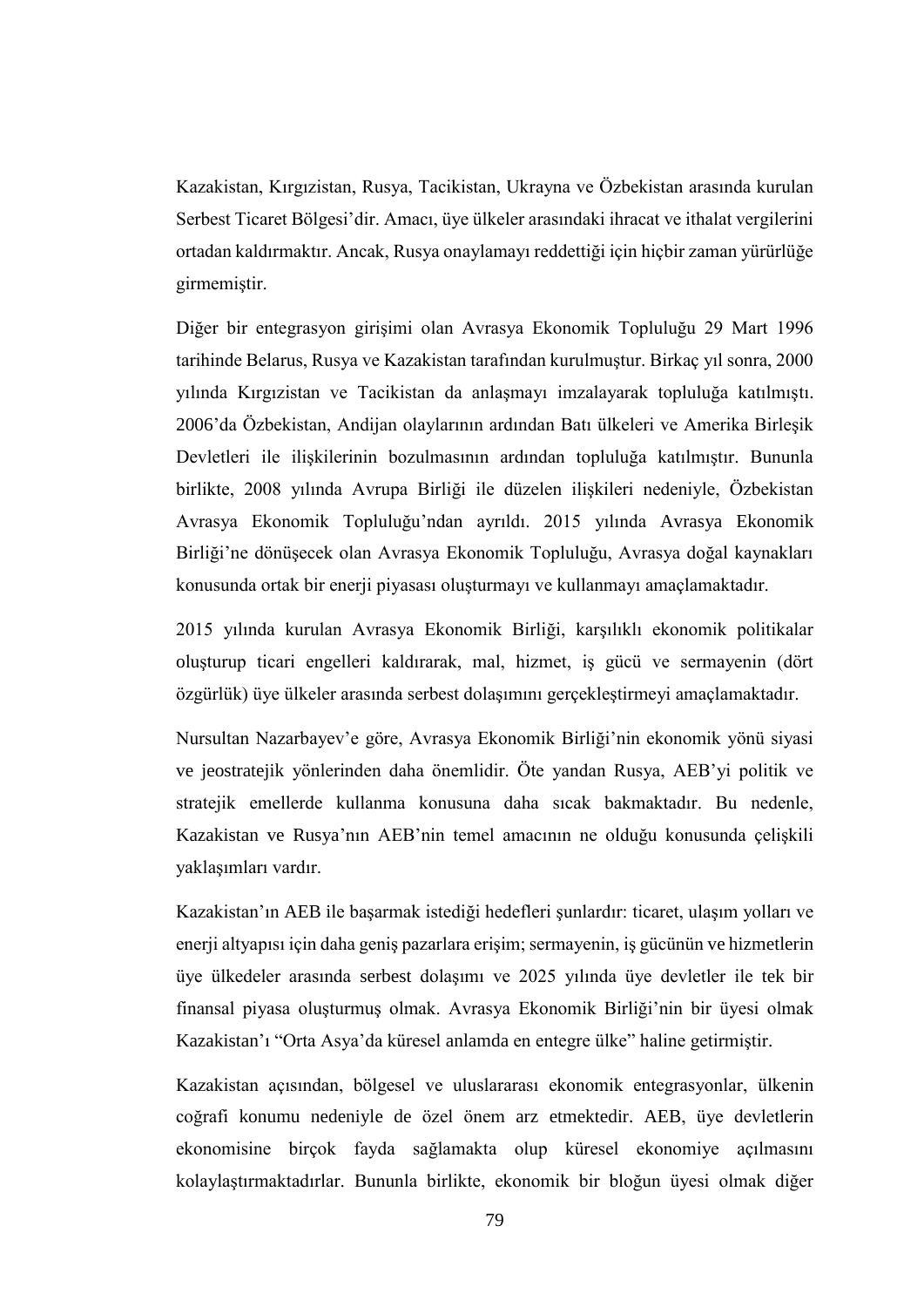Kazakistan, Kırgızistan, Rusya, Tacikistan, Ukrayna ve Özbekistan arasında kurulan Serbest Ticaret Bölgesi'dir. Amacı, üye ülkeler arasındaki ihracat ve ithalat vergilerini ortadan kaldırmaktır. Ancak, Rusya onaylamayı reddettiği için hiçbir zaman yürürlüğe girmemiştir.

Diğer bir entegrasyon girişimi olan Avrasya Ekonomik Topluluğu 29 Mart 1996 tarihinde Belarus, Rusya ve Kazakistan tarafından kurulmuştur. Birkaç yıl sonra, 2000 yılında Kırgızistan ve Tacikistan da anlaşmayı imzalayarak topluluğa katılmıştı. 2006'da Özbekistan, Andijan olaylarının ardından Batı ülkeleri ve Amerika Birleşik Devletleri ile ilişkilerinin bozulmasının ardından topluluğa katılmıştır. Bununla birlikte, 2008 yılında Avrupa Birliği ile düzelen ilişkileri nedeniyle, Özbekistan Avrasya Ekonomik Topluluğu'ndan ayrıldı. 2015 yılında Avrasya Ekonomik Birliği'ne dönüşecek olan Avrasya Ekonomik Topluluğu, Avrasya doğal kaynakları konusunda ortak bir enerji piyasası oluşturmayı ve kullanmayı amaçlamaktadır.

2015 yılında kurulan Avrasya Ekonomik Birliği, karşılıklı ekonomik politikalar oluşturup ticari engelleri kaldırarak, mal, hizmet, iş gücü ve sermayenin (dört özgürlük) üye ülkeler arasında serbest dolaşımını gerçekleştirmeyi amaçlamaktadır.

Nursultan Nazarbayev'e göre, Avrasya Ekonomik Birliği'nin ekonomik yönü siyasi ve jeostratejik yönlerinden daha önemlidir. Öte yandan Rusya, AEB'yi politik ve stratejik emellerde kullanma konusuna daha sıcak bakmaktadır. Bu nedenle, Kazakistan ve Rusya'nın AEB'nin temel amacının ne olduğu konusunda çelişkili yaklaşımları vardır.

Kazakistan'ın AEB ile başarmak istediği hedefleri şunlardır: ticaret, ulaşım yolları ve enerji altyapısı için daha geniş pazarlara erişim; sermayenin, iş gücünün ve hizmetlerin üye ülkedeler arasında serbest dolaşımı ve 2025 yılında üye devletler ile tek bir finansal piyasa oluşturmuş olmak. Avrasya Ekonomik Birliği'nin bir üyesi olmak Kazakistan'ı "Orta Asya'da küresel anlamda en entegre ülke" haline getirmiştir.

Kazakistan açısından, bölgesel ve uluslararası ekonomik entegrasyonlar, ülkenin coğrafi konumu nedeniyle de özel önem arz etmektedir. AEB, üye devletlerin ekonomisine birçok fayda sağlamakta olup küresel ekonomiye açılmasını kolaylaştırmaktadırlar. Bununla birlikte, ekonomik bir bloğun üyesi olmak diğer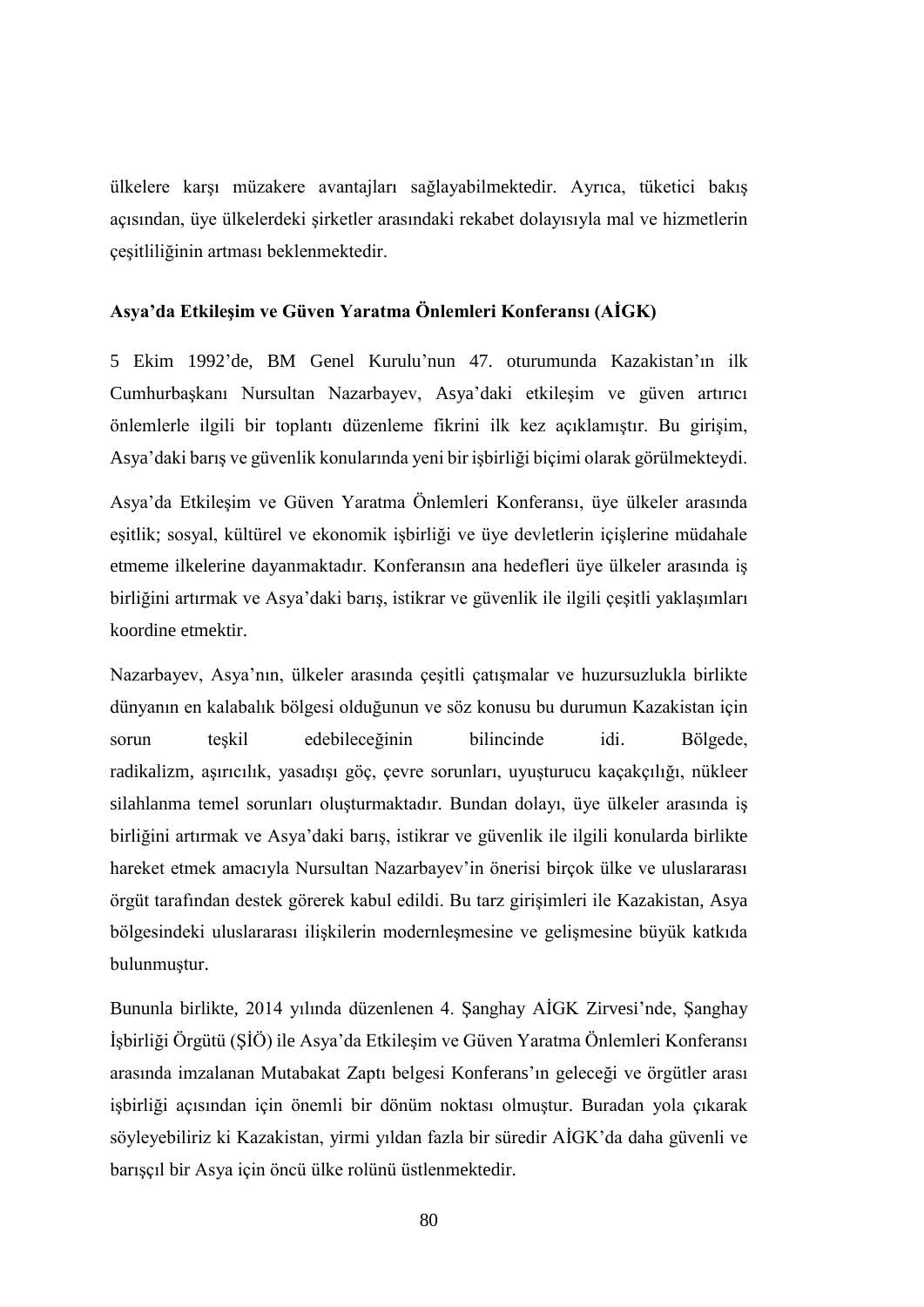ülkelere karşı müzakere avantajları sağlayabilmektedir. Ayrıca, tüketici bakış açısından, üye ülkelerdeki şirketler arasındaki rekabet dolayısıyla mal ve hizmetlerin çeşitliliğinin artması beklenmektedir.

#### **Asya'da Etkileşim ve Güven Yaratma Önlemleri Konferansı (AİGK)**

5 Ekim 1992'de, BM Genel Kurulu'nun 47. oturumunda Kazakistan'ın ilk Cumhurbaşkanı Nursultan Nazarbayev, Asya'daki etkileşim ve güven artırıcı önlemlerle ilgili bir toplantı düzenleme fikrini ilk kez açıklamıştır. Bu girişim, Asya'daki barış ve güvenlik konularında yeni bir işbirliği biçimi olarak görülmekteydi.

Asya'da Etkileşim ve Güven Yaratma Önlemleri Konferansı, üye ülkeler arasında eşitlik; sosyal, kültürel ve ekonomik işbirliği ve üye devletlerin içişlerine müdahale etmeme ilkelerine dayanmaktadır. Konferansın ana hedefleri üye ülkeler arasında iş birliğini artırmak ve Asya'daki barış, istikrar ve güvenlik ile ilgili çeşitli yaklaşımları koordine etmektir.

Nazarbayev, Asya'nın, ülkeler arasında çeşitli çatışmalar ve huzursuzlukla birlikte dünyanın en kalabalık bölgesi olduğunun ve söz konusu bu durumun Kazakistan için sorun teşkil edebileceğinin bilincinde idi. Bölgede, radikalizm, aşırıcılık, yasadışı göç, çevre sorunları, uyuşturucu kaçakçılığı, nükleer silahlanma temel sorunları oluşturmaktadır. Bundan dolayı, üye ülkeler arasında iş birliğini artırmak ve Asya'daki barış, istikrar ve güvenlik ile ilgili konularda birlikte hareket etmek amacıyla Nursultan Nazarbayev'in önerisi birçok ülke ve uluslararası örgüt tarafından destek görerek kabul edildi. Bu tarz girişimleri ile Kazakistan, Asya bölgesindeki uluslararası ilişkilerin modernleşmesine ve gelişmesine büyük katkıda bulunmuştur.

Bununla birlikte, 2014 yılında düzenlenen 4. Şanghay AİGK Zirvesi'nde, Şanghay İşbirliği Örgütü (ŞİÖ) ile Asya'da Etkileşim ve Güven Yaratma Önlemleri Konferansı arasında imzalanan Mutabakat Zaptı belgesi Konferans'ın geleceği ve örgütler arası işbirliği açısından için önemli bir dönüm noktası olmuştur. Buradan yola çıkarak söyleyebiliriz ki Kazakistan, yirmi yıldan fazla bir süredir AİGK'da daha güvenli ve barışçıl bir Asya için öncü ülke rolünü üstlenmektedir.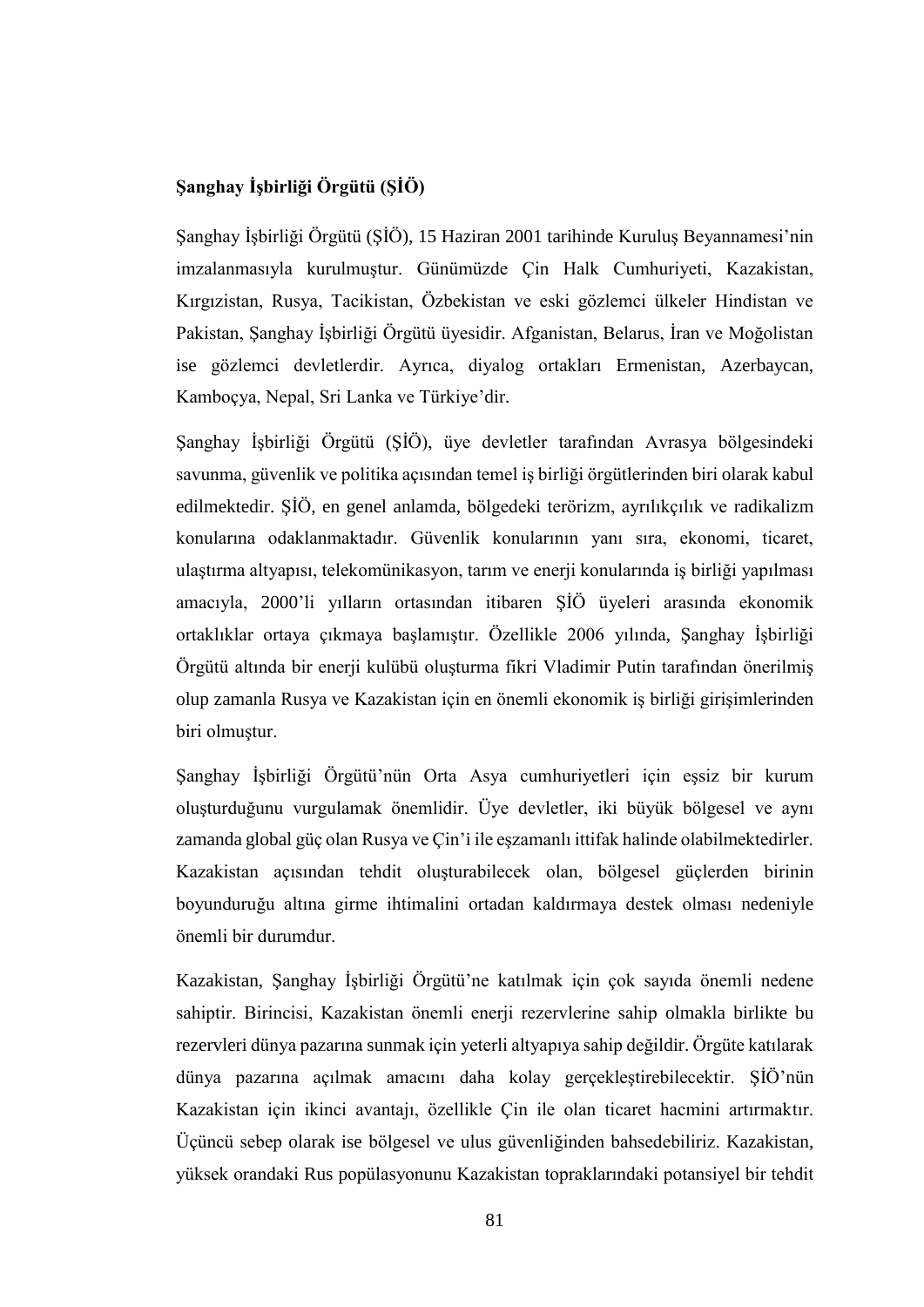### **Şanghay İşbirliği Örgütü (ŞİÖ)**

Şanghay İşbirliği Örgütü (ŞİÖ), 15 Haziran 2001 tarihinde Kuruluş Beyannamesi'nin imzalanmasıyla kurulmuştur. Günümüzde Çin Halk Cumhuriyeti, Kazakistan, Kırgızistan, Rusya, Tacikistan, Özbekistan ve eski gözlemci ülkeler Hindistan ve Pakistan, Şanghay İşbirliği Örgütü üyesidir. Afganistan, Belarus, İran ve Moğolistan ise gözlemci devletlerdir. Ayrıca, diyalog ortakları Ermenistan, Azerbaycan, Kamboçya, Nepal, Sri Lanka ve Türkiye'dir.

Şanghay İşbirliği Örgütü (ŞİÖ), üye devletler tarafından Avrasya bölgesindeki savunma, güvenlik ve politika açısından temel iş birliği örgütlerinden biri olarak kabul edilmektedir. ŞİÖ, en genel anlamda, bölgedeki terörizm, ayrılıkçılık ve radikalizm konularına odaklanmaktadır. Güvenlik konularının yanı sıra, ekonomi, ticaret, ulaştırma altyapısı, telekomünikasyon, tarım ve enerji konularında iş birliği yapılması amacıyla, 2000'li yılların ortasından itibaren ŞİÖ üyeleri arasında ekonomik ortaklıklar ortaya çıkmaya başlamıştır. Özellikle 2006 yılında, Şanghay İşbirliği Örgütü altında bir enerji kulübü oluşturma fikri Vladimir Putin tarafından önerilmiş olup zamanla Rusya ve Kazakistan için en önemli ekonomik iş birliği girişimlerinden biri olmuştur.

Şanghay İşbirliği Örgütü'nün Orta Asya cumhuriyetleri için eşsiz bir kurum oluşturduğunu vurgulamak önemlidir. Üye devletler, iki büyük bölgesel ve aynı zamanda global güç olan Rusya ve Çin'i ile eşzamanlı ittifak halinde olabilmektedirler. Kazakistan açısından tehdit oluşturabilecek olan, bölgesel güçlerden birinin boyunduruğu altına girme ihtimalini ortadan kaldırmaya destek olması nedeniyle önemli bir durumdur.

Kazakistan, Şanghay İşbirliği Örgütü'ne katılmak için çok sayıda önemli nedene sahiptir. Birincisi, Kazakistan önemli enerji rezervlerine sahip olmakla birlikte bu rezervleri dünya pazarına sunmak için yeterli altyapıya sahip değildir. Örgüte katılarak dünya pazarına açılmak amacını daha kolay gerçekleştirebilecektir. ŞİÖ'nün Kazakistan için ikinci avantajı, özellikle Çin ile olan ticaret hacmini artırmaktır. Üçüncü sebep olarak ise bölgesel ve ulus güvenliğinden bahsedebiliriz. Kazakistan, yüksek orandaki Rus popülasyonunu Kazakistan topraklarındaki potansiyel bir tehdit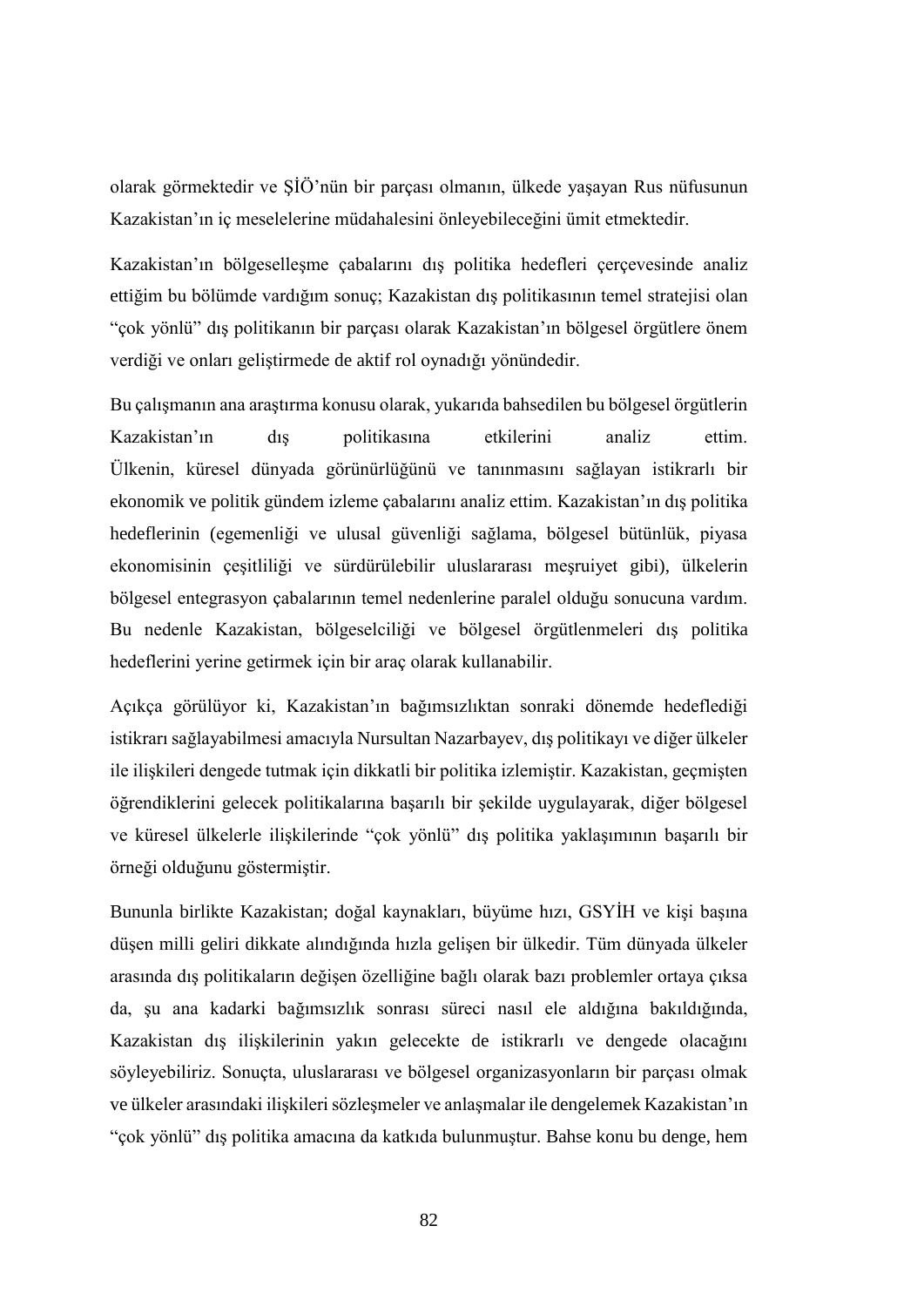olarak görmektedir ve ŞİÖ'nün bir parçası olmanın, ülkede yaşayan Rus nüfusunun Kazakistan'ın iç meselelerine müdahalesini önleyebileceğini ümit etmektedir.

Kazakistan'ın bölgeselleşme çabalarını dış politika hedefleri çerçevesinde analiz ettiğim bu bölümde vardığım sonuç; Kazakistan dış politikasının temel stratejisi olan "çok yönlü" dış politikanın bir parçası olarak Kazakistan'ın bölgesel örgütlere önem verdiği ve onları geliştirmede de aktif rol oynadığı yönündedir.

Bu çalışmanın ana araştırma konusu olarak, yukarıda bahsedilen bu bölgesel örgütlerin Kazakistan'ın dış politikasına etkilerini analiz ettim. Ülkenin, küresel dünyada görünürlüğünü ve tanınmasını sağlayan istikrarlı bir ekonomik ve politik gündem izleme çabalarını analiz ettim. Kazakistan'ın dış politika hedeflerinin (egemenliği ve ulusal güvenliği sağlama, bölgesel bütünlük, piyasa ekonomisinin çeşitliliği ve sürdürülebilir uluslararası meşruiyet gibi), ülkelerin bölgesel entegrasyon çabalarının temel nedenlerine paralel olduğu sonucuna vardım. Bu nedenle Kazakistan, bölgeselciliği ve bölgesel örgütlenmeleri dış politika hedeflerini yerine getirmek için bir araç olarak kullanabilir.

Açıkça görülüyor ki, Kazakistan'ın bağımsızlıktan sonraki dönemde hedeflediği istikrarı sağlayabilmesi amacıyla Nursultan Nazarbayev, dış politikayı ve diğer ülkeler ile ilişkileri dengede tutmak için dikkatli bir politika izlemiştir. Kazakistan, geçmişten öğrendiklerini gelecek politikalarına başarılı bir şekilde uygulayarak, diğer bölgesel ve küresel ülkelerle ilişkilerinde "çok yönlü" dış politika yaklaşımının başarılı bir örneği olduğunu göstermiştir.

Bununla birlikte Kazakistan; doğal kaynakları, büyüme hızı, GSYİH ve kişi başına düşen milli geliri dikkate alındığında hızla gelişen bir ülkedir. Tüm dünyada ülkeler arasında dış politikaların değişen özelliğine bağlı olarak bazı problemler ortaya çıksa da, şu ana kadarki bağımsızlık sonrası süreci nasıl ele aldığına bakıldığında, Kazakistan dış ilişkilerinin yakın gelecekte de istikrarlı ve dengede olacağını söyleyebiliriz. Sonuçta, uluslararası ve bölgesel organizasyonların bir parçası olmak ve ülkeler arasındaki ilişkileri sözleşmeler ve anlaşmalar ile dengelemek Kazakistan'ın "çok yönlü" dış politika amacına da katkıda bulunmuştur. Bahse konu bu denge, hem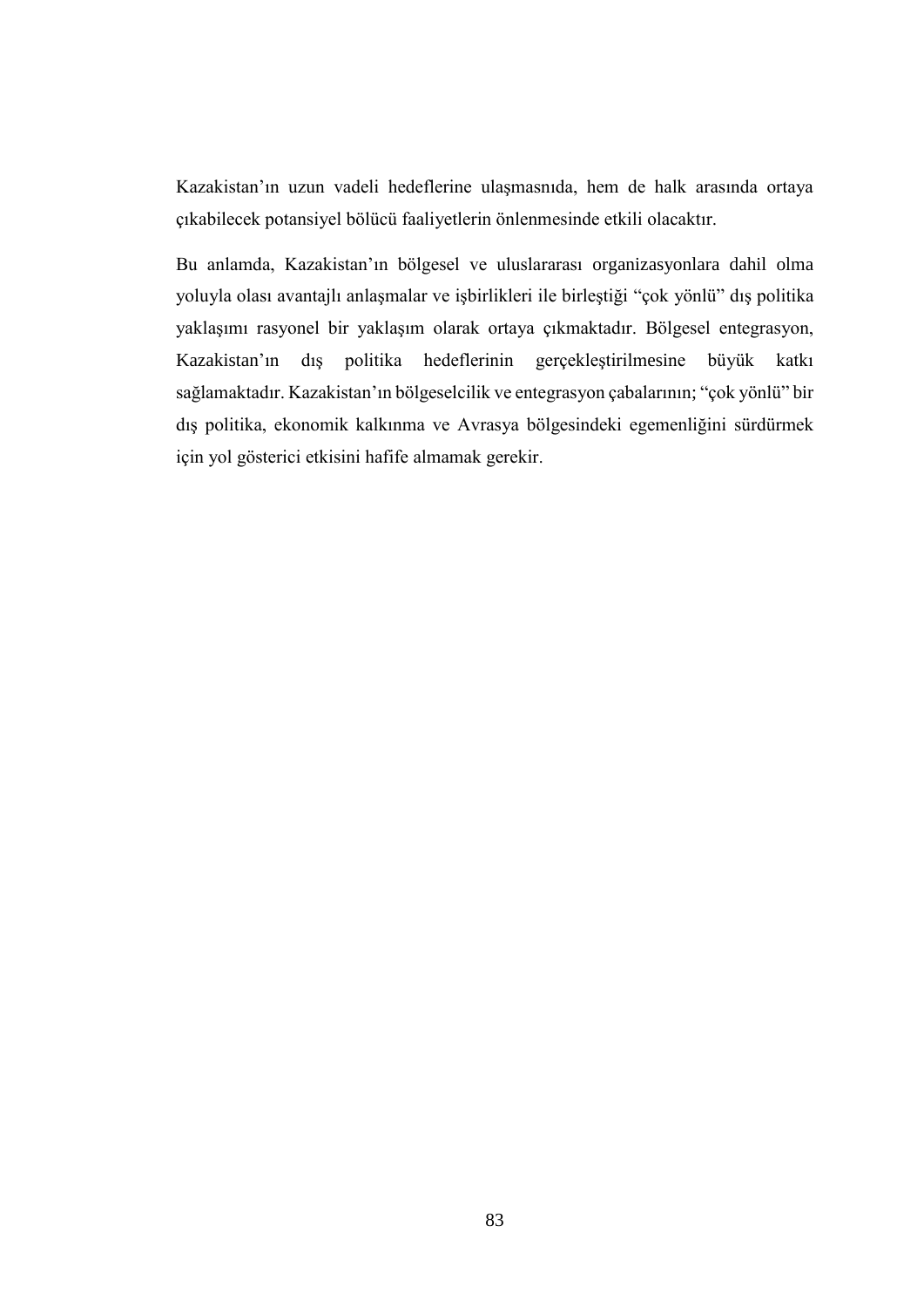Kazakistan'ın uzun vadeli hedeflerine ulaşmasnıda, hem de halk arasında ortaya çıkabilecek potansiyel bölücü faaliyetlerin önlenmesinde etkili olacaktır.

Bu anlamda, Kazakistan'ın bölgesel ve uluslararası organizasyonlara dahil olma yoluyla olası avantajlı anlaşmalar ve işbirlikleri ile birleştiği "çok yönlü" dış politika yaklaşımı rasyonel bir yaklaşım olarak ortaya çıkmaktadır. Bölgesel entegrasyon, Kazakistan'ın dış politika hedeflerinin gerçekleştirilmesine büyük katkı sağlamaktadır. Kazakistan'ın bölgeselcilik ve entegrasyon çabalarının; "çok yönlü" bir dış politika, ekonomik kalkınma ve Avrasya bölgesindeki egemenliğini sürdürmek için yol gösterici etkisini hafife almamak gerekir.